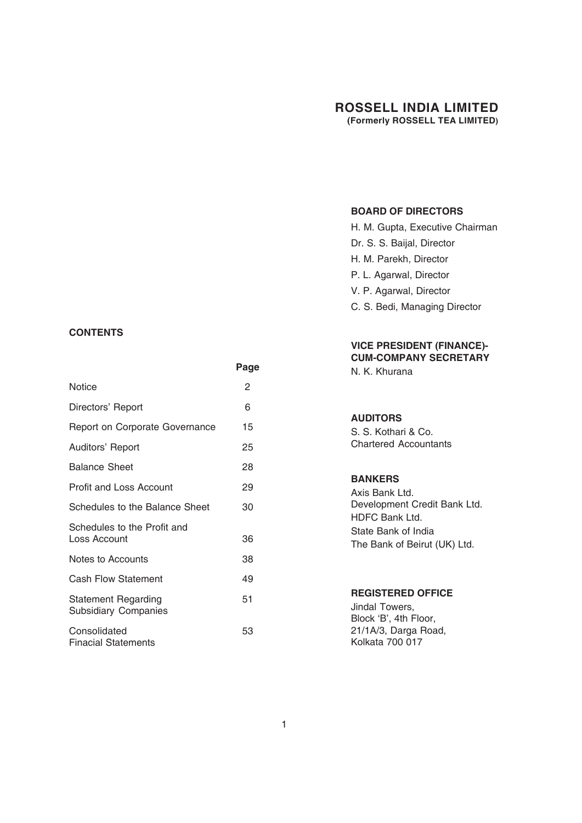#### **BOARD OF DIRECTORS**

H. M. Gupta, Executive Chairman Dr. S. S. Baijal, Director H. M. Parekh, Director P. L. Agarwal, Director V. P. Agarwal, Director C. S. Bedi, Managing Director

#### **VICE PRESIDENT (FINANCE)- CUM-COMPANY SECRETARY**

N. K. Khurana

#### **AUDITORS**

S. S. Kothari & Co. Chartered Accountants

#### **BANKERS**

Axis Bank Ltd. Development Credit Bank Ltd. HDFC Bank Ltd. State Bank of India The Bank of Beirut (UK) Ltd.

#### **REGISTERED OFFICE**

Jindal Towers, Block 'B', 4th Floor, 21/1A/3, Darga Road, Kolkata 700 017

#### **CONTENTS**

|                                                           | Page |
|-----------------------------------------------------------|------|
| <b>Notice</b>                                             | 2    |
| Directors' Report                                         | 6    |
| Report on Corporate Governance                            | 15   |
| Auditors' Report                                          | 25   |
| <b>Balance Sheet</b>                                      | 28   |
| <b>Profit and Loss Account</b>                            | 29   |
| Schedules to the Balance Sheet                            | 30   |
| Schedules to the Profit and<br>Loss Account               | 36   |
| Notes to Accounts                                         | 38   |
| <b>Cash Flow Statement</b>                                | 49   |
| <b>Statement Regarding</b><br><b>Subsidiary Companies</b> | 51   |
| Consolidated<br><b>Finacial Statements</b>                | 53   |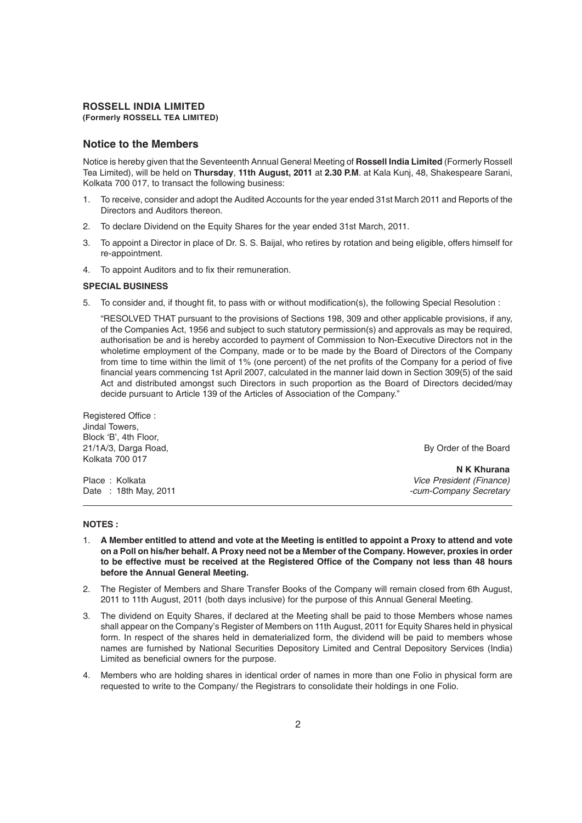#### **Notice to the Members**

Notice is hereby given that the Seventeenth Annual General Meeting of **Rossell India Limited** (Formerly Rossell Tea Limited), will be held on **Thursday**, **11th August, 2011** at **2.30 P.M**. at Kala Kunj, 48, Shakespeare Sarani, Kolkata 700 017, to transact the following business:

- 1. To receive, consider and adopt the Audited Accounts for the year ended 31st March 2011 and Reports of the Directors and Auditors thereon.
- 2. To declare Dividend on the Equity Shares for the year ended 31st March, 2011.
- 3. To appoint a Director in place of Dr. S. S. Baijal, who retires by rotation and being eligible, offers himself for re-appointment.
- 4. To appoint Auditors and to fix their remuneration.

#### **SPECIAL BUSINESS**

5. To consider and, if thought fit, to pass with or without modification(s), the following Special Resolution :

"RESOLVED THAT pursuant to the provisions of Sections 198, 309 and other applicable provisions, if any, of the Companies Act, 1956 and subject to such statutory permission(s) and approvals as may be required, authorisation be and is hereby accorded to payment of Commission to Non-Executive Directors not in the wholetime employment of the Company, made or to be made by the Board of Directors of the Company from time to time within the limit of 1% (one percent) of the net profits of the Company for a period of five financial years commencing 1st April 2007, calculated in the manner laid down in Section 309(5) of the said Act and distributed amongst such Directors in such proportion as the Board of Directors decided/may decide pursuant to Article 139 of the Articles of Association of the Company."

| By Order of the Board    |
|--------------------------|
|                          |
| N K Khurana              |
| Vice President (Finance) |
| -cum-Company Secretary   |
|                          |

#### **NOTES :**

- 1. **A Member entitled to attend and vote at the Meeting is entitled to appoint a Proxy to attend and vote on a Poll on his/her behalf. A Proxy need not be a Member of the Company. However, proxies in order to be effective must be received at the Registered Office of the Company not less than 48 hours before the Annual General Meeting.**
- 2. The Register of Members and Share Transfer Books of the Company will remain closed from 6th August, 2011 to 11th August, 2011 (both days inclusive) for the purpose of this Annual General Meeting.
- 3. The dividend on Equity Shares, if declared at the Meeting shall be paid to those Members whose names shall appear on the Company's Register of Members on 11th August, 2011 for Equity Shares held in physical form. In respect of the shares held in dematerialized form, the dividend will be paid to members whose names are furnished by National Securities Depository Limited and Central Depository Services (India) Limited as beneficial owners for the purpose.
- 4. Members who are holding shares in identical order of names in more than one Folio in physical form are requested to write to the Company/ the Registrars to consolidate their holdings in one Folio.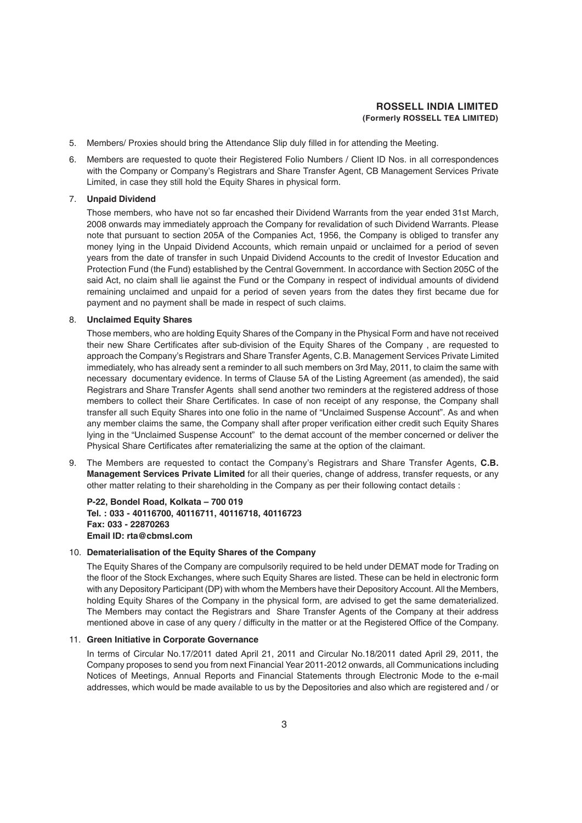- 5. Members/ Proxies should bring the Attendance Slip duly filled in for attending the Meeting.
- 6. Members are requested to quote their Registered Folio Numbers / Client ID Nos. in all correspondences with the Company or Company's Registrars and Share Transfer Agent, CB Management Services Private Limited, in case they still hold the Equity Shares in physical form.

#### 7. **Unpaid Dividend**

Those members, who have not so far encashed their Dividend Warrants from the year ended 31st March, 2008 onwards may immediately approach the Company for revalidation of such Dividend Warrants. Please note that pursuant to section 205A of the Companies Act, 1956, the Company is obliged to transfer any money lying in the Unpaid Dividend Accounts, which remain unpaid or unclaimed for a period of seven years from the date of transfer in such Unpaid Dividend Accounts to the credit of Investor Education and Protection Fund (the Fund) established by the Central Government. In accordance with Section 205C of the said Act, no claim shall lie against the Fund or the Company in respect of individual amounts of dividend remaining unclaimed and unpaid for a period of seven years from the dates they first became due for payment and no payment shall be made in respect of such claims.

#### 8. **Unclaimed Equity Shares**

Those members, who are holding Equity Shares of the Company in the Physical Form and have not received their new Share Certificates after sub-division of the Equity Shares of the Company , are requested to approach the Company's Registrars and Share Transfer Agents, C.B. Management Services Private Limited immediately, who has already sent a reminder to all such members on 3rd May, 2011, to claim the same with necessary documentary evidence. In terms of Clause 5A of the Listing Agreement (as amended), the said Registrars and Share Transfer Agents shall send another two reminders at the registered address of those members to collect their Share Certificates. In case of non receipt of any response, the Company shall transfer all such Equity Shares into one folio in the name of "Unclaimed Suspense Account". As and when any member claims the same, the Company shall after proper verification either credit such Equity Shares lying in the "Unclaimed Suspense Account" to the demat account of the member concerned or deliver the Physical Share Certificates after rematerializing the same at the option of the claimant.

9. The Members are requested to contact the Company's Registrars and Share Transfer Agents, **C.B. Management Services Private Limited** for all their queries, change of address, transfer requests, or any other matter relating to their shareholding in the Company as per their following contact details :

**P-22, Bondel Road, Kolkata – 700 019 Tel. : 033 - 40116700, 40116711, 40116718, 40116723 Fax: 033 - 22870263 Email ID: rta@cbmsl.com**

#### 10. **Dematerialisation of the Equity Shares of the Company**

The Equity Shares of the Company are compulsorily required to be held under DEMAT mode for Trading on the floor of the Stock Exchanges, where such Equity Shares are listed. These can be held in electronic form with any Depository Participant (DP) with whom the Members have their Depository Account. All the Members, holding Equity Shares of the Company in the physical form, are advised to get the same dematerialized. The Members may contact the Registrars and Share Transfer Agents of the Company at their address mentioned above in case of any query / difficulty in the matter or at the Registered Office of the Company.

#### 11. **Green Initiative in Corporate Governance**

In terms of Circular No.17/2011 dated April 21, 2011 and Circular No.18/2011 dated April 29, 2011, the Company proposes to send you from next Financial Year 2011-2012 onwards, all Communications including Notices of Meetings, Annual Reports and Financial Statements through Electronic Mode to the e-mail addresses, which would be made available to us by the Depositories and also which are registered and / or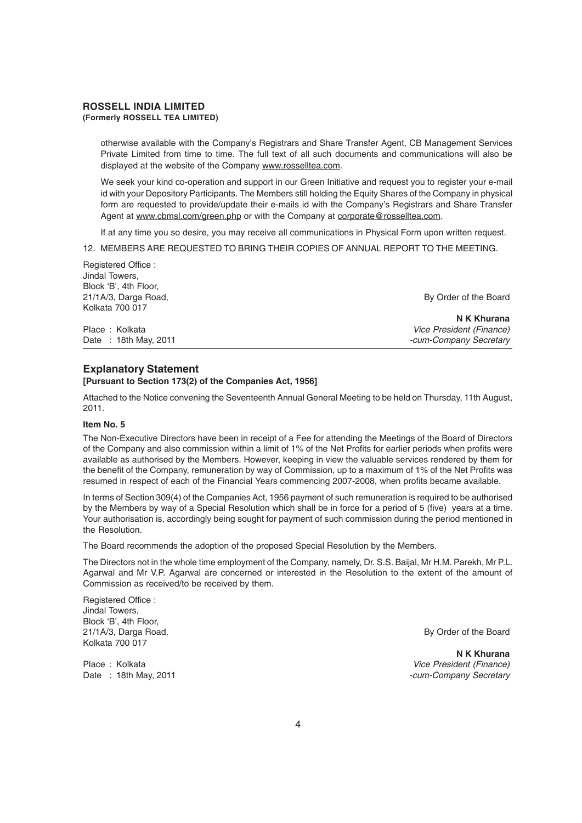otherwise available with the Company's Registrars and Share Transfer Agent, CB Management Services Private Limited from time to time. The full text of all such documents and communications will also be displayed at the website of the Company www.rosselltea.com.

We seek your kind co-operation and support in our Green Initiative and request you to register your e-mail id with your Depository Participants. The Members still holding the Equity Shares of the Company in physical form are requested to provide/update their e-mails id with the Company's Registrars and Share Transfer Agent at www.cbmsl.com/green.php or with the Company at corporate@rosselltea.com.

If at any time you so desire, you may receive all communications in Physical Form upon written request.

12. MEMBERS ARE REQUESTED TO BRING THEIR COPIES OF ANNUAL REPORT TO THE MEETING.

| By Order of the Board    |
|--------------------------|
|                          |
| N K Khurana              |
| Vice President (Finance) |
| -cum-Company Secretary   |
|                          |

#### **Explanatory Statement**

#### **[Pursuant to Section 173(2) of the Companies Act, 1956]**

Attached to the Notice convening the Seventeenth Annual General Meeting to be held on Thursday, 11th August, 2011.

#### **Item No. 5**

Registered Office :

The Non-Executive Directors have been in receipt of a Fee for attending the Meetings of the Board of Directors of the Company and also commission within a limit of 1% of the Net Profits for earlier periods when profits were available as authorised by the Members. However, keeping in view the valuable services rendered by them for the benefit of the Company, remuneration by way of Commission, up to a maximum of 1% of the Net Profits was resumed in respect of each of the Financial Years commencing 2007-2008, when profits became available.

In terms of Section 309(4) of the Companies Act, 1956 payment of such remuneration is required to be authorised by the Members by way of a Special Resolution which shall be in force for a period of 5 (five) years at a time. Your authorisation is, accordingly being sought for payment of such commission during the period mentioned in the Resolution.

The Board recommends the adoption of the proposed Special Resolution by the Members.

The Directors not in the whole time employment of the Company, namely, Dr. S.S. Baijal, Mr H.M. Parekh, Mr P.L. Agarwal and Mr V.P. Agarwal are concerned or interested in the Resolution to the extent of the amount of Commission as received/to be received by them.

Registered Office : Jindal Towers, Block 'B', 4th Floor, 21/1A/3, Darga Road, By Order of the Board Kolkata 700 017

**N K Khurana** Place : Kolkata *Vice President (Finance)* Date : 18th May, 2011 *-cum-Company Secretary*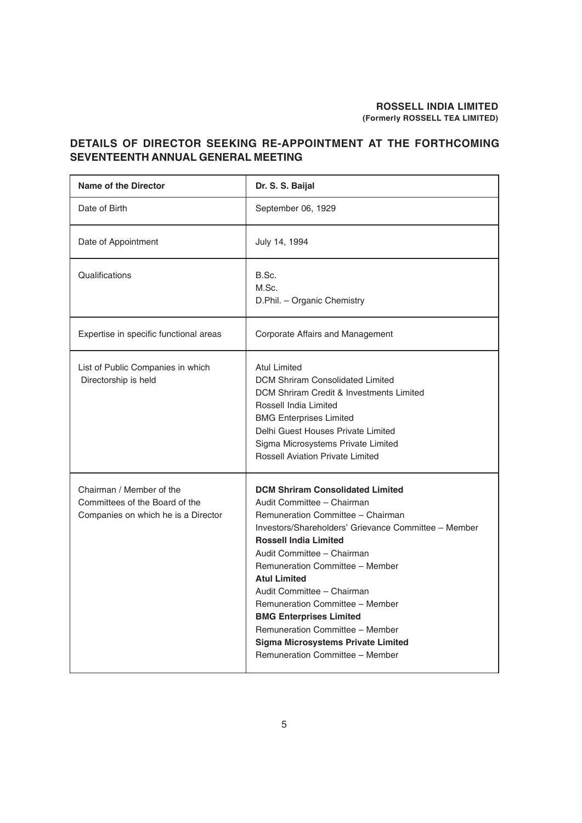#### **DETAILS OF DIRECTOR SEEKING RE-APPOINTMENT AT THE FORTHCOMING SEVENTEENTH ANNUAL GENERAL MEETING**

| <b>Name of the Director</b>                                                                       | Dr. S. S. Baijal                                                                                                                                                                                                                                                                                                                                                                                                                                                                                                 |
|---------------------------------------------------------------------------------------------------|------------------------------------------------------------------------------------------------------------------------------------------------------------------------------------------------------------------------------------------------------------------------------------------------------------------------------------------------------------------------------------------------------------------------------------------------------------------------------------------------------------------|
| Date of Birth                                                                                     | September 06, 1929                                                                                                                                                                                                                                                                                                                                                                                                                                                                                               |
| Date of Appointment                                                                               | July 14, 1994                                                                                                                                                                                                                                                                                                                                                                                                                                                                                                    |
| Qualifications                                                                                    | B.Sc.<br>M.Sc.<br>D.Phil. - Organic Chemistry                                                                                                                                                                                                                                                                                                                                                                                                                                                                    |
| Expertise in specific functional areas                                                            | Corporate Affairs and Management                                                                                                                                                                                                                                                                                                                                                                                                                                                                                 |
| List of Public Companies in which<br>Directorship is held                                         | <b>Atul Limited</b><br><b>DCM Shriram Consolidated Limited</b><br><b>DCM Shriram Credit &amp; Investments Limited</b><br>Rossell India Limited<br><b>BMG Enterprises Limited</b><br>Delhi Guest Houses Private Limited<br>Sigma Microsystems Private Limited<br><b>Rossell Aviation Private Limited</b>                                                                                                                                                                                                          |
| Chairman / Member of the<br>Committees of the Board of the<br>Companies on which he is a Director | <b>DCM Shriram Consolidated Limited</b><br>Audit Committee - Chairman<br>Remuneration Committee - Chairman<br>Investors/Shareholders' Grievance Committee - Member<br><b>Rossell India Limited</b><br>Audit Committee - Chairman<br>Remuneration Committee - Member<br><b>Atul Limited</b><br>Audit Committee - Chairman<br>Remuneration Committee - Member<br><b>BMG Enterprises Limited</b><br>Remuneration Committee - Member<br><b>Sigma Microsystems Private Limited</b><br>Remuneration Committee - Member |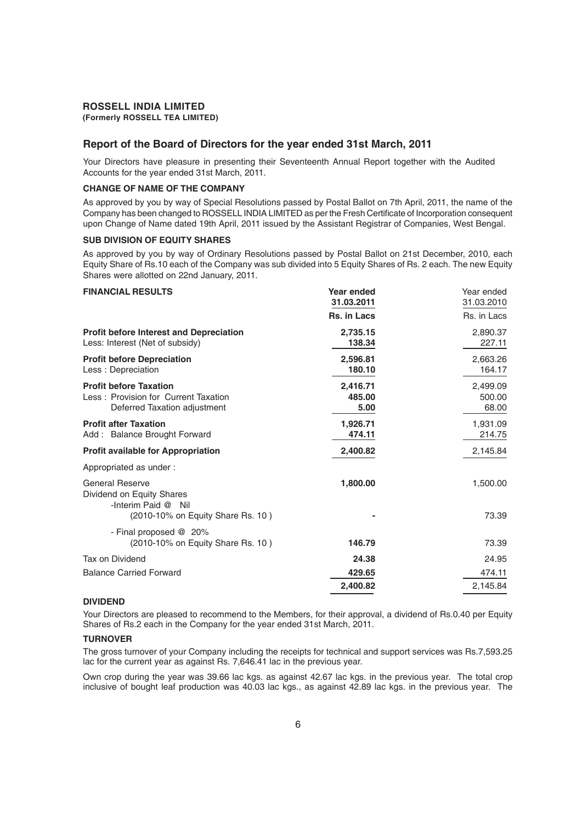#### **ROSSELL INDIA LIMITED**

**(Formerly ROSSELL TEA LIMITED)**

#### **Report of the Board of Directors for the year ended 31st March, 2011**

Your Directors have pleasure in presenting their Seventeenth Annual Report together with the Audited Accounts for the year ended 31st March, 2011.

#### **CHANGE OF NAME OF THE COMPANY**

As approved by you by way of Special Resolutions passed by Postal Ballot on 7th April, 2011, the name of the Company has been changed to ROSSELL INDIA LIMITED as per the Fresh Certificate of Incorporation consequent upon Change of Name dated 19th April, 2011 issued by the Assistant Registrar of Companies, West Bengal.

#### **SUB DIVISION OF EQUITY SHARES**

As approved by you by way of Ordinary Resolutions passed by Postal Ballot on 21st December, 2010, each Equity Share of Rs.10 each of the Company was sub divided into 5 Equity Shares of Rs. 2 each. The new Equity Shares were allotted on 22nd January, 2011.

#### **FINANCIAL RESULTS Year ended** Year ended **31.03.2011** 31.03.2010 **Rs. in Lacs** Rs. in Lacs **Profit before Interest and Depreciation 2,735.15** 2,890.37 Less: Interest (Net of subsidy) **138.34** 227.11 **Profit before Depreciation 2,596.81** 2,663.26 Less : Depreciation **180.10** 164.17 **Profit before Taxation** 2,416.71 2,499.09 Less : Provision for Current Taxation **1898 485.00** 500.00 Deferred Taxation adjustment **5.00** 68.00 **Profit after Taxation 1,926.71** 1,931.09 Add : Balance Brought Forward **1990 1214.75 474.11** 214.75 **Profit available for Appropriation 2,400.82** 2,145.84 Appropriated as under : General Reserve **1,800.00** 1,500.00 Dividend on Equity Shares -Interim Paid @ Nil (2010-10% on Equity Share Rs. 10 ) **-** 73.39 - Final proposed @ 20% (2010-10% on Equity Share Rs. 10 ) **146.79** 73.39 Tax on Dividend **24.38** 24.95 Balance Carried Forward **429.65** 474.11 **2,400.82** 2,145.84

#### **DIVIDEND**

Your Directors are pleased to recommend to the Members, for their approval, a dividend of Rs.0.40 per Equity Shares of Rs.2 each in the Company for the year ended 31st March, 2011.

#### **TURNOVER**

The gross turnover of your Company including the receipts for technical and support services was Rs.7,593.25 lac for the current year as against Rs. 7,646.41 lac in the previous year.

Own crop during the year was 39.66 lac kgs. as against 42.67 lac kgs. in the previous year. The total crop inclusive of bought leaf production was 40.03 lac kgs., as against 42.89 lac kgs. in the previous year. The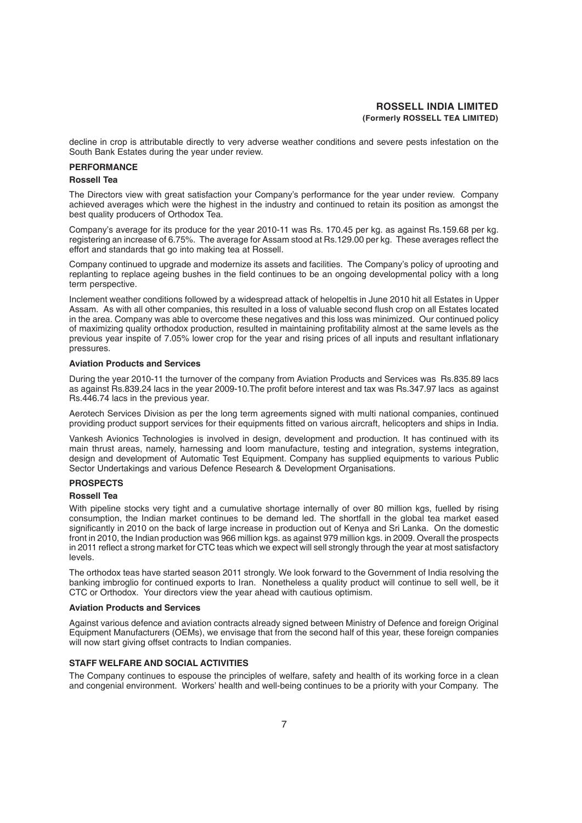decline in crop is attributable directly to very adverse weather conditions and severe pests infestation on the South Bank Estates during the year under review.

#### **PERFORMANCE**

#### **Rossell Tea**

The Directors view with great satisfaction your Company's performance for the year under review. Company achieved averages which were the highest in the industry and continued to retain its position as amongst the best quality producers of Orthodox Tea.

Company's average for its produce for the year 2010-11 was Rs. 170.45 per kg. as against Rs.159.68 per kg. registering an increase of 6.75%. The average for Assam stood at Rs.129.00 per kg. These averages reflect the effort and standards that go into making tea at Rossell.

Company continued to upgrade and modernize its assets and facilities. The Company's policy of uprooting and replanting to replace ageing bushes in the field continues to be an ongoing developmental policy with a long term perspective.

Inclement weather conditions followed by a widespread attack of helopeltis in June 2010 hit all Estates in Upper Assam. As with all other companies, this resulted in a loss of valuable second flush crop on all Estates located in the area. Company was able to overcome these negatives and this loss was minimized. Our continued policy of maximizing quality orthodox production, resulted in maintaining profitability almost at the same levels as the previous year inspite of 7.05% lower crop for the year and rising prices of all inputs and resultant inflationary pressures.

#### **Aviation Products and Services**

During the year 2010-11 the turnover of the company from Aviation Products and Services was Rs.835.89 lacs as against Rs.839.24 lacs in the year 2009-10.The profit before interest and tax was Rs.347.97 lacs as against Rs.446.74 lacs in the previous year.

Aerotech Services Division as per the long term agreements signed with multi national companies, continued providing product support services for their equipments fitted on various aircraft, helicopters and ships in India.

Vankesh Avionics Technologies is involved in design, development and production. It has continued with its main thrust areas, namely, harnessing and loom manufacture, testing and integration, systems integration, design and development of Automatic Test Equipment. Company has supplied equipments to various Public Sector Undertakings and various Defence Research & Development Organisations.

#### **PROSPECTS**

#### **Rossell Tea**

With pipeline stocks very tight and a cumulative shortage internally of over 80 million kgs, fuelled by rising consumption, the Indian market continues to be demand led. The shortfall in the global tea market eased significantly in 2010 on the back of large increase in production out of Kenya and Sri Lanka. On the domestic front in 2010, the Indian production was 966 million kgs. as against 979 million kgs. in 2009. Overall the prospects in 2011 reflect a strong market for CTC teas which we expect will sell strongly through the year at most satisfactory levels.

The orthodox teas have started season 2011 strongly. We look forward to the Government of India resolving the banking imbroglio for continued exports to Iran. Nonetheless a quality product will continue to sell well, be it CTC or Orthodox. Your directors view the year ahead with cautious optimism.

#### **Aviation Products and Services**

Against various defence and aviation contracts already signed between Ministry of Defence and foreign Original Equipment Manufacturers (OEMs), we envisage that from the second half of this year, these foreign companies will now start giving offset contracts to Indian companies.

#### **STAFF WELFARE AND SOCIAL ACTIVITIES**

The Company continues to espouse the principles of welfare, safety and health of its working force in a clean and congenial environment. Workers' health and well-being continues to be a priority with your Company. The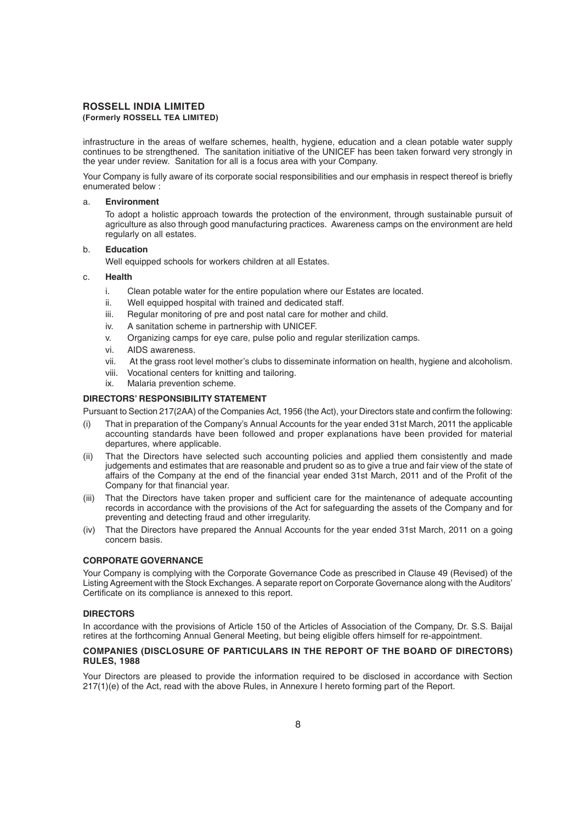## **ROSSELL INDIA LIMITED**

#### **(Formerly ROSSELL TEA LIMITED)**

infrastructure in the areas of welfare schemes, health, hygiene, education and a clean potable water supply continues to be strengthened. The sanitation initiative of the UNICEF has been taken forward very strongly in the year under review. Sanitation for all is a focus area with your Company.

Your Company is fully aware of its corporate social responsibilities and our emphasis in respect thereof is briefly enumerated below :

#### a. **Environment**

To adopt a holistic approach towards the protection of the environment, through sustainable pursuit of agriculture as also through good manufacturing practices. Awareness camps on the environment are held regularly on all estates.

#### b. **Education**

Well equipped schools for workers children at all Estates.

#### c. **Health**

- i. Clean potable water for the entire population where our Estates are located.
- ii. Well equipped hospital with trained and dedicated staff.
- iii. Regular monitoring of pre and post natal care for mother and child.
- iv. A sanitation scheme in partnership with UNICEF.
- v. Organizing camps for eye care, pulse polio and regular sterilization camps.
- vi. AIDS awareness.
- vii. At the grass root level mother's clubs to disseminate information on health, hygiene and alcoholism.
- viii. Vocational centers for knitting and tailoring.
- ix. Malaria prevention scheme.

#### **DIRECTORS' RESPONSIBILITY STATEMENT**

Pursuant to Section 217(2AA) of the Companies Act, 1956 (the Act), your Directors state and confirm the following:

- (i) That in preparation of the Company's Annual Accounts for the year ended 31st March, 2011 the applicable accounting standards have been followed and proper explanations have been provided for material departures, where applicable.
- (ii) That the Directors have selected such accounting policies and applied them consistently and made judgements and estimates that are reasonable and prudent so as to give a true and fair view of the state of affairs of the Company at the end of the financial year ended 31st March, 2011 and of the Profit of the Company for that financial year.
- (iii) That the Directors have taken proper and sufficient care for the maintenance of adequate accounting records in accordance with the provisions of the Act for safeguarding the assets of the Company and for preventing and detecting fraud and other irregularity.
- (iv) That the Directors have prepared the Annual Accounts for the year ended 31st March, 2011 on a going concern basis.

#### **CORPORATE GOVERNANCE**

Your Company is complying with the Corporate Governance Code as prescribed in Clause 49 (Revised) of the Listing Agreement with the Stock Exchanges. A separate report on Corporate Governance along with the Auditors' Certificate on its compliance is annexed to this report.

#### **DIRECTORS**

In accordance with the provisions of Article 150 of the Articles of Association of the Company, Dr. S.S. Baijal retires at the forthcoming Annual General Meeting, but being eligible offers himself for re-appointment.

#### **COMPANIES (DISCLOSURE OF PARTICULARS IN THE REPORT OF THE BOARD OF DIRECTORS) RULES, 1988**

Your Directors are pleased to provide the information required to be disclosed in accordance with Section 217(1)(e) of the Act, read with the above Rules, in Annexure I hereto forming part of the Report.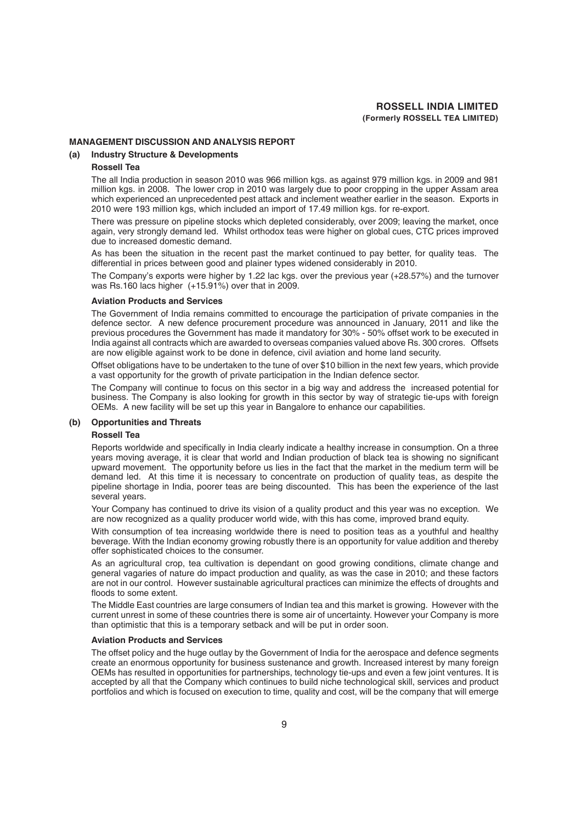#### **MANAGEMENT DISCUSSION AND ANALYSIS REPORT**

#### **(a) Industry Structure & Developments**

#### **Rossell Tea**

The all India production in season 2010 was 966 million kgs. as against 979 million kgs. in 2009 and 981 million kgs. in 2008. The lower crop in 2010 was largely due to poor cropping in the upper Assam area which experienced an unprecedented pest attack and inclement weather earlier in the season. Exports in 2010 were 193 million kgs, which included an import of 17.49 million kgs. for re-export.

There was pressure on pipeline stocks which depleted considerably, over 2009; leaving the market, once again, very strongly demand led. Whilst orthodox teas were higher on global cues, CTC prices improved due to increased domestic demand.

As has been the situation in the recent past the market continued to pay better, for quality teas. The differential in prices between good and plainer types widened considerably in 2010.

The Company's exports were higher by 1.22 lac kgs. over the previous year (+28.57%) and the turnover was Rs.160 lacs higher (+15.91%) over that in 2009.

#### **Aviation Products and Services**

The Government of India remains committed to encourage the participation of private companies in the defence sector. A new defence procurement procedure was announced in January, 2011 and like the previous procedures the Government has made it mandatory for 30% - 50% offset work to be executed in India against all contracts which are awarded to overseas companies valued above Rs. 300 crores. Offsets are now eligible against work to be done in defence, civil aviation and home land security.

Offset obligations have to be undertaken to the tune of over \$10 billion in the next few years, which provide a vast opportunity for the growth of private participation in the Indian defence sector.

The Company will continue to focus on this sector in a big way and address the increased potential for business. The Company is also looking for growth in this sector by way of strategic tie-ups with foreign OEMs. A new facility will be set up this year in Bangalore to enhance our capabilities.

#### **(b) Opportunities and Threats**

#### **Rossell Tea**

Reports worldwide and specifically in India clearly indicate a healthy increase in consumption. On a three years moving average, it is clear that world and Indian production of black tea is showing no significant upward movement. The opportunity before us lies in the fact that the market in the medium term will be demand led. At this time it is necessary to concentrate on production of quality teas, as despite the pipeline shortage in India, poorer teas are being discounted. This has been the experience of the last several years.

Your Company has continued to drive its vision of a quality product and this year was no exception. We are now recognized as a quality producer world wide, with this has come, improved brand equity.

With consumption of tea increasing worldwide there is need to position teas as a youthful and healthy beverage. With the Indian economy growing robustly there is an opportunity for value addition and thereby offer sophisticated choices to the consumer.

As an agricultural crop, tea cultivation is dependant on good growing conditions, climate change and general vagaries of nature do impact production and quality, as was the case in 2010; and these factors are not in our control. However sustainable agricultural practices can minimize the effects of droughts and floods to some extent.

The Middle East countries are large consumers of Indian tea and this market is growing. However with the current unrest in some of these countries there is some air of uncertainty. However your Company is more than optimistic that this is a temporary setback and will be put in order soon.

#### **Aviation Products and Services**

The offset policy and the huge outlay by the Government of India for the aerospace and defence segments create an enormous opportunity for business sustenance and growth. Increased interest by many foreign OEMs has resulted in opportunities for partnerships, technology tie-ups and even a few joint ventures. It is accepted by all that the Company which continues to build niche technological skill, services and product portfolios and which is focused on execution to time, quality and cost, will be the company that will emerge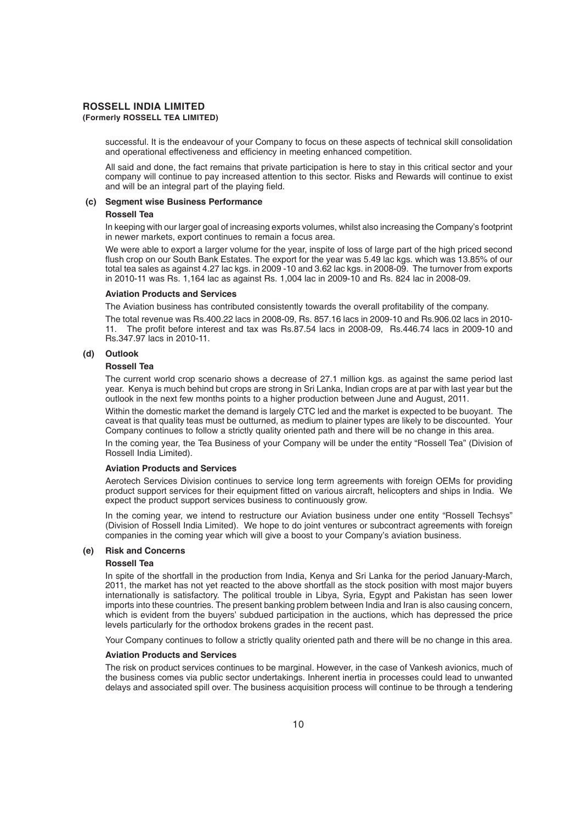# **ROSSELL INDIA LIMITED**

#### **(Formerly ROSSELL TEA LIMITED)**

successful. It is the endeavour of your Company to focus on these aspects of technical skill consolidation and operational effectiveness and efficiency in meeting enhanced competition.

All said and done, the fact remains that private participation is here to stay in this critical sector and your company will continue to pay increased attention to this sector. Risks and Rewards will continue to exist and will be an integral part of the playing field.

#### **(c) Segment wise Business Performance**

#### **Rossell Tea**

In keeping with our larger goal of increasing exports volumes, whilst also increasing the Company's footprint in newer markets, export continues to remain a focus area.

We were able to export a larger volume for the year, inspite of loss of large part of the high priced second flush crop on our South Bank Estates. The export for the year was 5.49 lac kgs. which was 13.85% of our total tea sales as against 4.27 lac kgs. in 2009 -10 and 3.62 lac kgs. in 2008-09. The turnover from exports in 2010-11 was Rs. 1,164 lac as against Rs. 1,004 lac in 2009-10 and Rs. 824 lac in 2008-09.

#### **Aviation Products and Services**

The Aviation business has contributed consistently towards the overall profitability of the company.

The total revenue was Rs.400.22 lacs in 2008-09, Rs. 857.16 lacs in 2009-10 and Rs.906.02 lacs in 2010- 11. The profit before interest and tax was Rs.87.54 lacs in 2008-09, Rs.446.74 lacs in 2009-10 and Rs.347.97 lacs in 2010-11.

#### **(d) Outlook**

#### **Rossell Tea**

The current world crop scenario shows a decrease of 27.1 million kgs. as against the same period last year. Kenya is much behind but crops are strong in Sri Lanka, Indian crops are at par with last year but the outlook in the next few months points to a higher production between June and August, 2011.

Within the domestic market the demand is largely CTC led and the market is expected to be buoyant. The caveat is that quality teas must be outturned, as medium to plainer types are likely to be discounted. Your Company continues to follow a strictly quality oriented path and there will be no change in this area.

In the coming year, the Tea Business of your Company will be under the entity "Rossell Tea" (Division of Rossell India Limited).

#### **Aviation Products and Services**

Aerotech Services Division continues to service long term agreements with foreign OEMs for providing product support services for their equipment fitted on various aircraft, helicopters and ships in India. We expect the product support services business to continuously grow.

In the coming year, we intend to restructure our Aviation business under one entity "Rossell Techsys" (Division of Rossell India Limited). We hope to do joint ventures or subcontract agreements with foreign companies in the coming year which will give a boost to your Company's aviation business.

#### **(e) Risk and Concerns**

#### **Rossell Tea**

In spite of the shortfall in the production from India, Kenya and Sri Lanka for the period January-March, 2011, the market has not yet reacted to the above shortfall as the stock position with most major buyers internationally is satisfactory. The political trouble in Libya, Syria, Egypt and Pakistan has seen lower imports into these countries. The present banking problem between India and Iran is also causing concern, which is evident from the buyers' subdued participation in the auctions, which has depressed the price levels particularly for the orthodox brokens grades in the recent past.

Your Company continues to follow a strictly quality oriented path and there will be no change in this area.

#### **Aviation Products and Services**

The risk on product services continues to be marginal. However, in the case of Vankesh avionics, much of the business comes via public sector undertakings. Inherent inertia in processes could lead to unwanted delays and associated spill over. The business acquisition process will continue to be through a tendering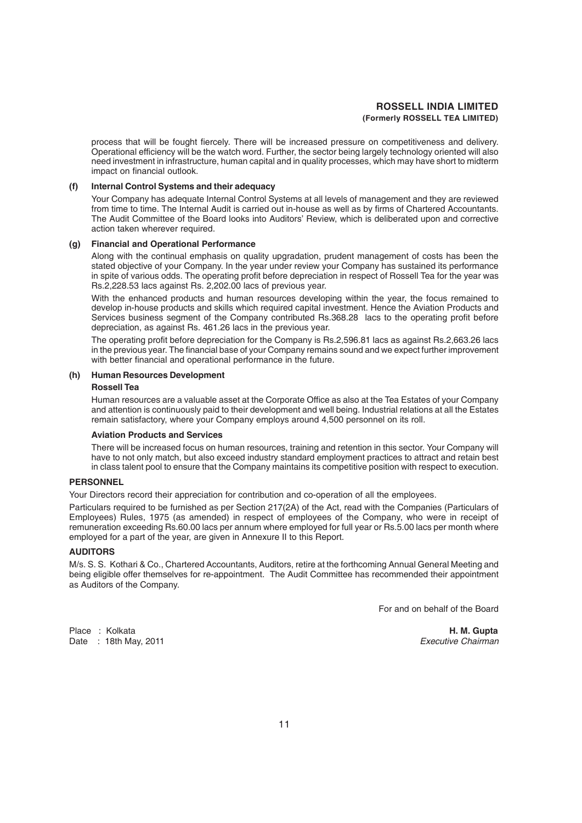process that will be fought fiercely. There will be increased pressure on competitiveness and delivery. Operational efficiency will be the watch word. Further, the sector being largely technology oriented will also need investment in infrastructure, human capital and in quality processes, which may have short to midterm impact on financial outlook.

#### **(f) Internal Control Systems and their adequacy**

Your Company has adequate Internal Control Systems at all levels of management and they are reviewed from time to time. The Internal Audit is carried out in-house as well as by firms of Chartered Accountants. The Audit Committee of the Board looks into Auditors' Review, which is deliberated upon and corrective action taken wherever required.

#### **(g) Financial and Operational Performance**

Along with the continual emphasis on quality upgradation, prudent management of costs has been the stated objective of your Company. In the year under review your Company has sustained its performance in spite of various odds. The operating profit before depreciation in respect of Rossell Tea for the year was Rs.2,228.53 lacs against Rs. 2,202.00 lacs of previous year.

With the enhanced products and human resources developing within the year, the focus remained to develop in-house products and skills which required capital investment. Hence the Aviation Products and Services business segment of the Company contributed Rs.368.28 lacs to the operating profit before depreciation, as against Rs. 461.26 lacs in the previous year.

The operating profit before depreciation for the Company is Rs.2,596.81 lacs as against Rs.2,663.26 lacs in the previous year. The financial base of your Company remains sound and we expect further improvement with better financial and operational performance in the future.

#### **(h) Human Resources Development**

#### **Rossell Tea**

Human resources are a valuable asset at the Corporate Office as also at the Tea Estates of your Company and attention is continuously paid to their development and well being. Industrial relations at all the Estates remain satisfactory, where your Company employs around 4,500 personnel on its roll.

#### **Aviation Products and Services**

There will be increased focus on human resources, training and retention in this sector. Your Company will have to not only match, but also exceed industry standard employment practices to attract and retain best in class talent pool to ensure that the Company maintains its competitive position with respect to execution.

#### **PERSONNEL**

Your Directors record their appreciation for contribution and co-operation of all the employees.

Particulars required to be furnished as per Section 217(2A) of the Act, read with the Companies (Particulars of Employees) Rules, 1975 (as amended) in respect of employees of the Company, who were in receipt of remuneration exceeding Rs.60.00 lacs per annum where employed for full year or Rs.5.00 lacs per month where employed for a part of the year, are given in Annexure II to this Report.

#### **AUDITORS**

M/s. S. S. Kothari & Co., Chartered Accountants, Auditors, retire at the forthcoming Annual General Meeting and being eligible offer themselves for re-appointment. The Audit Committee has recommended their appointment as Auditors of the Company.

For and on behalf of the Board

Date : 18th May, 2011 *Executive Chairman*

Place : Kolkata **H. M. Gupta**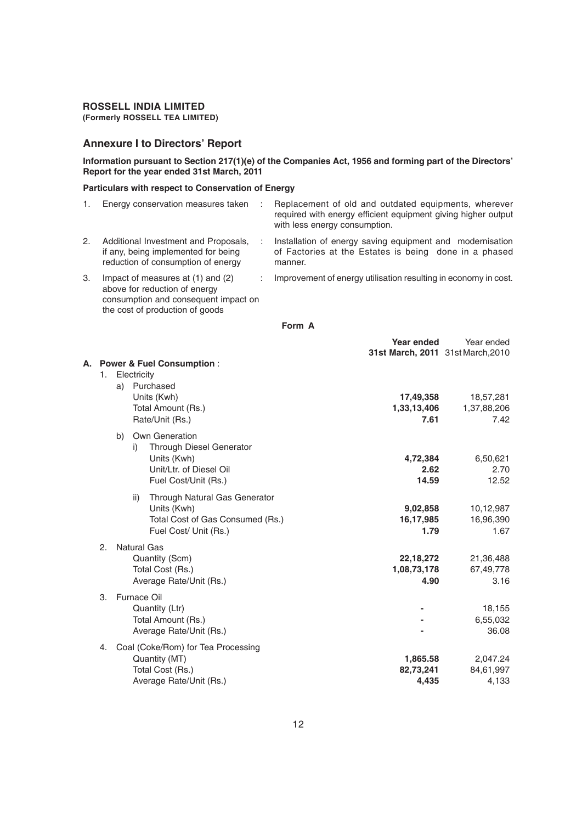## **ROSSELL INDIA LIMITED**

**(Formerly ROSSELL TEA LIMITED)**

#### **Annexure I to Directors' Report**

**Information pursuant to Section 217(1)(e) of the Companies Act, 1956 and forming part of the Directors' Report for the year ended 31st March, 2011**

#### **Particulars with respect to Conservation of Energy**

|    | Energy conservation measures taken                                                                                                            | Replacement of old and outdated equipments, wherever<br>required with energy efficient equipment giving higher output<br>with less energy consumption. |
|----|-----------------------------------------------------------------------------------------------------------------------------------------------|--------------------------------------------------------------------------------------------------------------------------------------------------------|
| 2. | Additional Investment and Proposals,<br>if any, being implemented for being<br>reduction of consumption of energy                             | Installation of energy saving equipment and modernisation<br>of Factories at the Estates is being done in a phased<br>manner.                          |
| 3. | Impact of measures at (1) and (2)<br>above for reduction of energy<br>consumption and consequent impact on<br>the cost of production of goods | Improvement of energy utilisation resulting in economy in cost.                                                                                        |

| ł |  |
|---|--|
|---|--|

| А. | 1.             |    | Electricity | <b>Power &amp; Fuel Consumption:</b>                                                                                | Year ended<br>31st March, 2011 31st March, 2010 | Year ended                       |
|----|----------------|----|-------------|---------------------------------------------------------------------------------------------------------------------|-------------------------------------------------|----------------------------------|
|    |                | a) |             | Purchased<br>Units (Kwh)<br>Total Amount (Rs.)<br>Rate/Unit (Rs.)                                                   | 17,49,358<br>1,33,13,406<br>7.61                | 18,57,281<br>1,37,88,206<br>7.42 |
|    |                | b) | i)          | Own Generation<br><b>Through Diesel Generator</b><br>Units (Kwh)<br>Unit/Ltr. of Diesel Oil<br>Fuel Cost/Unit (Rs.) | 4,72,384<br>2.62<br>14.59                       | 6,50,621<br>2.70<br>12.52        |
|    |                |    | ii)         | Through Natural Gas Generator<br>Units (Kwh)<br>Total Cost of Gas Consumed (Rs.)<br>Fuel Cost/ Unit (Rs.)           | 9,02,858<br>16,17,985<br>1.79                   | 10,12,987<br>16,96,390<br>1.67   |
|    | 2.             |    |             | <b>Natural Gas</b><br>Quantity (Scm)<br>Total Cost (Rs.)<br>Average Rate/Unit (Rs.)                                 | 22,18,272<br>1,08,73,178<br>4.90                | 21,36,488<br>67,49,778<br>3.16   |
|    | 3 <sub>1</sub> |    |             | Furnace Oil<br>Quantity (Ltr)<br>Total Amount (Rs.)<br>Average Rate/Unit (Rs.)                                      |                                                 | 18,155<br>6,55,032<br>36.08      |
|    | 4.             |    |             | Coal (Coke/Rom) for Tea Processing<br>Quantity (MT)<br>Total Cost (Rs.)<br>Average Rate/Unit (Rs.)                  | 1,865.58<br>82,73,241<br>4,435                  | 2,047.24<br>84,61,997<br>4,133   |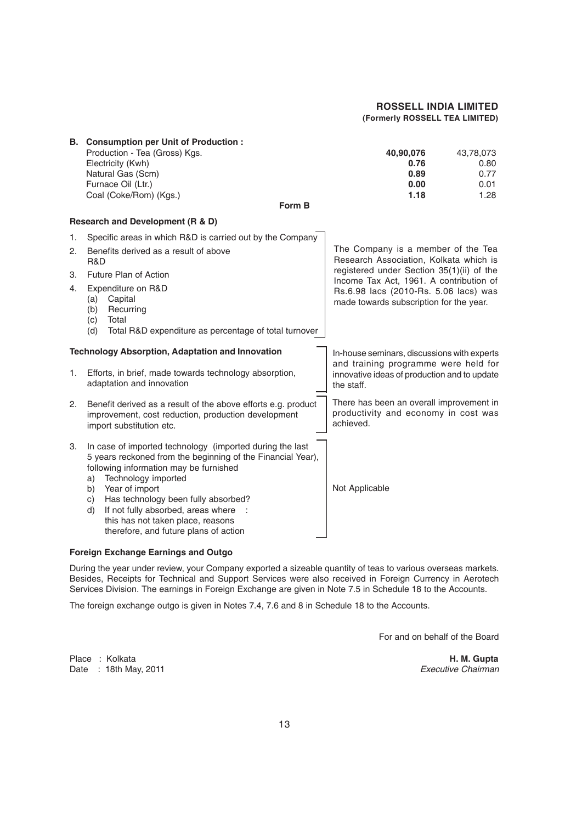|                      | B. Consumption per Unit of Production:<br>Production - Tea (Gross) Kgs.<br>Electricity (Kwh)<br>Natural Gas (Scm)<br>Furnace Oil (Ltr.)<br>Coal (Coke/Rom) (Kgs.)<br>Form B                                                                                                                                                                                                                   | 40,90,076<br>43,78,073<br>0.76<br>0.80<br>0.89<br>0.77<br>0.00<br>0.01<br>1.28<br>1.18                                                                                                                                                                   |  |
|----------------------|-----------------------------------------------------------------------------------------------------------------------------------------------------------------------------------------------------------------------------------------------------------------------------------------------------------------------------------------------------------------------------------------------|----------------------------------------------------------------------------------------------------------------------------------------------------------------------------------------------------------------------------------------------------------|--|
|                      | Research and Development (R & D)                                                                                                                                                                                                                                                                                                                                                              |                                                                                                                                                                                                                                                          |  |
| 1.<br>2.<br>З.<br>4. | Specific areas in which R&D is carried out by the Company<br>Benefits derived as a result of above<br>R&D<br>Future Plan of Action<br>Expenditure on R&D<br>Capital<br>(a)<br>Recurring<br>(b)<br>Total<br>(c)<br>Total R&D expenditure as percentage of total turnover<br>(d)                                                                                                                | The Company is a member of the Tea<br>Research Association, Kolkata which is<br>registered under Section 35(1)(ii) of the<br>Income Tax Act, 1961. A contribution of<br>Rs.6.98 lacs (2010-Rs. 5.06 lacs) was<br>made towards subscription for the year. |  |
| 1.                   | <b>Technology Absorption, Adaptation and Innovation</b><br>Efforts, in brief, made towards technology absorption,<br>adaptation and innovation                                                                                                                                                                                                                                                | In-house seminars, discussions with experts<br>and training programme were held for<br>innovative ideas of production and to update<br>the staff.                                                                                                        |  |
| 2.                   | Benefit derived as a result of the above efforts e.g. product<br>improvement, cost reduction, production development<br>import substitution etc.                                                                                                                                                                                                                                              | There has been an overall improvement in<br>productivity and economy in cost was<br>achieved.                                                                                                                                                            |  |
| 3.                   | In case of imported technology (imported during the last<br>5 years reckoned from the beginning of the Financial Year),<br>following information may be furnished<br>Technology imported<br>a)<br>b)<br>Year of import<br>Has technology been fully absorbed?<br>c)<br>If not fully absorbed, areas where<br>d)<br>this has not taken place, reasons<br>therefore, and future plans of action | Not Applicable                                                                                                                                                                                                                                           |  |

#### **Foreign Exchange Earnings and Outgo**

During the year under review, your Company exported a sizeable quantity of teas to various overseas markets. Besides, Receipts for Technical and Support Services were also received in Foreign Currency in Aerotech Services Division. The earnings in Foreign Exchange are given in Note 7.5 in Schedule 18 to the Accounts.

The foreign exchange outgo is given in Notes 7.4, 7.6 and 8 in Schedule 18 to the Accounts.

For and on behalf of the Board

Place : Kolkata **H. M. Gupta** Date : 18th May, 2011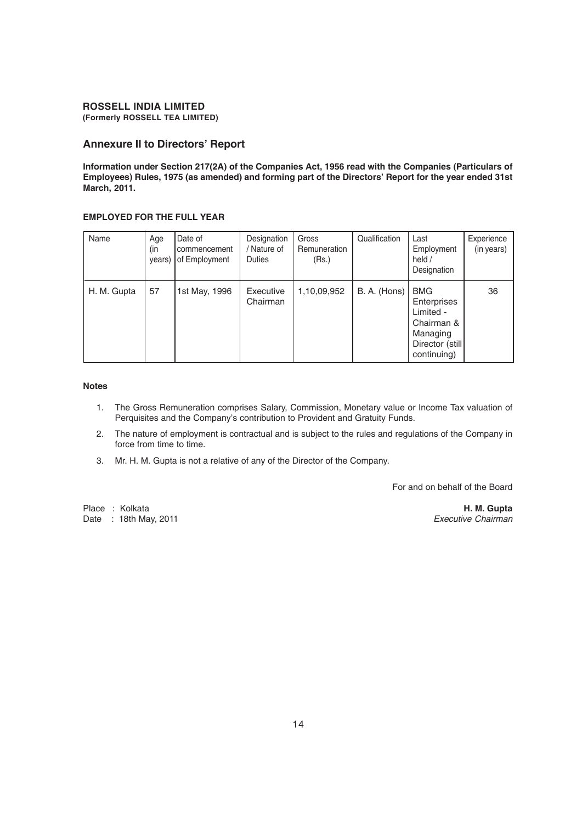#### **Annexure II to Directors' Report**

**Information under Section 217(2A) of the Companies Act, 1956 read with the Companies (Particulars of Employees) Rules, 1975 (as amended) and forming part of the Directors' Report for the year ended 31st March, 2011.**

#### **EMPLOYED FOR THE FULL YEAR**

| Name        | Age<br>(in<br>years) | Date of<br>commencement<br>of Employment | Designation<br>/ Nature of<br><b>Duties</b> | Gross<br>Remuneration<br>(Rs.) | Qualification | Last<br>Employment<br>held /<br>Designation                                                         | Experience<br>(in years) |
|-------------|----------------------|------------------------------------------|---------------------------------------------|--------------------------------|---------------|-----------------------------------------------------------------------------------------------------|--------------------------|
| H. M. Gupta | 57                   | 1st May, 1996                            | Executive<br>Chairman                       | 1,10,09,952                    | B. A. (Hons)  | <b>BMG</b><br>Enterprises<br>Limited -<br>Chairman &<br>Managing<br>Director (still)<br>continuing) | 36                       |

#### **Notes**

- 1. The Gross Remuneration comprises Salary, Commission, Monetary value or Income Tax valuation of Perquisites and the Company's contribution to Provident and Gratuity Funds.
- 2. The nature of employment is contractual and is subject to the rules and regulations of the Company in force from time to time.
- 3. Mr. H. M. Gupta is not a relative of any of the Director of the Company.

For and on behalf of the Board

Place : Kolkata **H. M. Gupta** Date : 18th May, 2011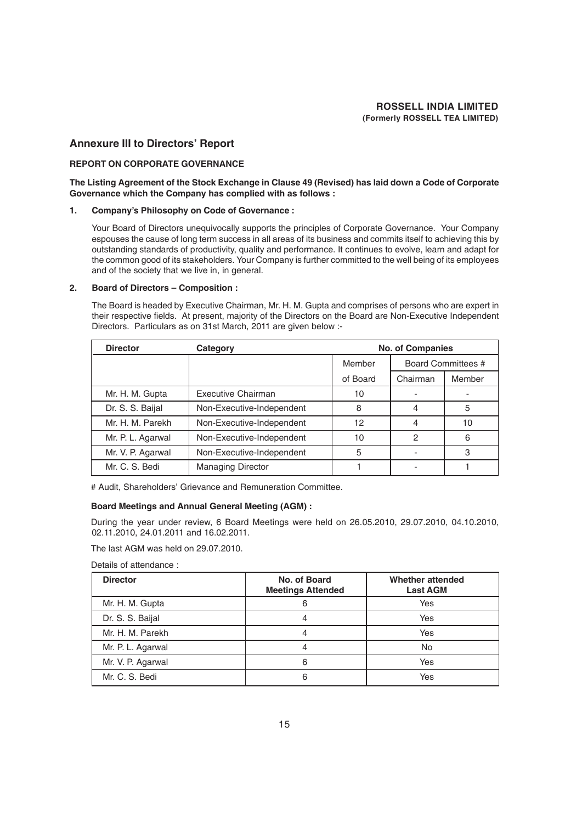#### **Annexure III to Directors' Report**

#### **REPORT ON CORPORATE GOVERNANCE**

#### **The Listing Agreement of the Stock Exchange in Clause 49 (Revised) has laid down a Code of Corporate Governance which the Company has complied with as follows :**

#### **1. Company's Philosophy on Code of Governance :**

Your Board of Directors unequivocally supports the principles of Corporate Governance. Your Company espouses the cause of long term success in all areas of its business and commits itself to achieving this by outstanding standards of productivity, quality and performance. It continues to evolve, learn and adapt for the common good of its stakeholders. Your Company is further committed to the well being of its employees and of the society that we live in, in general.

#### **2. Board of Directors – Composition :**

The Board is headed by Executive Chairman, Mr. H. M. Gupta and comprises of persons who are expert in their respective fields. At present, majority of the Directors on the Board are Non-Executive Independent Directors. Particulars as on 31st March, 2011 are given below :-

| <b>Director</b><br>Category |                           | <b>No. of Companies</b> |                           |        |
|-----------------------------|---------------------------|-------------------------|---------------------------|--------|
|                             |                           | Member                  | <b>Board Committees #</b> |        |
|                             |                           | of Board                | Chairman                  | Member |
| Mr. H. M. Gupta             | Executive Chairman        | 10                      |                           |        |
| Dr. S. S. Baijal            | Non-Executive-Independent | 8                       | 4                         | 5      |
| Mr. H. M. Parekh            | Non-Executive-Independent | 12                      |                           | 10     |
| Mr. P. L. Agarwal           | Non-Executive-Independent | 10                      | 2                         | 6      |
| Mr. V. P. Agarwal           | Non-Executive-Independent | 5                       |                           | 3      |
| Mr. C. S. Bedi              | <b>Managing Director</b>  |                         |                           |        |

# Audit, Shareholders' Grievance and Remuneration Committee.

#### **Board Meetings and Annual General Meeting (AGM) :**

During the year under review, 6 Board Meetings were held on 26.05.2010, 29.07.2010, 04.10.2010, 02.11.2010, 24.01.2011 and 16.02.2011.

The last AGM was held on 29.07.2010.

Details of attendance :

| <b>Director</b>   | No. of Board<br><b>Meetings Attended</b> | Whether attended<br><b>Last AGM</b> |
|-------------------|------------------------------------------|-------------------------------------|
| Mr. H. M. Gupta   |                                          | Yes                                 |
| Dr. S. S. Baijal  |                                          | Yes                                 |
| Mr. H. M. Parekh  |                                          | Yes                                 |
| Mr. P. L. Agarwal |                                          | No                                  |
| Mr. V. P. Agarwal |                                          | Yes                                 |
| Mr. C. S. Bedi    |                                          | Yes                                 |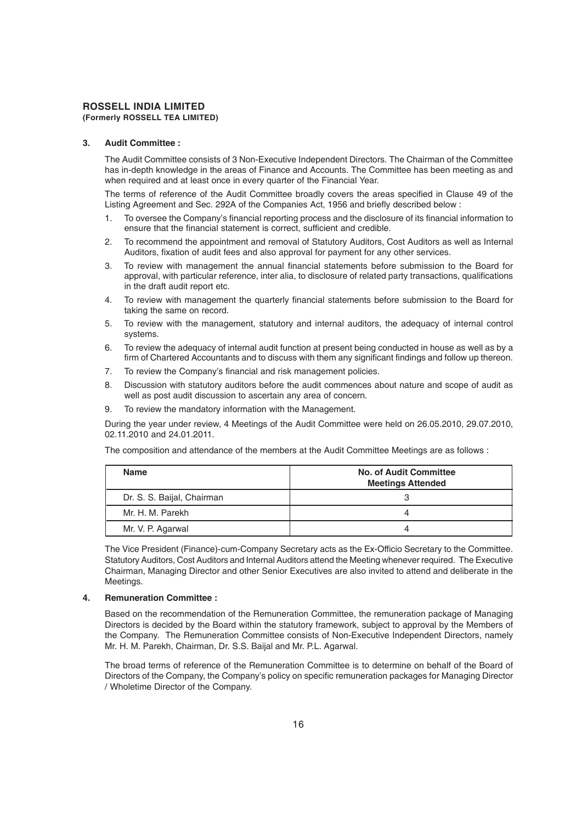## **3. Audit Committee :**

The Audit Committee consists of 3 Non-Executive Independent Directors. The Chairman of the Committee has in-depth knowledge in the areas of Finance and Accounts. The Committee has been meeting as and when required and at least once in every quarter of the Financial Year.

The terms of reference of the Audit Committee broadly covers the areas specified in Clause 49 of the Listing Agreement and Sec. 292A of the Companies Act, 1956 and briefly described below :

- 1. To oversee the Company's financial reporting process and the disclosure of its financial information to ensure that the financial statement is correct, sufficient and credible.
- 2. To recommend the appointment and removal of Statutory Auditors, Cost Auditors as well as Internal Auditors, fixation of audit fees and also approval for payment for any other services.
- 3. To review with management the annual financial statements before submission to the Board for approval, with particular reference, inter alia, to disclosure of related party transactions, qualifications in the draft audit report etc.
- 4. To review with management the quarterly financial statements before submission to the Board for taking the same on record.
- 5. To review with the management, statutory and internal auditors, the adequacy of internal control systems.
- 6. To review the adequacy of internal audit function at present being conducted in house as well as by a firm of Chartered Accountants and to discuss with them any significant findings and follow up thereon.
- 7. To review the Company's financial and risk management policies.
- 8. Discussion with statutory auditors before the audit commences about nature and scope of audit as well as post audit discussion to ascertain any area of concern.
- 9. To review the mandatory information with the Management.

During the year under review, 4 Meetings of the Audit Committee were held on 26.05.2010, 29.07.2010, 02.11.2010 and 24.01.2011.

The composition and attendance of the members at the Audit Committee Meetings are as follows :

| <b>Name</b>                | <b>No. of Audit Committee</b><br><b>Meetings Attended</b> |
|----------------------------|-----------------------------------------------------------|
| Dr. S. S. Baijal, Chairman |                                                           |
| Mr. H. M. Parekh           |                                                           |
| Mr. V. P. Agarwal          |                                                           |

The Vice President (Finance)-cum-Company Secretary acts as the Ex-Officio Secretary to the Committee. Statutory Auditors, Cost Auditors and Internal Auditors attend the Meeting whenever required. The Executive Chairman, Managing Director and other Senior Executives are also invited to attend and deliberate in the Meetings.

#### **4. Remuneration Committee :**

Based on the recommendation of the Remuneration Committee, the remuneration package of Managing Directors is decided by the Board within the statutory framework, subject to approval by the Members of the Company. The Remuneration Committee consists of Non-Executive Independent Directors, namely Mr. H. M. Parekh, Chairman, Dr. S.S. Baijal and Mr. P.L. Agarwal.

The broad terms of reference of the Remuneration Committee is to determine on behalf of the Board of Directors of the Company, the Company's policy on specific remuneration packages for Managing Director / Wholetime Director of the Company.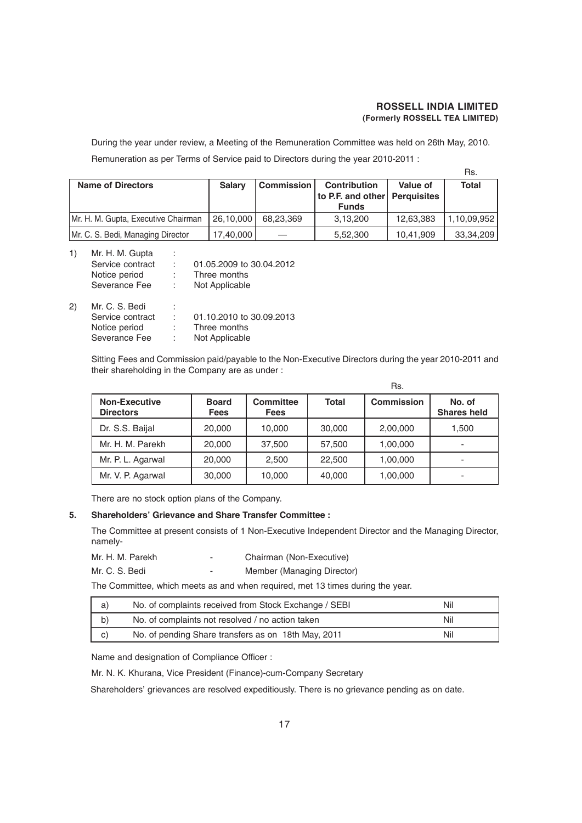$R<sub>1</sub>$ 

During the year under review, a Meeting of the Remuneration Committee was held on 26th May, 2010. Remuneration as per Terms of Service paid to Directors during the year 2010-2011 :

|                                     |                                    |           |                                                      |           | ns.          |
|-------------------------------------|------------------------------------|-----------|------------------------------------------------------|-----------|--------------|
| <b>Name of Directors</b>            | <b>Commission</b><br><b>Salary</b> |           | <b>Contribution</b><br>to P.F. and other Perquisites | Value of  | <b>Total</b> |
|                                     |                                    |           | <b>Funds</b>                                         |           |              |
| Mr. H. M. Gupta, Executive Chairman | 26,10,000                          | 68.23.369 | 3,13,200                                             | 12,63,383 | 1,10,09,952  |
| Mr. C. S. Bedi, Managing Director   | 17,40,000                          |           | 5,52,300                                             | 10,41,909 | 33,34,209    |

| 1)     | Mr. H. M. Gupta                                                                  | ÷ |                          |
|--------|----------------------------------------------------------------------------------|---|--------------------------|
|        | Service contract                                                                 |   | 01.05.2009 to 30.04.2012 |
|        | Notice period                                                                    |   | Three months             |
|        | Severance Fee                                                                    |   | Not Applicable           |
| $\sim$ | $\mathbf{M} \cdot \mathbf{A} \cdot \mathbf{A} \cdot \mathbf{B} \cdot \mathbf{B}$ |   |                          |

| 2) | Mr. C. S. Bedi   | ٠<br>ä. |                          |
|----|------------------|---------|--------------------------|
|    | Service contract |         | 01.10.2010 to 30.09.2013 |
|    | Notice period    |         | Three months             |
|    | Severance Fee    |         | Not Applicable           |
|    |                  |         |                          |

Sitting Fees and Commission paid/payable to the Non-Executive Directors during the year 2010-2011 and their shareholding in the Company are as under :

|                                          |                             |                          |              | Rs.               |                              |
|------------------------------------------|-----------------------------|--------------------------|--------------|-------------------|------------------------------|
| <b>Non-Executive</b><br><b>Directors</b> | <b>Board</b><br><b>Fees</b> | Committee<br><b>Fees</b> | <b>Total</b> | <b>Commission</b> | No. of<br><b>Shares held</b> |
| Dr. S.S. Baijal                          | 20,000                      | 10,000                   | 30,000       | 2,00,000          | 1,500                        |
| Mr. H. M. Parekh                         | 20,000                      | 37.500                   | 57.500       | 1,00,000          | -                            |
| Mr. P. L. Agarwal                        | 20,000                      | 2.500                    | 22,500       | 1,00,000          |                              |
| Mr. V. P. Agarwal                        | 30,000                      | 10,000                   | 40,000       | 1,00,000          |                              |

There are no stock option plans of the Company.

#### **5. Shareholders' Grievance and Share Transfer Committee :**

The Committee at present consists of 1 Non-Executive Independent Director and the Managing Director, namely-

| Mr. H. M. Parekh | - | Chairman (Non-Executive)   |
|------------------|---|----------------------------|
| Mr. C. S. Bedi   | - | Member (Managing Director) |

The Committee, which meets as and when required, met 13 times during the year.

| a) | No. of complaints received from Stock Exchange / SEBI | Nil |
|----|-------------------------------------------------------|-----|
| b) | No. of complaints not resolved / no action taken      | Nil |
| C) | No. of pending Share transfers as on 18th May, 2011   | Nil |

Name and designation of Compliance Officer :

Mr. N. K. Khurana, Vice President (Finance)-cum-Company Secretary

Shareholders' grievances are resolved expeditiously. There is no grievance pending as on date.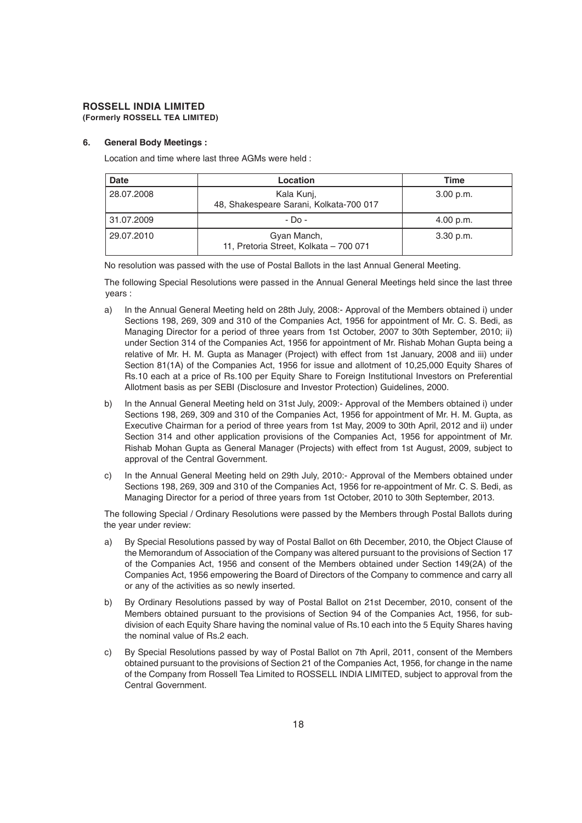#### **6. General Body Meetings :**

Location and time where last three AGMs were held :

| Date       | Location                                              | Time        |
|------------|-------------------------------------------------------|-------------|
| 28.07.2008 | Kala Kunj,<br>48, Shakespeare Sarani, Kolkata-700 017 | 3.00 p.m.   |
| 31.07.2009 | $-D0$ -                                               | 4.00 p.m.   |
| 29.07.2010 | Gyan Manch,<br>11, Pretoria Street, Kolkata - 700 071 | $3.30$ p.m. |

No resolution was passed with the use of Postal Ballots in the last Annual General Meeting.

The following Special Resolutions were passed in the Annual General Meetings held since the last three years :

- a) In the Annual General Meeting held on 28th July, 2008:- Approval of the Members obtained i) under Sections 198, 269, 309 and 310 of the Companies Act, 1956 for appointment of Mr. C. S. Bedi, as Managing Director for a period of three years from 1st October, 2007 to 30th September, 2010; ii) under Section 314 of the Companies Act, 1956 for appointment of Mr. Rishab Mohan Gupta being a relative of Mr. H. M. Gupta as Manager (Project) with effect from 1st January, 2008 and iii) under Section 81(1A) of the Companies Act, 1956 for issue and allotment of 10,25,000 Equity Shares of Rs.10 each at a price of Rs.100 per Equity Share to Foreign Institutional Investors on Preferential Allotment basis as per SEBI (Disclosure and Investor Protection) Guidelines, 2000.
- b) In the Annual General Meeting held on 31st July, 2009:- Approval of the Members obtained i) under Sections 198, 269, 309 and 310 of the Companies Act, 1956 for appointment of Mr. H. M. Gupta, as Executive Chairman for a period of three years from 1st May, 2009 to 30th April, 2012 and ii) under Section 314 and other application provisions of the Companies Act, 1956 for appointment of Mr. Rishab Mohan Gupta as General Manager (Projects) with effect from 1st August, 2009, subject to approval of the Central Government.
- c) In the Annual General Meeting held on 29th July, 2010:- Approval of the Members obtained under Sections 198, 269, 309 and 310 of the Companies Act, 1956 for re-appointment of Mr. C. S. Bedi, as Managing Director for a period of three years from 1st October, 2010 to 30th September, 2013.

The following Special / Ordinary Resolutions were passed by the Members through Postal Ballots during the year under review:

- a) By Special Resolutions passed by way of Postal Ballot on 6th December, 2010, the Object Clause of the Memorandum of Association of the Company was altered pursuant to the provisions of Section 17 of the Companies Act, 1956 and consent of the Members obtained under Section 149(2A) of the Companies Act, 1956 empowering the Board of Directors of the Company to commence and carry all or any of the activities as so newly inserted.
- b) By Ordinary Resolutions passed by way of Postal Ballot on 21st December, 2010, consent of the Members obtained pursuant to the provisions of Section 94 of the Companies Act, 1956, for subdivision of each Equity Share having the nominal value of Rs.10 each into the 5 Equity Shares having the nominal value of Rs.2 each.
- c) By Special Resolutions passed by way of Postal Ballot on 7th April, 2011, consent of the Members obtained pursuant to the provisions of Section 21 of the Companies Act, 1956, for change in the name of the Company from Rossell Tea Limited to ROSSELL INDIA LIMITED, subject to approval from the Central Government.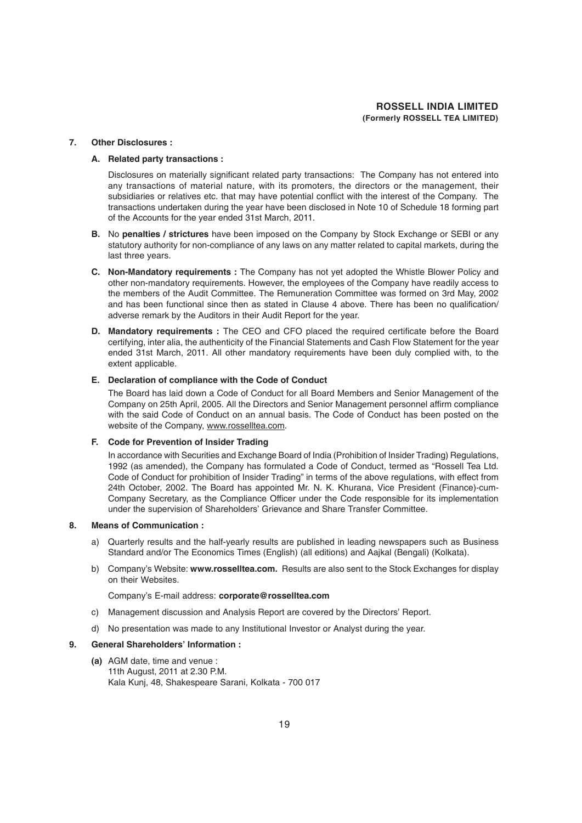#### **7. Other Disclosures :**

#### **A. Related party transactions :**

Disclosures on materially significant related party transactions: The Company has not entered into any transactions of material nature, with its promoters, the directors or the management, their subsidiaries or relatives etc. that may have potential conflict with the interest of the Company. The transactions undertaken during the year have been disclosed in Note 10 of Schedule 18 forming part of the Accounts for the year ended 31st March, 2011.

- **B.** No **penalties / strictures** have been imposed on the Company by Stock Exchange or SEBI or any statutory authority for non-compliance of any laws on any matter related to capital markets, during the last three years.
- **C. Non-Mandatory requirements :** The Company has not yet adopted the Whistle Blower Policy and other non-mandatory requirements. However, the employees of the Company have readily access to the members of the Audit Committee. The Remuneration Committee was formed on 3rd May, 2002 and has been functional since then as stated in Clause 4 above. There has been no qualification/ adverse remark by the Auditors in their Audit Report for the year.
- **D. Mandatory requirements :** The CEO and CFO placed the required certificate before the Board certifying, inter alia, the authenticity of the Financial Statements and Cash Flow Statement for the year ended 31st March, 2011. All other mandatory requirements have been duly complied with, to the extent applicable.

#### **E. Declaration of compliance with the Code of Conduct**

The Board has laid down a Code of Conduct for all Board Members and Senior Management of the Company on 25th April, 2005. All the Directors and Senior Management personnel affirm compliance with the said Code of Conduct on an annual basis. The Code of Conduct has been posted on the website of the Company, www.rosselltea.com.

#### **F. Code for Prevention of Insider Trading**

In accordance with Securities and Exchange Board of India (Prohibition of Insider Trading) Regulations, 1992 (as amended), the Company has formulated a Code of Conduct, termed as "Rossell Tea Ltd. Code of Conduct for prohibition of Insider Trading" in terms of the above regulations, with effect from 24th October, 2002. The Board has appointed Mr. N. K. Khurana, Vice President (Finance)-cum-Company Secretary, as the Compliance Officer under the Code responsible for its implementation under the supervision of Shareholders' Grievance and Share Transfer Committee.

#### **8. Means of Communication :**

- a) Quarterly results and the half-yearly results are published in leading newspapers such as Business Standard and/or The Economics Times (English) (all editions) and Aajkal (Bengali) (Kolkata).
- b) Company's Website: **www.rosselltea.com.** Results are also sent to the Stock Exchanges for display on their Websites.

#### Company's E-mail address: **corporate@rosselltea.com**

- c) Management discussion and Analysis Report are covered by the Directors' Report.
- d) No presentation was made to any Institutional Investor or Analyst during the year.

#### **9. General Shareholders' Information :**

**(a)** AGM date, time and venue : 11th August, 2011 at 2.30 P.M. Kala Kunj, 48, Shakespeare Sarani, Kolkata - 700 017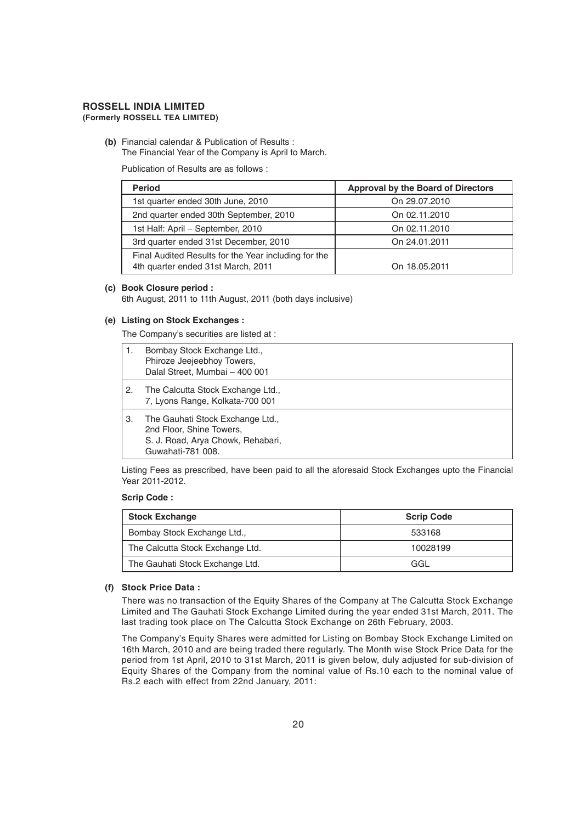**(b)** Financial calendar & Publication of Results : The Financial Year of the Company is April to March.

Publication of Results are as follows :

| <b>Period</b>                                                                              | <b>Approval by the Board of Directors</b> |
|--------------------------------------------------------------------------------------------|-------------------------------------------|
| 1st quarter ended 30th June, 2010                                                          | On 29.07.2010                             |
| 2nd quarter ended 30th September, 2010                                                     | On 02.11.2010                             |
| 1st Half: April - September, 2010                                                          | On 02.11.2010                             |
| 3rd quarter ended 31st December, 2010                                                      | On 24.01.2011                             |
| Final Audited Results for the Year including for the<br>4th quarter ended 31st March, 2011 | On 18.05.2011                             |

#### **(c) Book Closure period :**

6th August, 2011 to 11th August, 2011 (both days inclusive)

#### **(e) Listing on Stock Exchanges :**

The Company's securities are listed at :

| 1. | Bombay Stock Exchange Ltd.,<br>Phiroze Jeejeebhoy Towers,<br>Dalal Street, Mumbai - 400 001                            |
|----|------------------------------------------------------------------------------------------------------------------------|
| 2. | The Calcutta Stock Exchange Ltd.,<br>7, Lyons Range, Kolkata-700 001                                                   |
| З. | The Gauhati Stock Exchange Ltd.,<br>2nd Floor, Shine Towers,<br>S. J. Road, Arya Chowk, Rehabari,<br>Guwahati-781 008. |

Listing Fees as prescribed, have been paid to all the aforesaid Stock Exchanges upto the Financial Year 2011-2012.

#### **Scrip Code :**

| <b>Stock Exchange</b>            | <b>Scrip Code</b> |
|----------------------------------|-------------------|
| Bombay Stock Exchange Ltd.,      | 533168            |
| The Calcutta Stock Exchange Ltd. | 10028199          |
| The Gauhati Stock Exchange Ltd.  | GGL               |

#### **(f) Stock Price Data :**

There was no transaction of the Equity Shares of the Company at The Calcutta Stock Exchange Limited and The Gauhati Stock Exchange Limited during the year ended 31st March, 2011. The last trading took place on The Calcutta Stock Exchange on 26th February, 2003.

The Company's Equity Shares were admitted for Listing on Bombay Stock Exchange Limited on 16th March, 2010 and are being traded there regularly. The Month wise Stock Price Data for the period from 1st April, 2010 to 31st March, 2011 is given below, duly adjusted for sub-division of Equity Shares of the Company from the nominal value of Rs.10 each to the nominal value of Rs.2 each with effect from 22nd January, 2011: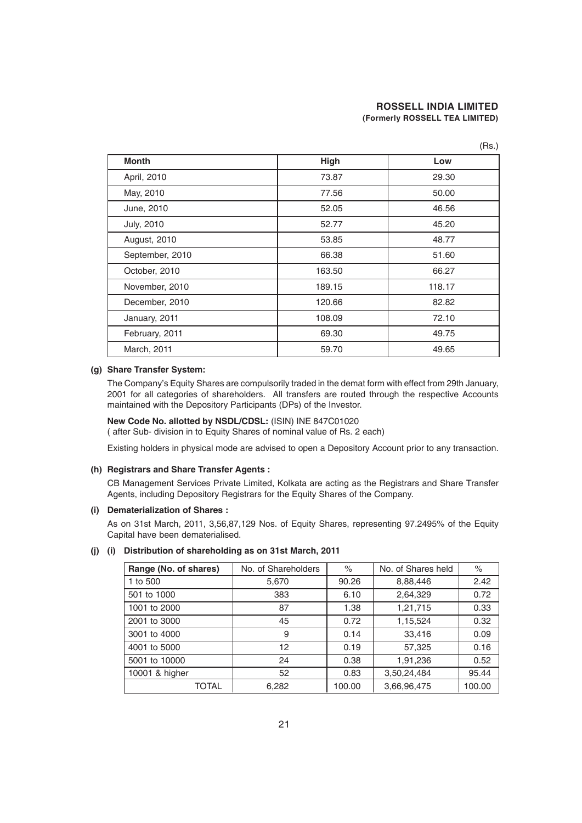| <b>Month</b>      | High   | Low    |
|-------------------|--------|--------|
| April, 2010       | 73.87  | 29.30  |
| May, 2010         | 77.56  | 50.00  |
| June, 2010        | 52.05  | 46.56  |
| <b>July, 2010</b> | 52.77  | 45.20  |
| August, 2010      | 53.85  | 48.77  |
| September, 2010   | 66.38  | 51.60  |
| October, 2010     | 163.50 | 66.27  |
| November, 2010    | 189.15 | 118.17 |
| December, 2010    | 120.66 | 82.82  |
| January, 2011     | 108.09 | 72.10  |
| February, 2011    | 69.30  | 49.75  |
| March, 2011       | 59.70  | 49.65  |

#### **(g) Share Transfer System:**

The Company's Equity Shares are compulsorily traded in the demat form with effect from 29th January, 2001 for all categories of shareholders. All transfers are routed through the respective Accounts maintained with the Depository Participants (DPs) of the Investor.

# **New Code No. allotted by NSDL/CDSL:** (ISIN) INE 847C01020

( after Sub- division in to Equity Shares of nominal value of Rs. 2 each)

Existing holders in physical mode are advised to open a Depository Account prior to any transaction.

#### **(h) Registrars and Share Transfer Agents :**

CB Management Services Private Limited, Kolkata are acting as the Registrars and Share Transfer Agents, including Depository Registrars for the Equity Shares of the Company.

#### **(i) Dematerialization of Shares :**

As on 31st March, 2011, 3,56,87,129 Nos. of Equity Shares, representing 97.2495% of the Equity Capital have been dematerialised.

#### **(j) (i) Distribution of shareholding as on 31st March, 2011**

| Range (No. of shares) | No. of Shareholders | $\%$   | No. of Shares held | $\%$   |
|-----------------------|---------------------|--------|--------------------|--------|
| 1 to 500              | 5,670               | 90.26  | 8,88,446           | 2.42   |
| 501 to 1000           | 383                 | 6.10   | 2,64,329           | 0.72   |
| 1001 to 2000          | 87                  | 1.38   | 1,21,715           | 0.33   |
| 2001 to 3000          | 45                  | 0.72   | 1,15,524           | 0.32   |
| 3001 to 4000          | 9                   | 0.14   | 33,416             | 0.09   |
| 4001 to 5000          | 12                  | 0.19   | 57,325             | 0.16   |
| 5001 to 10000         | 24                  | 0.38   | 1,91,236           | 0.52   |
| 10001 & higher        | 52                  | 0.83   | 3,50,24,484        | 95.44  |
| TOTAL                 | 6,282               | 100.00 | 3,66,96,475        | 100.00 |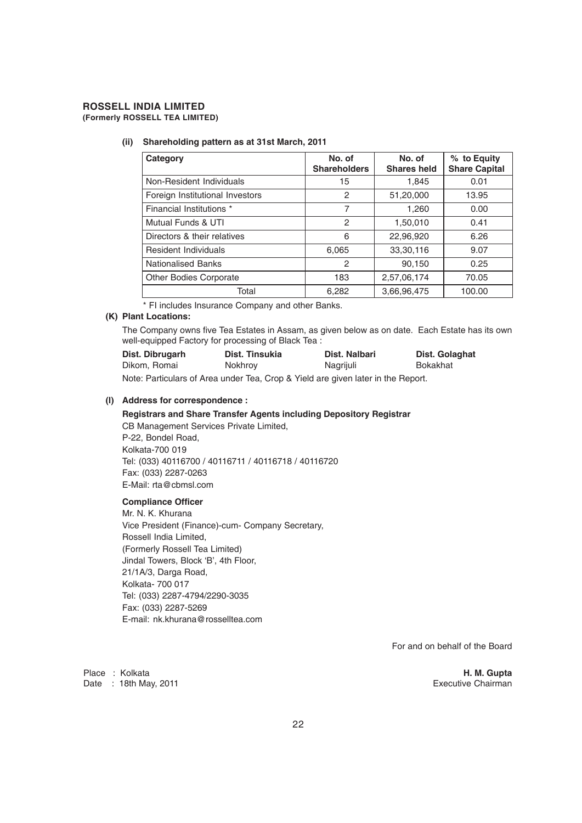# **ROSSELL INDIA LIMITED**

**(Formerly ROSSELL TEA LIMITED)**

#### **(ii) Shareholding pattern as at 31st March, 2011**

| Category                        | No. of<br><b>Shareholders</b> | No. of<br><b>Shares held</b> | % to Equity<br><b>Share Capital</b> |
|---------------------------------|-------------------------------|------------------------------|-------------------------------------|
| Non-Resident Individuals        | 15                            | 1,845                        | 0.01                                |
| Foreign Institutional Investors | 2                             | 51,20,000                    | 13.95                               |
| Financial Institutions *        | 7                             | 1,260                        | 0.00                                |
| Mutual Funds & UTI              | 2                             | 1,50,010                     | 0.41                                |
| Directors & their relatives     | 6                             | 22,96,920                    | 6.26                                |
| Resident Individuals            | 6,065                         | 33,30,116                    | 9.07                                |
| <b>Nationalised Banks</b>       | 2                             | 90.150                       | 0.25                                |
| <b>Other Bodies Corporate</b>   | 183                           | 2,57,06,174                  | 70.05                               |
| Total                           | 6,282                         | 3,66,96,475                  | 100.00                              |

\* FI includes Insurance Company and other Banks.

#### **(K) Plant Locations:**

The Company owns five Tea Estates in Assam, as given below as on date. Each Estate has its own well-equipped Factory for processing of Black Tea :

| Dist. Dibrugarh | Dist. Tinsukia | Dist. Nalbari | Dist. Golaghat |
|-----------------|----------------|---------------|----------------|
| Dikom, Romai    | Nokhroy        | Nagrijuli     | Bokakhat       |

Note: Particulars of Area under Tea, Crop & Yield are given later in the Report.

#### **(l) Address for correspondence :**

#### **Registrars and Share Transfer Agents including Depository Registrar**

CB Management Services Private Limited, P-22, Bondel Road, Kolkata-700 019 Tel: (033) 40116700 / 40116711 / 40116718 / 40116720 Fax: (033) 2287-0263 E-Mail: rta@cbmsl.com

#### **Compliance Officer**

Mr. N. K. Khurana Vice President (Finance)-cum- Company Secretary, Rossell India Limited, (Formerly Rossell Tea Limited) Jindal Towers, Block 'B', 4th Floor, 21/1A/3, Darga Road, Kolkata- 700 017 Tel: (033) 2287-4794/2290-3035 Fax: (033) 2287-5269 E-mail: nk.khurana@rosselltea.com

For and on behalf of the Board

Place : Kolkata **H. M. Gupta** Date : 18th May, 2011 **Executive Chairman**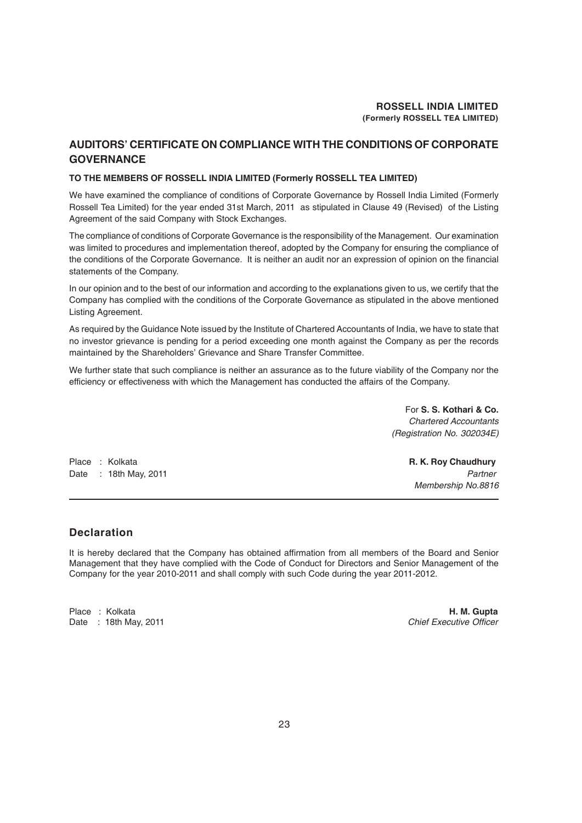#### **AUDITORS' CERTIFICATE ON COMPLIANCE WITH THE CONDITIONS OF CORPORATE GOVERNANCE**

#### **TO THE MEMBERS OF ROSSELL INDIA LIMITED (Formerly ROSSELL TEA LIMITED)**

We have examined the compliance of conditions of Corporate Governance by Rossell India Limited (Formerly Rossell Tea Limited) for the year ended 31st March, 2011 as stipulated in Clause 49 (Revised) of the Listing Agreement of the said Company with Stock Exchanges.

The compliance of conditions of Corporate Governance is the responsibility of the Management. Our examination was limited to procedures and implementation thereof, adopted by the Company for ensuring the compliance of the conditions of the Corporate Governance. It is neither an audit nor an expression of opinion on the financial statements of the Company.

In our opinion and to the best of our information and according to the explanations given to us, we certify that the Company has complied with the conditions of the Corporate Governance as stipulated in the above mentioned Listing Agreement.

As required by the Guidance Note issued by the Institute of Chartered Accountants of India, we have to state that no investor grievance is pending for a period exceeding one month against the Company as per the records maintained by the Shareholders' Grievance and Share Transfer Committee.

We further state that such compliance is neither an assurance as to the future viability of the Company nor the efficiency or effectiveness with which the Management has conducted the affairs of the Company.

> For **S. S. Kothari & Co.** *Chartered Accountants (Registration No. 302034E)*

Place : Kolkata **R. K. Roy Chaudhury** Date : 18th May, 2011 *Partner* 

*Membership No.8816*

#### **Declaration**

It is hereby declared that the Company has obtained affirmation from all members of the Board and Senior Management that they have complied with the Code of Conduct for Directors and Senior Management of the Company for the year 2010-2011 and shall comply with such Code during the year 2011-2012.

Date : 18th May, 2011 *Chief Executive Officer*

Place : Kolkata **H. M. Gupta**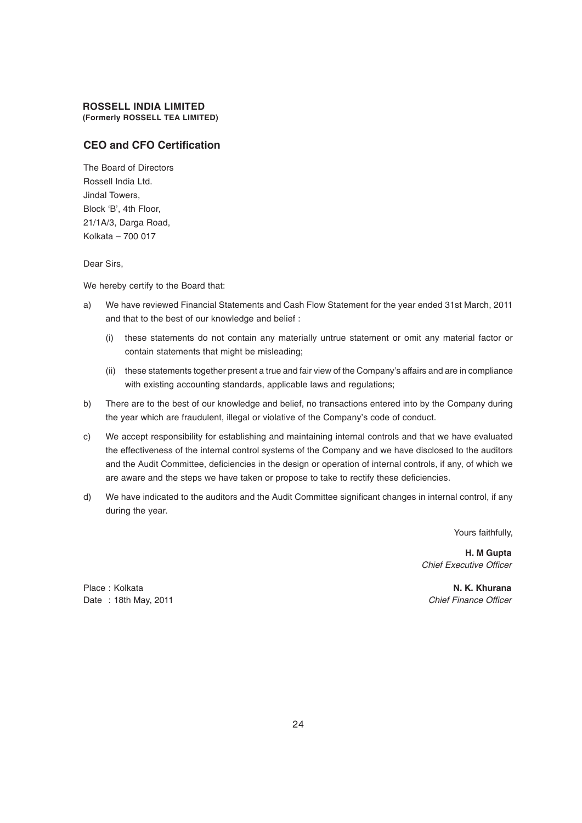#### **CEO and CFO Certification**

The Board of Directors Rossell India Ltd. Jindal Towers, Block 'B', 4th Floor, 21/1A/3, Darga Road, Kolkata – 700 017

Dear Sirs,

We hereby certify to the Board that:

- a) We have reviewed Financial Statements and Cash Flow Statement for the year ended 31st March, 2011 and that to the best of our knowledge and belief :
	- (i) these statements do not contain any materially untrue statement or omit any material factor or contain statements that might be misleading;
	- (ii) these statements together present a true and fair view of the Company's affairs and are in compliance with existing accounting standards, applicable laws and regulations;
- b) There are to the best of our knowledge and belief, no transactions entered into by the Company during the year which are fraudulent, illegal or violative of the Company's code of conduct.
- c) We accept responsibility for establishing and maintaining internal controls and that we have evaluated the effectiveness of the internal control systems of the Company and we have disclosed to the auditors and the Audit Committee, deficiencies in the design or operation of internal controls, if any, of which we are aware and the steps we have taken or propose to take to rectify these deficiencies.
- d) We have indicated to the auditors and the Audit Committee significant changes in internal control, if any during the year.

Yours faithfully,

**H. M Gupta** *Chief Executive Officer*

Place : Kolkata **N. K. Khurana N. K. Khurana N. K. Khurana** Date : 18th May, 2011 *Chief Finance Officer*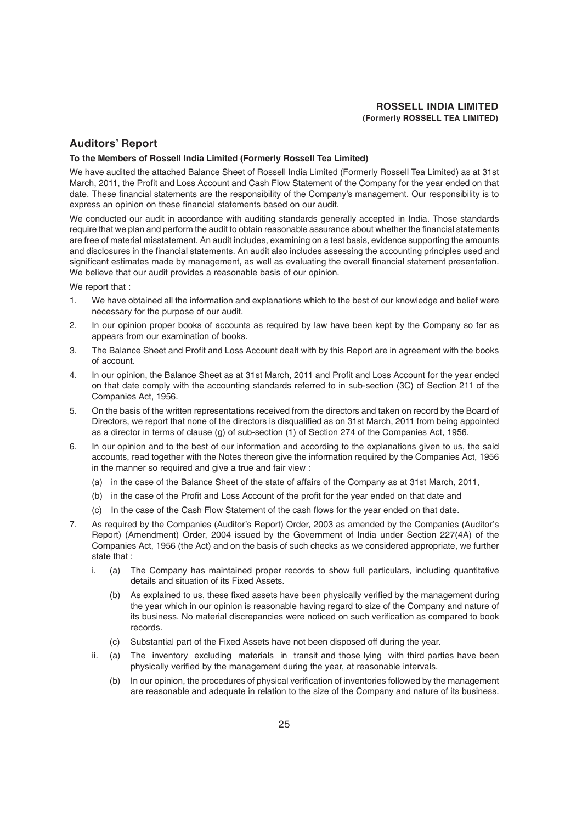#### **Auditors' Report**

#### **To the Members of Rossell India Limited (Formerly Rossell Tea Limited)**

We have audited the attached Balance Sheet of Rossell India Limited (Formerly Rossell Tea Limited) as at 31st March, 2011, the Profit and Loss Account and Cash Flow Statement of the Company for the year ended on that date. These financial statements are the responsibility of the Company's management. Our responsibility is to express an opinion on these financial statements based on our audit.

We conducted our audit in accordance with auditing standards generally accepted in India. Those standards require that we plan and perform the audit to obtain reasonable assurance about whether the financial statements are free of material misstatement. An audit includes, examining on a test basis, evidence supporting the amounts and disclosures in the financial statements. An audit also includes assessing the accounting principles used and significant estimates made by management, as well as evaluating the overall financial statement presentation. We believe that our audit provides a reasonable basis of our opinion.

We report that :

- 1. We have obtained all the information and explanations which to the best of our knowledge and belief were necessary for the purpose of our audit.
- 2. In our opinion proper books of accounts as required by law have been kept by the Company so far as appears from our examination of books.
- 3. The Balance Sheet and Profit and Loss Account dealt with by this Report are in agreement with the books of account.
- 4. In our opinion, the Balance Sheet as at 31st March, 2011 and Profit and Loss Account for the year ended on that date comply with the accounting standards referred to in sub-section (3C) of Section 211 of the Companies Act, 1956.
- 5. On the basis of the written representations received from the directors and taken on record by the Board of Directors, we report that none of the directors is disqualified as on 31st March, 2011 from being appointed as a director in terms of clause (g) of sub-section (1) of Section 274 of the Companies Act, 1956.
- 6. In our opinion and to the best of our information and according to the explanations given to us, the said accounts, read together with the Notes thereon give the information required by the Companies Act, 1956 in the manner so required and give a true and fair view :
	- (a) in the case of the Balance Sheet of the state of affairs of the Company as at 31st March, 2011,
	- (b) in the case of the Profit and Loss Account of the profit for the year ended on that date and
	- (c) In the case of the Cash Flow Statement of the cash flows for the year ended on that date.
- 7. As required by the Companies (Auditor's Report) Order, 2003 as amended by the Companies (Auditor's Report) (Amendment) Order, 2004 issued by the Government of India under Section 227(4A) of the Companies Act, 1956 (the Act) and on the basis of such checks as we considered appropriate, we further state that :
	- i. (a) The Company has maintained proper records to show full particulars, including quantitative details and situation of its Fixed Assets.
		- (b) As explained to us, these fixed assets have been physically verified by the management during the year which in our opinion is reasonable having regard to size of the Company and nature of its business. No material discrepancies were noticed on such verification as compared to book records.
		- (c) Substantial part of the Fixed Assets have not been disposed off during the year.
	- ii. (a) The inventory excluding materials in transit and those lying with third parties have been physically verified by the management during the year, at reasonable intervals.
		- (b) In our opinion, the procedures of physical verification of inventories followed by the management are reasonable and adequate in relation to the size of the Company and nature of its business.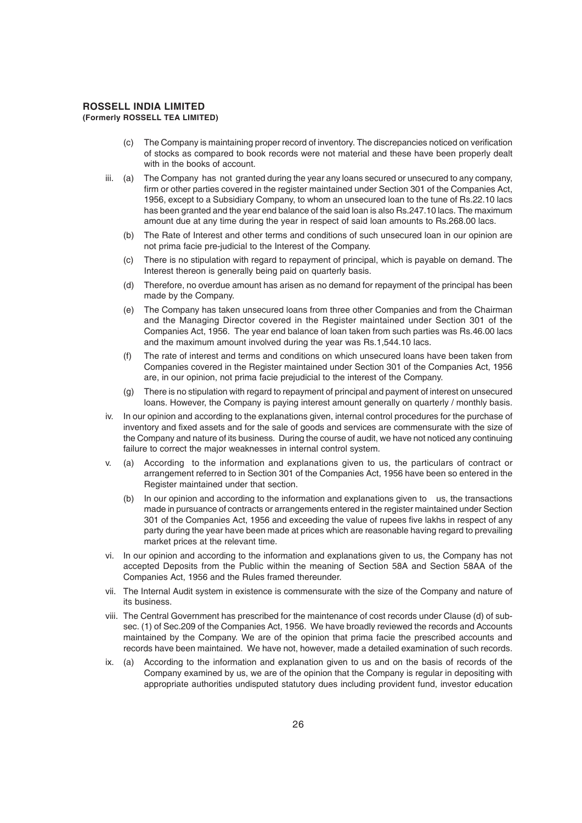- (c) The Company is maintaining proper record of inventory. The discrepancies noticed on verification of stocks as compared to book records were not material and these have been properly dealt with in the books of account.
- iii. (a) The Company has not granted during the year any loans secured or unsecured to any company, firm or other parties covered in the register maintained under Section 301 of the Companies Act, 1956, except to a Subsidiary Company, to whom an unsecured loan to the tune of Rs.22.10 lacs has been granted and the year end balance of the said loan is also Rs.247.10 lacs. The maximum amount due at any time during the year in respect of said loan amounts to Rs.268.00 lacs.
	- (b) The Rate of Interest and other terms and conditions of such unsecured loan in our opinion are not prima facie pre-judicial to the Interest of the Company.
	- (c) There is no stipulation with regard to repayment of principal, which is payable on demand. The Interest thereon is generally being paid on quarterly basis.
	- (d) Therefore, no overdue amount has arisen as no demand for repayment of the principal has been made by the Company.
	- (e) The Company has taken unsecured loans from three other Companies and from the Chairman and the Managing Director covered in the Register maintained under Section 301 of the Companies Act, 1956. The year end balance of loan taken from such parties was Rs.46.00 lacs and the maximum amount involved during the year was Rs.1,544.10 lacs.
	- (f) The rate of interest and terms and conditions on which unsecured loans have been taken from Companies covered in the Register maintained under Section 301 of the Companies Act, 1956 are, in our opinion, not prima facie prejudicial to the interest of the Company.
	- (g) There is no stipulation with regard to repayment of principal and payment of interest on unsecured loans. However, the Company is paying interest amount generally on quarterly / monthly basis.
- iv. In our opinion and according to the explanations given, internal control procedures for the purchase of inventory and fixed assets and for the sale of goods and services are commensurate with the size of the Company and nature of its business. During the course of audit, we have not noticed any continuing failure to correct the major weaknesses in internal control system.
- v. (a) According to the information and explanations given to us, the particulars of contract or arrangement referred to in Section 301 of the Companies Act, 1956 have been so entered in the Register maintained under that section.
	- (b) In our opinion and according to the information and explanations given to us, the transactions made in pursuance of contracts or arrangements entered in the register maintained under Section 301 of the Companies Act, 1956 and exceeding the value of rupees five lakhs in respect of any party during the year have been made at prices which are reasonable having regard to prevailing market prices at the relevant time.
- vi. In our opinion and according to the information and explanations given to us, the Company has not accepted Deposits from the Public within the meaning of Section 58A and Section 58AA of the Companies Act, 1956 and the Rules framed thereunder.
- vii. The Internal Audit system in existence is commensurate with the size of the Company and nature of its business.
- viii. The Central Government has prescribed for the maintenance of cost records under Clause (d) of subsec. (1) of Sec.209 of the Companies Act, 1956. We have broadly reviewed the records and Accounts maintained by the Company. We are of the opinion that prima facie the prescribed accounts and records have been maintained. We have not, however, made a detailed examination of such records.
- ix. (a) According to the information and explanation given to us and on the basis of records of the Company examined by us, we are of the opinion that the Company is regular in depositing with appropriate authorities undisputed statutory dues including provident fund, investor education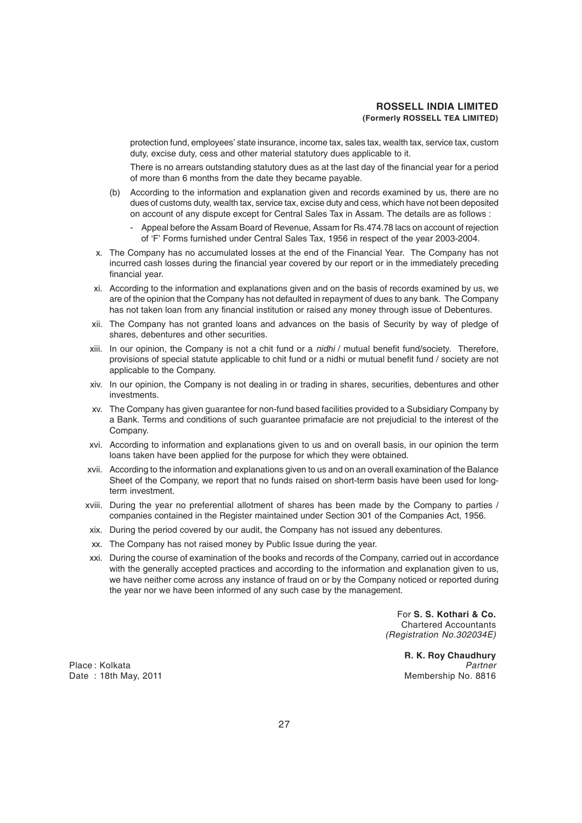protection fund, employees' state insurance, income tax, sales tax, wealth tax, service tax, custom duty, excise duty, cess and other material statutory dues applicable to it.

There is no arrears outstanding statutory dues as at the last day of the financial year for a period of more than 6 months from the date they became payable.

- (b) According to the information and explanation given and records examined by us, there are no dues of customs duty, wealth tax, service tax, excise duty and cess, which have not been deposited on account of any dispute except for Central Sales Tax in Assam. The details are as follows :
	- Appeal before the Assam Board of Revenue, Assam for Rs.474.78 lacs on account of rejection of 'F' Forms furnished under Central Sales Tax, 1956 in respect of the year 2003-2004.
- x. The Company has no accumulated losses at the end of the Financial Year. The Company has not incurred cash losses during the financial year covered by our report or in the immediately preceding financial year.
- xi. According to the information and explanations given and on the basis of records examined by us, we are of the opinion that the Company has not defaulted in repayment of dues to any bank. The Company has not taken loan from any financial institution or raised any money through issue of Debentures.
- xii. The Company has not granted loans and advances on the basis of Security by way of pledge of shares, debentures and other securities.
- xiii. In our opinion, the Company is not a chit fund or a *nidhi* / mutual benefit fund/society. Therefore, provisions of special statute applicable to chit fund or a nidhi or mutual benefit fund / society are not applicable to the Company.
- xiv. In our opinion, the Company is not dealing in or trading in shares, securities, debentures and other investments.
- xv. The Company has given guarantee for non-fund based facilities provided to a Subsidiary Company by a Bank. Terms and conditions of such guarantee primafacie are not prejudicial to the interest of the Company.
- xvi. According to information and explanations given to us and on overall basis, in our opinion the term loans taken have been applied for the purpose for which they were obtained.
- xvii. According to the information and explanations given to us and on an overall examination of the Balance Sheet of the Company, we report that no funds raised on short-term basis have been used for longterm investment.
- xviii. During the year no preferential allotment of shares has been made by the Company to parties / companies contained in the Register maintained under Section 301 of the Companies Act, 1956.
- xix. During the period covered by our audit, the Company has not issued any debentures.
- xx. The Company has not raised money by Public Issue during the year.
- xxi. During the course of examination of the books and records of the Company, carried out in accordance with the generally accepted practices and according to the information and explanation given to us, we have neither come across any instance of fraud on or by the Company noticed or reported during the year nor we have been informed of any such case by the management.

For **S. S. Kothari & Co.** Chartered Accountants *(Registration No.302034E)*

**R. K. Roy Chaudhury** Place : Kolkata *Partner* Date : 18th May, 2011 **Membership No. 8816**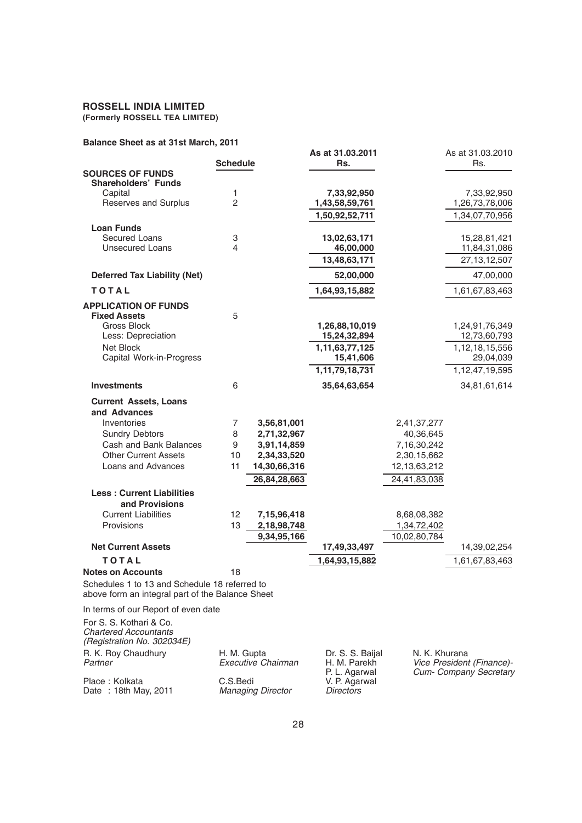# **ROSSELL INDIA LIMITED**

**(Formerly ROSSELL TEA LIMITED)**

#### **Balance Sheet as at 31st March, 2011**

| Dalahte Sheet as at Stist Marth, Zui I                                                            |                   |              |                             |              |                             |
|---------------------------------------------------------------------------------------------------|-------------------|--------------|-----------------------------|--------------|-----------------------------|
|                                                                                                   |                   |              | As at 31.03.2011            |              | As at 31.03.2010            |
| <b>SOURCES OF FUNDS</b>                                                                           | <b>Schedule</b>   |              | Rs.                         |              | Rs.                         |
| <b>Shareholders' Funds</b>                                                                        |                   |              |                             |              |                             |
| Capital                                                                                           | 1                 |              | 7,33,92,950                 |              | 7,33,92,950                 |
| Reserves and Surplus                                                                              | $\overline{2}$    |              | 1,43,58,59,761              |              | 1,26,73,78,006              |
|                                                                                                   |                   |              | 1,50,92,52,711              |              | 1,34,07,70,956              |
| <b>Loan Funds</b>                                                                                 |                   |              |                             |              |                             |
| <b>Secured Loans</b>                                                                              | 3                 |              | 13,02,63,171                |              | 15,28,81,421                |
| <b>Unsecured Loans</b>                                                                            | 4                 |              | 46,00,000                   |              | 11,84,31,086                |
|                                                                                                   |                   |              | 13,48,63,171                |              | 27, 13, 12, 507             |
| <b>Deferred Tax Liability (Net)</b>                                                               |                   |              | 52,00,000                   |              | 47,00,000                   |
| <b>TOTAL</b>                                                                                      |                   |              | 1,64,93,15,882              |              | 1,61,67,83,463              |
| <b>APPLICATION OF FUNDS</b>                                                                       |                   |              |                             |              |                             |
| <b>Fixed Assets</b>                                                                               | 5                 |              |                             |              |                             |
| Gross Block                                                                                       |                   |              | 1,26,88,10,019              |              | 1,24,91,76,349              |
| Less: Depreciation                                                                                |                   |              | 15,24,32,894                |              | 12,73,60,793                |
| Net Block<br>Capital Work-in-Progress                                                             |                   |              | 1,11,63,77,125<br>15,41,606 |              | 1,12,18,15,556<br>29,04,039 |
|                                                                                                   |                   |              | 1,11,79,18,731              |              | 1,12,47,19,595              |
|                                                                                                   |                   |              |                             |              |                             |
| <b>Investments</b>                                                                                | 6                 |              | 35,64,63,654                |              | 34,81,61,614                |
| <b>Current Assets, Loans</b>                                                                      |                   |              |                             |              |                             |
| and Advances                                                                                      |                   |              |                             |              |                             |
| Inventories                                                                                       | 7                 | 3,56,81,001  |                             | 2,41,37,277  |                             |
| <b>Sundry Debtors</b>                                                                             | 8                 | 2,71,32,967  |                             | 40,36,645    |                             |
| Cash and Bank Balances                                                                            | 9                 | 3,91,14,859  |                             | 7,16,30,242  |                             |
| <b>Other Current Assets</b>                                                                       | 10                | 2,34,33,520  |                             | 2,30,15,662  |                             |
| Loans and Advances                                                                                | 11                | 14,30,66,316 |                             | 12,13,63,212 |                             |
|                                                                                                   |                   | 26,84,28,663 |                             | 24,41,83,038 |                             |
| <b>Less: Current Liabilities</b>                                                                  |                   |              |                             |              |                             |
| and Provisions                                                                                    |                   |              |                             |              |                             |
| <b>Current Liabilities</b>                                                                        | $12 \overline{ }$ | 7,15,96,418  |                             | 8,68,08,382  |                             |
| Provisions                                                                                        | 13                | 2,18,98,748  |                             | 1,34,72,402  |                             |
|                                                                                                   |                   | 9,34,95,166  |                             | 10,02,80,784 |                             |
| <b>Net Current Assets</b>                                                                         |                   |              | 17,49,33,497                |              | 14,39,02,254                |
| <b>TOTAL</b>                                                                                      |                   |              | 1,64,93,15,882              |              | 1,61,67,83,463              |
| <b>Notes on Accounts</b>                                                                          | 18                |              |                             |              |                             |
| Schedules 1 to 13 and Schedule 18 referred to<br>above form an integral part of the Balance Sheet |                   |              |                             |              |                             |
| In terms of our Report of even date                                                               |                   |              |                             |              |                             |

For S. S. Kothari & Co. *Chartered Accountants (Registration No. 302034E)* R. K. Roy Chaudhury H. M. Gupta Dr. S. S. Baijal<br>
Partner Farekh Executive Chairman H. M. Parekh *Partner Executive Chairman* H. M. Parekh *Vice President (Finance)-* Place : Kolkata **C.S.Bedi** C.S.Bedi V. P. Agarwal Date : 18th May, 2011 *Managing Director Directors*

P. L. Agarwal *Cum- Company Secretary*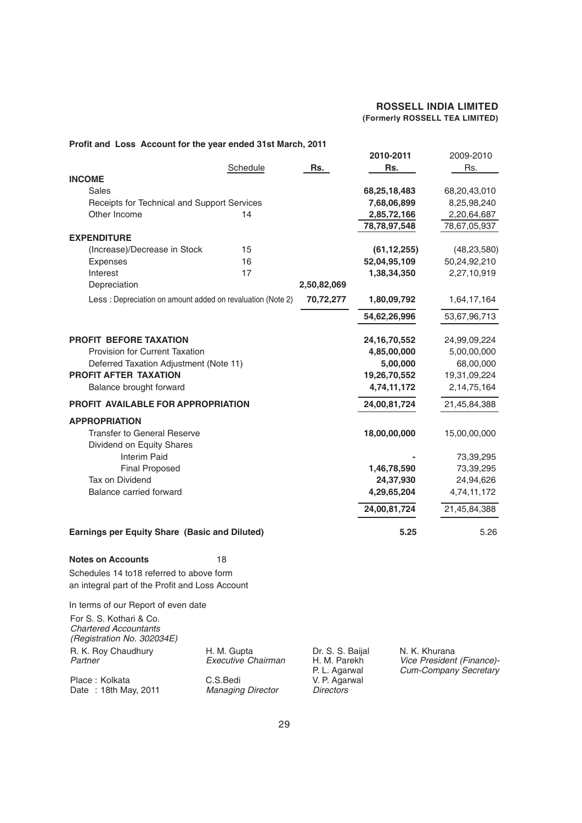#### **2010-2011** 2009-2010 Schedule **Rs. Rs. Rs.** Rs. Rs. **INCOME** Sales **68,25,18,483** 68,20,43,010 Receipts for Technical and Support Services **7,68,06,899** 8,25,98,240 Other Income 14 **2,85,72,166** 2,20,64,687 **78,78,97,548** 78,67,05,937 **EXPENDITURE** (Increase)/Decrease in Stock 15 **(61,12,255)** (48,23,580) Expenses 16 **52,04,95,109** 50,24,92,210 Interest 17 **1,38,34,350** 2,27,10,919 Depreciation **2,50,82,069** Less : Depreciation on amount added on revaluation (Note 2) **70,72,277 1,80,09,792** 1,64,17,164 **54,62,26,996** 53,67,96,713 **PROFIT BEFORE TAXATION 24,16,70,552** 24,99,09,224 Provision for Current Taxation **4,85,00,000** 5,00,000<br>Deferred Taxation Adjustment (Note 11) **4,85,00.000** 5,00.000 68.00.000 Deferred Taxation Adjustment (Note 11) **5,00,000** 68,00,000 **PROFIT AFTER TAXATION 19,26,70,552** 19,31,09,224 Balance brought forward **4,74,11,172** 2,14,75,164 **PROFIT AVAILABLE FOR APPROPRIATION 24,00,81,724** 21,45,84,388 **APPROPRIATION** Transfer to General Reserve **18,00,00,000** 15,00,00,000 Dividend on Equity Shares Interim Paid **-** 73,39,295 Final Proposed **1,46,78,590** 73,39,295 Tax on Dividend **24,37,930** 24,94,626 Balance carried forward **4,29,65,204** 4,74,11,172  **24,00,81,724** 21,45,84,388 **Earnings per Equity Share (Basic and Diluted) 5.25** 5.26 **Notes on Accounts** 18

#### **Profit and Loss Account for the year ended 31st March, 2011**

Schedules 14 to18 referred to above form an integral part of the Profit and Loss Account

In terms of our Report of even date

| For S. S. Kothari & Co.      |                          |                  |                              |
|------------------------------|--------------------------|------------------|------------------------------|
| <b>Chartered Accountants</b> |                          |                  |                              |
| (Registration No. 302034E)   |                          |                  |                              |
| R. K. Roy Chaudhury          | H. M. Gupta              | Dr. S. S. Baijal | N. K. Khurana                |
| Partner                      | Executive Chairman       | H. M. Parekh     | Vice President (Finance)-    |
|                              |                          | P. L. Agarwal    | <b>Cum-Company Secretary</b> |
| Place: Kolkata               | C.S.Bedi                 | V. P. Agarwal    |                              |
| Date: 18th May, 2011         | <b>Managing Director</b> | <b>Directors</b> |                              |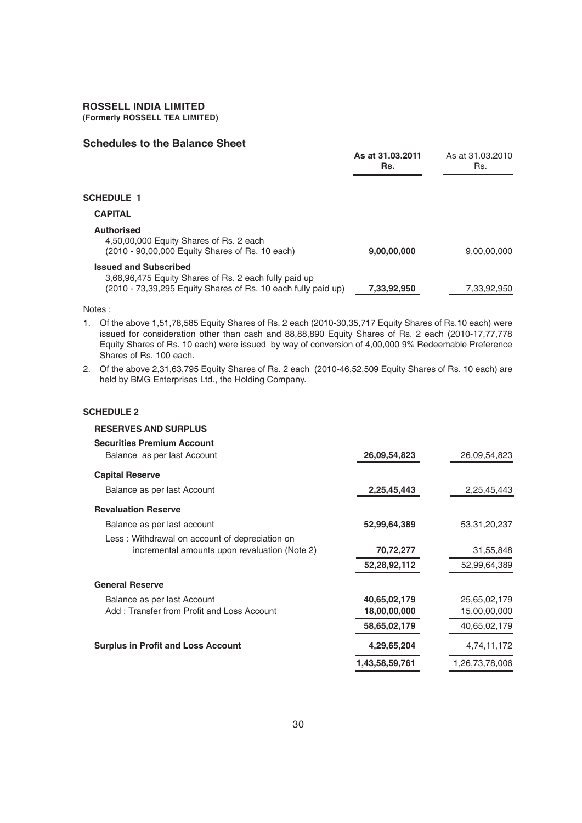#### **Schedules to the Balance Sheet**

|                                                                                                                                                        | As at 31.03.2011<br>Rs. | As at 31.03.2010<br>Rs. |
|--------------------------------------------------------------------------------------------------------------------------------------------------------|-------------------------|-------------------------|
| <b>SCHEDULE 1</b>                                                                                                                                      |                         |                         |
| <b>CAPITAL</b>                                                                                                                                         |                         |                         |
| <b>Authorised</b><br>4,50,00,000 Equity Shares of Rs. 2 each<br>(2010 - 90,00,000 Equity Shares of Rs. 10 each)                                        | 9,00,00,000             | 9,00,00,000             |
| <b>Issued and Subscribed</b><br>3,66,96,475 Equity Shares of Rs. 2 each fully paid up<br>(2010 - 73,39,295 Equity Shares of Rs. 10 each fully paid up) | 7.33.92.950             | 7.33.92.950             |

Notes :

- 1. Of the above 1,51,78,585 Equity Shares of Rs. 2 each (2010-30,35,717 Equity Shares of Rs.10 each) were issued for consideration other than cash and 88,88,890 Equity Shares of Rs. 2 each (2010-17,77,778 Equity Shares of Rs. 10 each) were issued by way of conversion of 4,00,000 9% Redeemable Preference Shares of Rs. 100 each.
- 2. Of the above 2,31,63,795 Equity Shares of Rs. 2 each (2010-46,52,509 Equity Shares of Rs. 10 each) are held by BMG Enterprises Ltd., the Holding Company.

#### **SCHEDULE 2**

#### **RESERVES AND SURPLUS**

| <b>Securities Premium Account</b><br>Balance as per last Account | 26,09,54,823   | 26,09,54,823    |
|------------------------------------------------------------------|----------------|-----------------|
| <b>Capital Reserve</b>                                           |                |                 |
| Balance as per last Account                                      | 2,25,45,443    | 2,25,45,443     |
| <b>Revaluation Reserve</b>                                       |                |                 |
| Balance as per last account                                      | 52,99,64,389   | 53, 31, 20, 237 |
| Less: Withdrawal on account of depreciation on                   |                |                 |
| incremental amounts upon revaluation (Note 2)                    | 70,72,277      | 31,55,848       |
|                                                                  | 52,28,92,112   | 52,99,64,389    |
| <b>General Reserve</b>                                           |                |                 |
| Balance as per last Account                                      | 40,65,02,179   | 25,65,02,179    |
| Add: Transfer from Profit and Loss Account                       | 18,00,00,000   | 15,00,00,000    |
|                                                                  | 58,65,02,179   | 40,65,02,179    |
| <b>Surplus in Profit and Loss Account</b>                        | 4,29,65,204    | 4,74,11,172     |
|                                                                  | 1,43,58,59,761 | 1,26,73,78,006  |
|                                                                  |                |                 |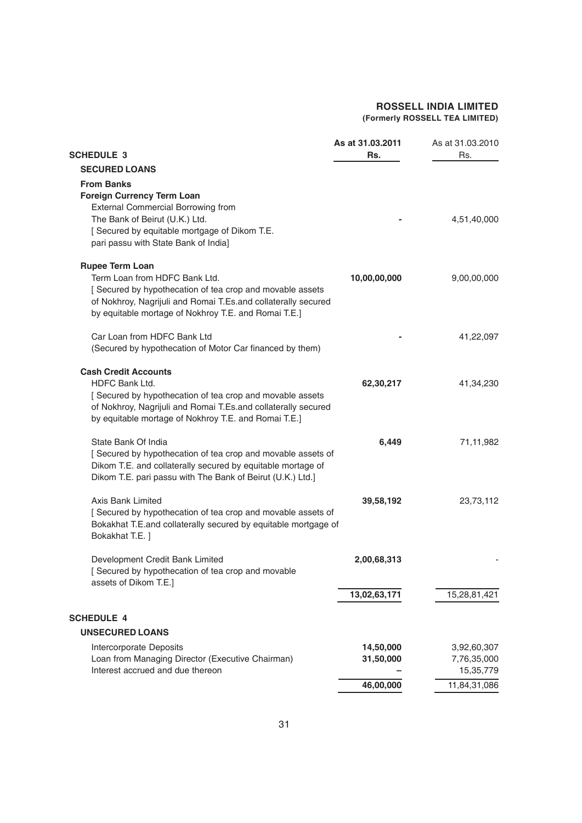| <b>SCHEDULE 3</b>                                                                                                                                                                                                                            | As at 31.03.2011<br>Rs. | As at 31.03.2010<br>Rs.                 |
|----------------------------------------------------------------------------------------------------------------------------------------------------------------------------------------------------------------------------------------------|-------------------------|-----------------------------------------|
| <b>SECURED LOANS</b>                                                                                                                                                                                                                         |                         |                                         |
| <b>From Banks</b><br><b>Foreign Currency Term Loan</b>                                                                                                                                                                                       |                         |                                         |
| <b>External Commercial Borrowing from</b><br>The Bank of Beirut (U.K.) Ltd.<br>[ Secured by equitable mortgage of Dikom T.E.<br>pari passu with State Bank of India]                                                                         |                         | 4,51,40,000                             |
| <b>Rupee Term Loan</b><br>Term Loan from HDFC Bank Ltd.<br>[Secured by hypothecation of tea crop and movable assets<br>of Nokhroy, Nagrijuli and Romai T.Es.and collaterally secured<br>by equitable mortage of Nokhroy T.E. and Romai T.E.] | 10,00,00,000            | 9,00,00,000                             |
| Car Loan from HDFC Bank Ltd<br>(Secured by hypothecation of Motor Car financed by them)                                                                                                                                                      |                         | 41,22,097                               |
| <b>Cash Credit Accounts</b><br><b>HDFC Bank Ltd.</b><br>Secured by hypothecation of tea crop and movable assets<br>of Nokhroy, Nagrijuli and Romai T.Es.and collaterally secured<br>by equitable mortage of Nokhroy T.E. and Romai T.E.]     | 62,30,217               | 41,34,230                               |
| State Bank Of India<br>[Secured by hypothecation of tea crop and movable assets of<br>Dikom T.E. and collaterally secured by equitable mortage of<br>Dikom T.E. pari passu with The Bank of Beirut (U.K.) Ltd.]                              | 6,449                   | 71,11,982                               |
| <b>Axis Bank Limited</b><br>[Secured by hypothecation of tea crop and movable assets of<br>Bokakhat T.E.and collaterally secured by equitable mortgage of<br>Bokakhat T.E. ]                                                                 | 39,58,192               | 23,73,112                               |
| Development Credit Bank Limited<br>[Secured by hypothecation of tea crop and movable<br>assets of Dikom T.E.]                                                                                                                                | 2,00,68,313             |                                         |
|                                                                                                                                                                                                                                              | 13,02,63,171            | 15,28,81,421                            |
| <b>SCHEDULE 4</b>                                                                                                                                                                                                                            |                         |                                         |
| <b>UNSECURED LOANS</b>                                                                                                                                                                                                                       |                         |                                         |
| Intercorporate Deposits<br>Loan from Managing Director (Executive Chairman)<br>Interest accrued and due thereon                                                                                                                              | 14,50,000<br>31,50,000  | 3,92,60,307<br>7,76,35,000<br>15,35,779 |
|                                                                                                                                                                                                                                              | 46,00,000               | 11,84,31,086                            |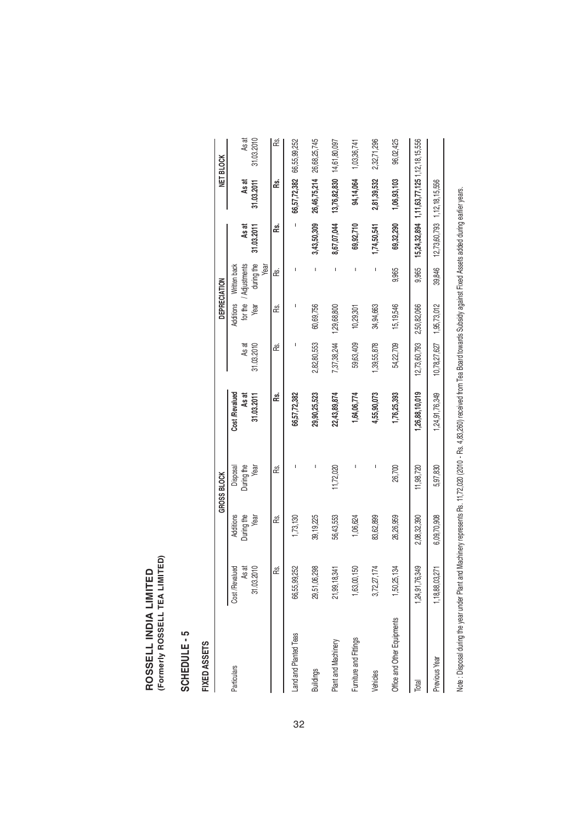ROSSELL INDIA LIMITED<br>(Formerly ROSSELL TEA LIMITED) **(Formerly ROSSELL TEA LIMITED)ROSSELL INDIA LIMITED**

# SCHEDULE-5 **SCHEDULE - 5**

# FIXED ASSETS **FIXED ASSETS**

|                             |                    |             | <b>GROSS BLOCK</b> |                |              | DEPRECIATION |                       |             |                                            | NET BLOCK    |
|-----------------------------|--------------------|-------------|--------------------|----------------|--------------|--------------|-----------------------|-------------|--------------------------------------------|--------------|
| Particulars                 | Cost /Revalued     | Additions   | Disposal           | Cost /Revalued |              | Additions    | Written back          |             |                                            |              |
|                             | As at              | During the  | During the         | As at          | As at        |              | for the / Adjustments | As at       | As at                                      | As at        |
|                             | 31.03.2010         | Year        | Year               | 31.03.2011     | 31.03.2010   | Year         | during the            | 31.03.2011  | 31.03.2011                                 | 31.03.2010   |
|                             |                    |             |                    |                |              |              | Year                  |             |                                            |              |
|                             | œ.                 | ൙           | ൙                  | œ.             | ൙            | œ            | ൙                     | œ           | æ                                          | æ            |
| Land and Planted Teas       | 252<br>66,55,99,   | 1,73,130    |                    | 66,57,72,382   |              |              |                       |             | 66,57,72,382                               | 66,55,99,252 |
| <b>Buildings</b>            | 29,51,06,298       | 39,19,225   |                    | 29,90,25,523   | 2,82,80,553  | 60,69,756    |                       | 3,43,50,309 | 26,46,75,214                               | 26,68,25,745 |
| Plant and Machinery         | 21,99,18,341       | 56,43,553   | 11,72,020          | 22,43,89,874   | 7,37,38,244  | 1,29,68,800  | ı                     | 8,67,07,044 | 13,76,82,830                               | 14,61,80,097 |
| Furniture and Fittings      | 50<br>1,63,00,     | 1,06,624    |                    | 1,64,06,774    | 59,63,409    | 10,29,301    | I                     | 69,92,710   | 94,14,064                                  | 1,03,36,741  |
| Vehicles                    | 3,72,27,174        | 83,62,899   |                    | 4,55,90,073    | ,39,55,878   | 34,94,663    |                       | 1,74,50,541 | 2,81,39,532                                | 2,32,71,296  |
| Office and Other Equipments | 34<br>1,50,25,1    | 26,26,959   | 26,700             | 1,76,25,393    | 54,22,709    | 15, 19, 546  | 9,965                 | 69,32,290   | 1,06,93,103                                | 96,02,425    |
| Total                       | 1,24,91,76,349     | 2,08,32,390 | 11,98,720          | 1,26,88,10,019 | 12,73,60,793 | 2,50,82,066  | 9,965                 |             | 15,24,32,894 1,11,63,77,125 1,12,18,15,556 |              |
| Previous Year               | 1, 18, 88, 03, 271 | 6,09,70,908 | 5,97,830           | 1,24,91,76,349 | 10,78,27,627 | 1,95,73,012  | 39,846                |             | 12,73,60,793 1,12,18,15,556                |              |
|                             |                    |             |                    |                |              |              |                       |             |                                            |              |

Note: Disposal during the year under Plant and Machinery represents Rs. 11,72,020 (2010 - Rs. 4,83,260) received from Tea Board towards Subsidy against Fixed Assets added during earlier years. Note : Disposal during the year under Plant and Machinery represents Rs. 11,72,020 (2010 - Rs. 4,83,260) received from Tea Board towards Subsidy against Fixed Assets added during earlier years.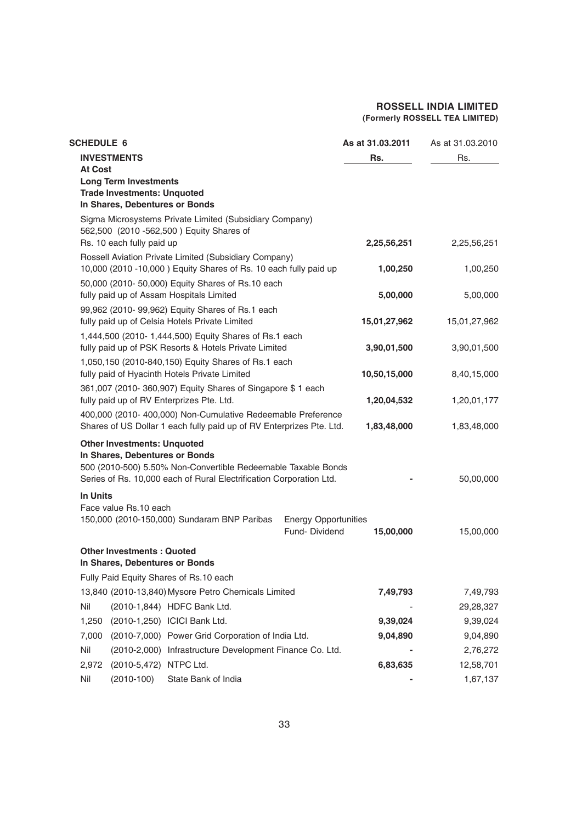| <b>SCHEDULE 6</b>                                                                                                                    |                                              | As at 31.03.2011 | As at 31.03.2010 |
|--------------------------------------------------------------------------------------------------------------------------------------|----------------------------------------------|------------------|------------------|
| <b>INVESTMENTS</b><br><b>At Cost</b><br><b>Long Term Investments</b>                                                                 |                                              | Rs.              | Rs.              |
| <b>Trade Investments: Unquoted</b><br>In Shares, Debentures or Bonds                                                                 |                                              |                  |                  |
| Sigma Microsystems Private Limited (Subsidiary Company)<br>562,500 (2010 -562,500) Equity Shares of                                  |                                              |                  |                  |
| Rs. 10 each fully paid up                                                                                                            |                                              | 2,25,56,251      | 2,25,56,251      |
| Rossell Aviation Private Limited (Subsidiary Company)<br>10,000 (2010 -10,000) Equity Shares of Rs. 10 each fully paid up            |                                              | 1,00,250         | 1,00,250         |
| 50,000 (2010- 50,000) Equity Shares of Rs.10 each<br>fully paid up of Assam Hospitals Limited                                        |                                              | 5,00,000         | 5,00,000         |
| 99,962 (2010- 99,962) Equity Shares of Rs.1 each                                                                                     |                                              |                  |                  |
| fully paid up of Celsia Hotels Private Limited<br>1,444,500 (2010- 1,444,500) Equity Shares of Rs.1 each                             |                                              | 15,01,27,962     | 15,01,27,962     |
| fully paid up of PSK Resorts & Hotels Private Limited                                                                                |                                              | 3,90,01,500      | 3,90,01,500      |
| 1,050,150 (2010-840,150) Equity Shares of Rs.1 each<br>fully paid of Hyacinth Hotels Private Limited                                 |                                              | 10,50,15,000     | 8,40,15,000      |
| 361,007 (2010-360,907) Equity Shares of Singapore \$1 each<br>fully paid up of RV Enterprizes Pte. Ltd.                              |                                              | 1,20,04,532      | 1,20,01,177      |
| 400,000 (2010- 400,000) Non-Cumulative Redeemable Preference<br>Shares of US Dollar 1 each fully paid up of RV Enterprizes Pte. Ltd. |                                              | 1,83,48,000      | 1,83,48,000      |
| <b>Other Investments: Unquoted</b>                                                                                                   |                                              |                  |                  |
| In Shares, Debentures or Bonds<br>500 (2010-500) 5.50% Non-Convertible Redeemable Taxable Bonds                                      |                                              |                  |                  |
| Series of Rs. 10,000 each of Rural Electrification Corporation Ltd.                                                                  |                                              |                  | 50,00,000        |
| <b>In Units</b>                                                                                                                      |                                              |                  |                  |
| Face value Rs.10 each                                                                                                                |                                              |                  |                  |
| 150,000 (2010-150,000) Sundaram BNP Paribas                                                                                          | <b>Energy Opportunities</b><br>Fund-Dividend | 15,00,000        | 15,00,000        |
| <b>Other Investments: Quoted</b>                                                                                                     |                                              |                  |                  |
| In Shares, Debentures or Bonds                                                                                                       |                                              |                  |                  |
| Fully Paid Equity Shares of Rs.10 each<br>13,840 (2010-13,840) Mysore Petro Chemicals Limited                                        |                                              | 7,49,793         | 7,49,793         |
| Nil<br>(2010-1,844) HDFC Bank Ltd.                                                                                                   |                                              |                  | 29,28,327        |
| 1,250<br>(2010-1,250) ICICI Bank Ltd.                                                                                                |                                              | 9,39,024         | 9,39,024         |
| (2010-7,000) Power Grid Corporation of India Ltd.<br>7,000                                                                           |                                              | 9,04,890         | 9,04,890         |
| Nil<br>(2010-2,000) Infrastructure Development Finance Co. Ltd.                                                                      |                                              |                  | 2,76,272         |
| 2,972<br>(2010-5,472) NTPC Ltd.                                                                                                      |                                              | 6,83,635         | 12,58,701        |
| Nil<br>$(2010-100)$<br>State Bank of India                                                                                           |                                              |                  | 1,67,137         |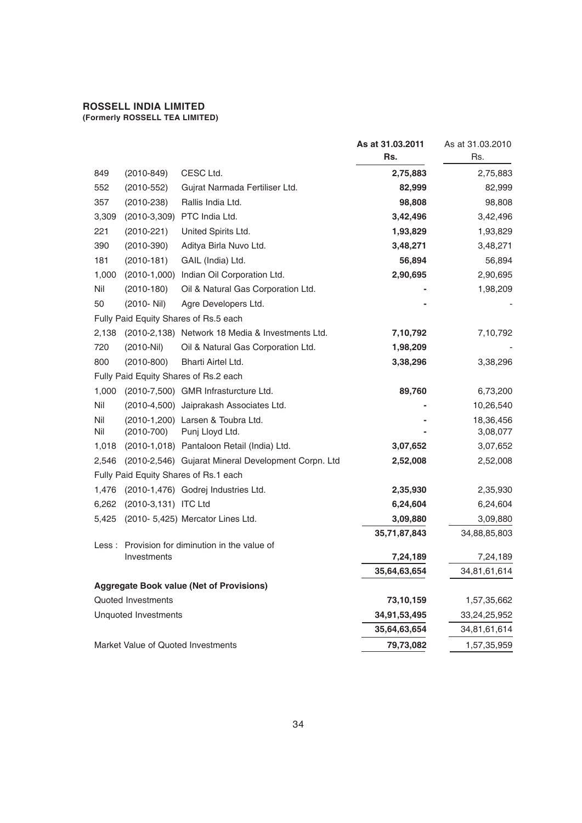|                                                               | As at 31.03.2011<br>Rs. | As at 31.03.2010<br>Rs. |
|---------------------------------------------------------------|-------------------------|-------------------------|
| CESC Ltd.<br>$(2010-849)$<br>849                              | 2,75,883                | 2,75,883                |
| 552<br>Gujrat Narmada Fertiliser Ltd.<br>$(2010 - 552)$       | 82,999                  | 82,999                  |
| Rallis India Ltd.<br>357<br>$(2010 - 238)$                    | 98,808                  | 98,808                  |
| (2010-3,309) PTC India Ltd.<br>3,309                          | 3,42,496                | 3,42,496                |
| 221<br>$(2010 - 221)$<br>United Spirits Ltd.                  | 1,93,829                | 1,93,829                |
| 390<br>Aditya Birla Nuvo Ltd.<br>$(2010-390)$                 | 3,48,271                | 3,48,271                |
| 181<br>$(2010-181)$<br>GAIL (India) Ltd.                      | 56,894                  | 56,894                  |
| (2010-1,000) Indian Oil Corporation Ltd.<br>1,000             | 2,90,695                | 2,90,695                |
| Nil<br>Oil & Natural Gas Corporation Ltd.<br>$(2010-180)$     |                         | 1,98,209                |
| 50<br>(2010- Nil)<br>Agre Developers Ltd.                     |                         |                         |
| Fully Paid Equity Shares of Rs.5 each                         |                         |                         |
| (2010-2,138) Network 18 Media & Investments Ltd.<br>2,138     | 7,10,792                | 7,10,792                |
| 720<br>$(2010-Nil)$<br>Oil & Natural Gas Corporation Ltd.     | 1,98,209                |                         |
| 800<br>$(2010 - 800)$<br>Bharti Airtel Ltd.                   | 3,38,296                | 3,38,296                |
| Fully Paid Equity Shares of Rs.2 each                         |                         |                         |
| (2010-7,500) GMR Infrasturcture Ltd.<br>1,000                 | 89,760                  | 6,73,200                |
| Nil<br>(2010-4,500) Jaiprakash Associates Ltd.                |                         | 10,26,540               |
| Nil<br>(2010-1,200) Larsen & Toubra Ltd.                      |                         | 18,36,456               |
| Nil<br>$(2010 - 700)$<br>Punj Lloyd Ltd.                      |                         | 3,08,077                |
| (2010-1,018) Pantaloon Retail (India) Ltd.<br>1,018           | 3,07,652                | 3,07,652                |
| (2010-2,546) Gujarat Mineral Development Corpn. Ltd<br>2,546  | 2,52,008                | 2,52,008                |
| Fully Paid Equity Shares of Rs.1 each                         |                         |                         |
| 1,476<br>(2010-1,476) Godrej Industries Ltd.                  | 2,35,930                | 2,35,930                |
| (2010-3,131) ITC Ltd<br>6,262                                 | 6,24,604                | 6,24,604                |
| (2010- 5,425) Mercator Lines Ltd.<br>5,425                    | 3,09,880                | 3,09,880                |
|                                                               | 35,71,87,843            | 34,88,85,803            |
| Less: Provision for diminution in the value of<br>Investments | 7,24,189                | 7,24,189                |
|                                                               | 35,64,63,654            | 34,81,61,614            |
| <b>Aggregate Book value (Net of Provisions)</b>               |                         |                         |
| Quoted Investments                                            | 73,10,159               | 1,57,35,662             |
| <b>Unquoted Investments</b>                                   | 34,91,53,495            | 33,24,25,952            |
|                                                               | 35,64,63,654            | 34,81,61,614            |
| Market Value of Quoted Investments                            | 79,73,082               | 1,57,35,959             |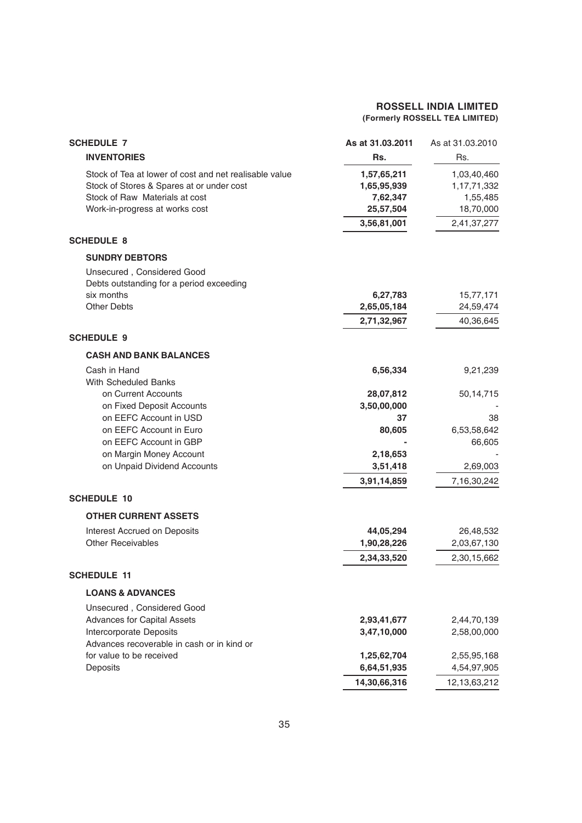| <b>SCHEDULE 7</b>                                      | As at 31.03.2011 | As at 31.03.2010 |
|--------------------------------------------------------|------------------|------------------|
| <b>INVENTORIES</b>                                     | Rs.              | Rs.              |
| Stock of Tea at lower of cost and net realisable value | 1,57,65,211      | 1,03,40,460      |
| Stock of Stores & Spares at or under cost              | 1,65,95,939      | 1,17,71,332      |
| Stock of Raw Materials at cost                         | 7,62,347         | 1,55,485         |
| Work-in-progress at works cost                         | 25,57,504        | 18,70,000        |
|                                                        | 3,56,81,001      | 2,41,37,277      |
| <b>SCHEDULE 8</b>                                      |                  |                  |
| <b>SUNDRY DEBTORS</b>                                  |                  |                  |
| Unsecured, Considered Good                             |                  |                  |
| Debts outstanding for a period exceeding               |                  |                  |
| six months                                             | 6,27,783         | 15,77,171        |
| <b>Other Debts</b>                                     | 2,65,05,184      | 24,59,474        |
|                                                        | 2,71,32,967      | 40,36,645        |
| <b>SCHEDULE 9</b>                                      |                  |                  |
| <b>CASH AND BANK BALANCES</b>                          |                  |                  |
| Cash in Hand                                           | 6,56,334         | 9,21,239         |
| <b>With Scheduled Banks</b>                            |                  |                  |
| on Current Accounts                                    | 28,07,812        | 50,14,715        |
| on Fixed Deposit Accounts                              | 3,50,00,000      |                  |
| on EEFC Account in USD                                 | 37               | 38               |
| on EEFC Account in Euro                                | 80,605           | 6,53,58,642      |
| on EEFC Account in GBP                                 |                  | 66,605           |
| on Margin Money Account                                | 2,18,653         |                  |
| on Unpaid Dividend Accounts                            | 3,51,418         | 2,69,003         |
|                                                        | 3,91,14,859      | 7,16,30,242      |
| <b>SCHEDULE 10</b>                                     |                  |                  |
| <b>OTHER CURRENT ASSETS</b>                            |                  |                  |
| Interest Accrued on Deposits                           | 44,05,294        | 26,48,532        |
| <b>Other Receivables</b>                               | 1,90,28,226      | 2,03,67,130      |
|                                                        | 2,34,33,520      | 2,30,15,662      |
| <b>SCHEDULE 11</b>                                     |                  |                  |
| <b>LOANS &amp; ADVANCES</b>                            |                  |                  |
| Unsecured, Considered Good                             |                  |                  |
| <b>Advances for Capital Assets</b>                     | 2,93,41,677      | 2,44,70,139      |
| Intercorporate Deposits                                | 3,47,10,000      | 2,58,00,000      |
| Advances recoverable in cash or in kind or             |                  |                  |
| for value to be received                               | 1,25,62,704      | 2,55,95,168      |
| Deposits                                               | 6,64,51,935      | 4,54,97,905      |
|                                                        | 14,30,66,316     | 12, 13, 63, 212  |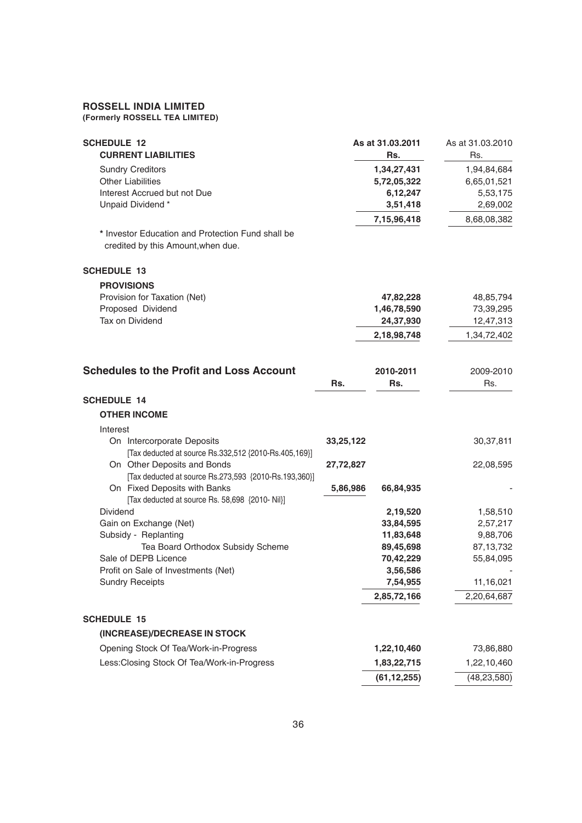#### **ROSSELL INDIA LIMITED**

**(Formerly ROSSELL TEA LIMITED)**

| <b>SCHEDULE 12</b><br><b>CURRENT LIABILITIES</b>                                                        |           | As at 31.03.2011<br>Rs.                            | As at 31.03.2010<br>Rs.                            |
|---------------------------------------------------------------------------------------------------------|-----------|----------------------------------------------------|----------------------------------------------------|
| <b>Sundry Creditors</b><br><b>Other Liabilities</b><br>Interest Accrued but not Due<br>Unpaid Dividend* |           | 1,34,27,431<br>5,72,05,322<br>6,12,247<br>3,51,418 | 1,94,84,684<br>6,65,01,521<br>5,53,175<br>2,69,002 |
| * Investor Education and Protection Fund shall be<br>credited by this Amount, when due.                 |           | 7,15,96,418                                        | 8,68,08,382                                        |
| <b>SCHEDULE 13</b>                                                                                      |           |                                                    |                                                    |
| <b>PROVISIONS</b>                                                                                       |           |                                                    |                                                    |
| Provision for Taxation (Net)                                                                            |           | 47,82,228                                          | 48,85,794                                          |
| Proposed Dividend                                                                                       |           | 1,46,78,590                                        | 73,39,295                                          |
| Tax on Dividend                                                                                         |           | 24,37,930                                          | 12,47,313                                          |
|                                                                                                         |           | 2,18,98,748                                        | 1,34,72,402                                        |
| <b>Schedules to the Profit and Loss Account</b>                                                         |           | 2010-2011                                          | 2009-2010                                          |
|                                                                                                         | Rs.       | Rs.                                                | Rs.                                                |
| <b>SCHEDULE 14</b>                                                                                      |           |                                                    |                                                    |
| <b>OTHER INCOME</b>                                                                                     |           |                                                    |                                                    |
| Interest                                                                                                |           |                                                    |                                                    |
| On Intercorporate Deposits<br>[Tax deducted at source Rs.332,512 {2010-Rs.405,169}]                     | 33,25,122 |                                                    | 30, 37, 811                                        |
| On Other Deposits and Bonds<br>[Tax deducted at source Rs.273,593 {2010-Rs.193,360}]                    | 27,72,827 |                                                    | 22,08,595                                          |
| On Fixed Deposits with Banks<br>[Tax deducted at source Rs. 58,698 {2010- Nil}]                         | 5,86,986  | 66,84,935                                          |                                                    |
| <b>Dividend</b>                                                                                         |           | 2,19,520                                           | 1,58,510                                           |
| Gain on Exchange (Net)                                                                                  |           | 33,84,595                                          | 2,57,217                                           |
| Subsidy - Replanting                                                                                    |           | 11,83,648                                          | 9,88,706                                           |
| Tea Board Orthodox Subsidy Scheme                                                                       |           | 89,45,698                                          | 87, 13, 732                                        |
| Sale of DEPB Licence                                                                                    |           | 70,42,229                                          | 55,84,095                                          |
| Profit on Sale of Investments (Net)                                                                     |           | 3,56,586                                           |                                                    |
| <b>Sundry Receipts</b>                                                                                  |           | 7,54,955                                           | 11,16,021                                          |
|                                                                                                         |           | 2,85,72,166                                        | 2,20,64,687                                        |
| <b>SCHEDULE 15</b>                                                                                      |           |                                                    |                                                    |
| (INCREASE)/DECREASE IN STOCK                                                                            |           |                                                    |                                                    |
| Opening Stock Of Tea/Work-in-Progress                                                                   |           | 1,22,10,460                                        | 73,86,880                                          |
| Less: Closing Stock Of Tea/Work-in-Progress                                                             |           | 1,83,22,715                                        | 1,22,10,460                                        |
|                                                                                                         |           | (61, 12, 255)                                      | (48, 23, 580)                                      |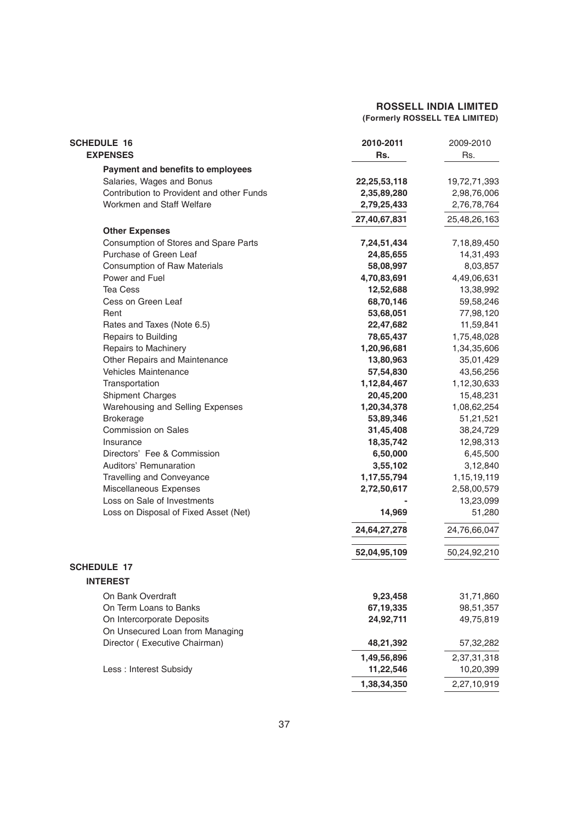| <b>SCHEDULE 16</b>                        | 2010-2011    | 2009-2010    |
|-------------------------------------------|--------------|--------------|
| <b>EXPENSES</b>                           | Rs.          | Rs.          |
| Payment and benefits to employees         |              |              |
| Salaries, Wages and Bonus                 | 22,25,53,118 | 19,72,71,393 |
| Contribution to Provident and other Funds | 2,35,89,280  | 2,98,76,006  |
| Workmen and Staff Welfare                 | 2,79,25,433  | 2,76,78,764  |
|                                           | 27,40,67,831 | 25,48,26,163 |
| <b>Other Expenses</b>                     |              |              |
| Consumption of Stores and Spare Parts     | 7,24,51,434  | 7,18,89,450  |
| Purchase of Green Leaf                    | 24,85,655    | 14,31,493    |
| <b>Consumption of Raw Materials</b>       | 58,08,997    | 8,03,857     |
| Power and Fuel                            | 4,70,83,691  | 4,49,06,631  |
| <b>Tea Cess</b>                           | 12,52,688    | 13,38,992    |
| Cess on Green Leaf                        | 68,70,146    | 59,58,246    |
| Rent                                      | 53,68,051    | 77,98,120    |
| Rates and Taxes (Note 6.5)                | 22,47,682    | 11,59,841    |
| Repairs to Building                       | 78,65,437    | 1,75,48,028  |
| Repairs to Machinery                      | 1,20,96,681  | 1,34,35,606  |
| Other Repairs and Maintenance             | 13,80,963    | 35,01,429    |
| <b>Vehicles Maintenance</b>               | 57,54,830    | 43,56,256    |
| Transportation                            | 1,12,84,467  | 1,12,30,633  |
| Shipment Charges                          | 20,45,200    | 15,48,231    |
| Warehousing and Selling Expenses          | 1,20,34,378  | 1,08,62,254  |
| <b>Brokerage</b>                          | 53,89,346    | 51,21,521    |
| <b>Commission on Sales</b>                | 31,45,408    | 38,24,729    |
| Insurance                                 | 18,35,742    | 12,98,313    |
| Directors' Fee & Commission               | 6,50,000     | 6,45,500     |
| Auditors' Remunaration                    | 3,55,102     | 3,12,840     |
| <b>Travelling and Conveyance</b>          | 1,17,55,794  | 1,15,19,119  |
| Miscellaneous Expenses                    | 2,72,50,617  | 2,58,00,579  |
| Loss on Sale of Investments               |              | 13,23,099    |
| Loss on Disposal of Fixed Asset (Net)     | 14,969       | 51,280       |
|                                           | 24,64,27,278 | 24,76,66,047 |
|                                           | 52,04,95,109 | 50,24,92,210 |
| <b>SCHEDULE 17</b>                        |              |              |
| <b>INTEREST</b>                           |              |              |
| On Bank Overdraft                         | 9,23,458     | 31,71,860    |
| On Term Loans to Banks                    | 67, 19, 335  | 98,51,357    |
| On Intercorporate Deposits                | 24,92,711    | 49,75,819    |
| On Unsecured Loan from Managing           |              |              |
| Director (Executive Chairman)             | 48,21,392    | 57,32,282    |
|                                           | 1,49,56,896  | 2,37,31,318  |
| Less : Interest Subsidy                   | 11,22,546    | 10,20,399    |
|                                           | 1,38,34,350  | 2,27,10,919  |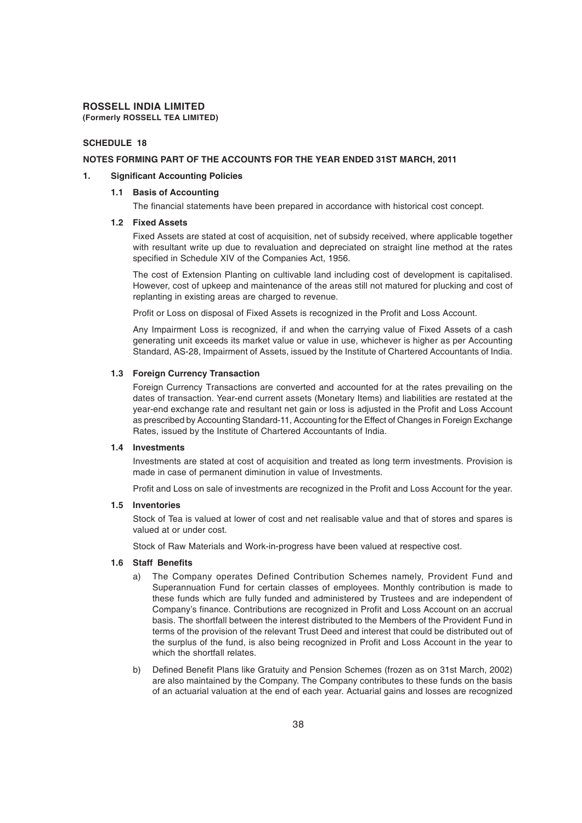#### **SCHEDULE 18**

#### **NOTES FORMING PART OF THE ACCOUNTS FOR THE YEAR ENDED 31ST MARCH, 2011**

#### **1. Significant Accounting Policies**

#### **1.1 Basis of Accounting**

The financial statements have been prepared in accordance with historical cost concept.

#### **1.2 Fixed Assets**

Fixed Assets are stated at cost of acquisition, net of subsidy received, where applicable together with resultant write up due to revaluation and depreciated on straight line method at the rates specified in Schedule XIV of the Companies Act, 1956.

The cost of Extension Planting on cultivable land including cost of development is capitalised. However, cost of upkeep and maintenance of the areas still not matured for plucking and cost of replanting in existing areas are charged to revenue.

Profit or Loss on disposal of Fixed Assets is recognized in the Profit and Loss Account.

Any Impairment Loss is recognized, if and when the carrying value of Fixed Assets of a cash generating unit exceeds its market value or value in use, whichever is higher as per Accounting Standard, AS-28, Impairment of Assets, issued by the Institute of Chartered Accountants of India.

#### **1.3 Foreign Currency Transaction**

Foreign Currency Transactions are converted and accounted for at the rates prevailing on the dates of transaction. Year-end current assets (Monetary Items) and liabilities are restated at the year-end exchange rate and resultant net gain or loss is adjusted in the Profit and Loss Account as prescribed by Accounting Standard-11, Accounting for the Effect of Changes in Foreign Exchange Rates, issued by the Institute of Chartered Accountants of India.

#### **1.4 Investments**

Investments are stated at cost of acquisition and treated as long term investments. Provision is made in case of permanent diminution in value of Investments.

Profit and Loss on sale of investments are recognized in the Profit and Loss Account for the year.

#### **1.5 Inventories**

Stock of Tea is valued at lower of cost and net realisable value and that of stores and spares is valued at or under cost.

Stock of Raw Materials and Work-in-progress have been valued at respective cost.

#### **1.6 Staff Benefits**

- a) The Company operates Defined Contribution Schemes namely, Provident Fund and Superannuation Fund for certain classes of employees. Monthly contribution is made to these funds which are fully funded and administered by Trustees and are independent of Company's finance. Contributions are recognized in Profit and Loss Account on an accrual basis. The shortfall between the interest distributed to the Members of the Provident Fund in terms of the provision of the relevant Trust Deed and interest that could be distributed out of the surplus of the fund, is also being recognized in Profit and Loss Account in the year to which the shortfall relates.
- b) Defined Benefit Plans like Gratuity and Pension Schemes (frozen as on 31st March, 2002) are also maintained by the Company. The Company contributes to these funds on the basis of an actuarial valuation at the end of each year. Actuarial gains and losses are recognized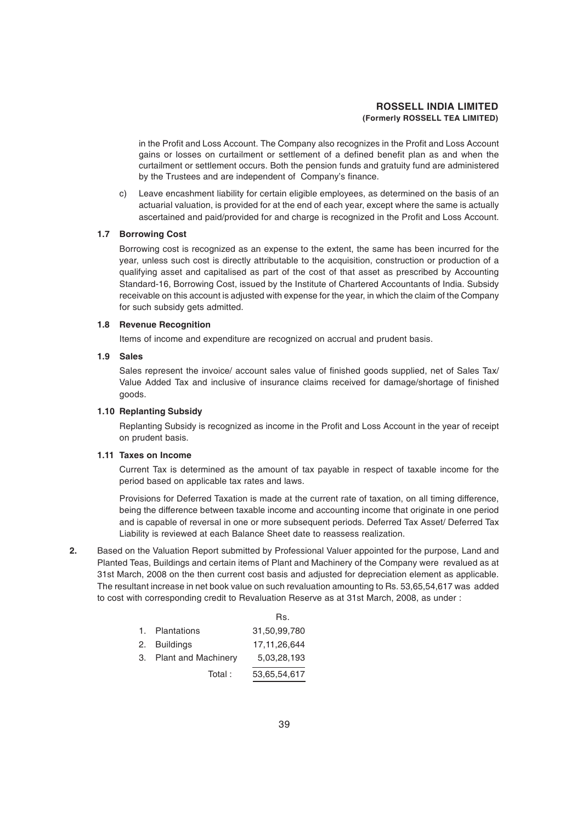in the Profit and Loss Account. The Company also recognizes in the Profit and Loss Account gains or losses on curtailment or settlement of a defined benefit plan as and when the curtailment or settlement occurs. Both the pension funds and gratuity fund are administered by the Trustees and are independent of Company's finance.

c) Leave encashment liability for certain eligible employees, as determined on the basis of an actuarial valuation, is provided for at the end of each year, except where the same is actually ascertained and paid/provided for and charge is recognized in the Profit and Loss Account.

#### **1.7 Borrowing Cost**

Borrowing cost is recognized as an expense to the extent, the same has been incurred for the year, unless such cost is directly attributable to the acquisition, construction or production of a qualifying asset and capitalised as part of the cost of that asset as prescribed by Accounting Standard-16, Borrowing Cost, issued by the Institute of Chartered Accountants of India. Subsidy receivable on this account is adjusted with expense for the year, in which the claim of the Company for such subsidy gets admitted.

#### **1.8 Revenue Recognition**

Items of income and expenditure are recognized on accrual and prudent basis.

#### **1.9 Sales**

Sales represent the invoice/ account sales value of finished goods supplied, net of Sales Tax/ Value Added Tax and inclusive of insurance claims received for damage/shortage of finished goods.

#### **1.10 Replanting Subsidy**

Replanting Subsidy is recognized as income in the Profit and Loss Account in the year of receipt on prudent basis.

#### **1.11 Taxes on Income**

Current Tax is determined as the amount of tax payable in respect of taxable income for the period based on applicable tax rates and laws.

Provisions for Deferred Taxation is made at the current rate of taxation, on all timing difference, being the difference between taxable income and accounting income that originate in one period and is capable of reversal in one or more subsequent periods. Deferred Tax Asset/ Deferred Tax Liability is reviewed at each Balance Sheet date to reassess realization.

**2.** Based on the Valuation Report submitted by Professional Valuer appointed for the purpose, Land and Planted Teas, Buildings and certain items of Plant and Machinery of the Company were revalued as at 31st March, 2008 on the then current cost basis and adjusted for depreciation element as applicable. The resultant increase in net book value on such revaluation amounting to Rs. 53,65,54,617 was added to cost with corresponding credit to Revaluation Reserve as at 31st March, 2008, as under :

Rs.

|                        | ns.             |
|------------------------|-----------------|
| 1. Plantations         | 31.50.99.780    |
| 2. Buildings           | 17, 11, 26, 644 |
| 3. Plant and Machinery | 5.03.28.193     |
| Total:                 | 53,65,54,617    |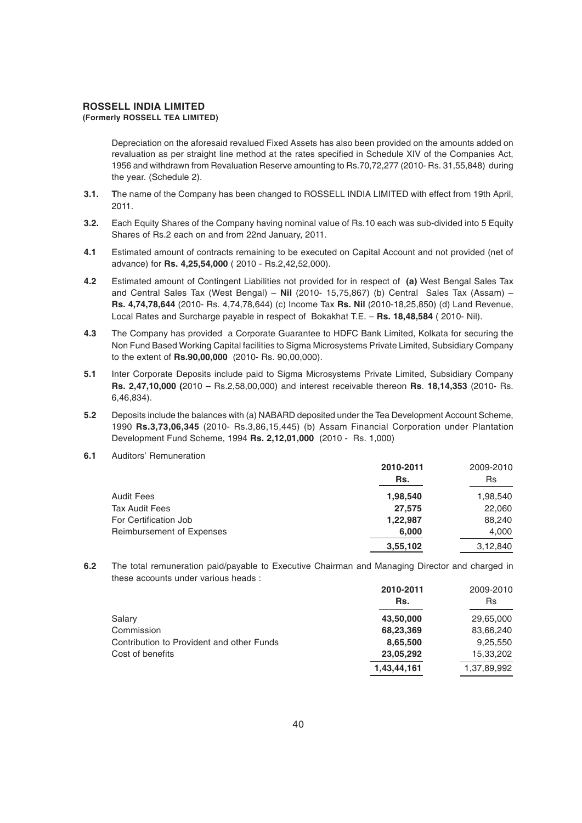Depreciation on the aforesaid revalued Fixed Assets has also been provided on the amounts added on revaluation as per straight line method at the rates specified in Schedule XIV of the Companies Act, 1956 and withdrawn from Revaluation Reserve amounting to Rs.70,72,277 (2010- Rs. 31,55,848) during the year. (Schedule 2).

- **3.1. T**he name of the Company has been changed to ROSSELL INDIA LIMITED with effect from 19th April, 2011.
- **3.2.** Each Equity Shares of the Company having nominal value of Rs.10 each was sub-divided into 5 Equity Shares of Rs.2 each on and from 22nd January, 2011.
- **4.1** Estimated amount of contracts remaining to be executed on Capital Account and not provided (net of advance) for **Rs. 4,25,54,000** ( 2010 - Rs.2,42,52,000).
- **4.2** Estimated amount of Contingent Liabilities not provided for in respect of **(a)** West Bengal Sales Tax and Central Sales Tax (West Bengal) – **Nil** (2010- 15,75,867) (b) Central Sales Tax (Assam) – **Rs. 4,74,78,644** (2010- Rs. 4,74,78,644) (c) Income Tax **Rs. Nil** (2010-18,25,850) (d) Land Revenue, Local Rates and Surcharge payable in respect of Bokakhat T.E. – **Rs. 18,48,584** ( 2010- Nil).
- **4.3** The Company has provided a Corporate Guarantee to HDFC Bank Limited, Kolkata for securing the Non Fund Based Working Capital facilities to Sigma Microsystems Private Limited, Subsidiary Company to the extent of **Rs.90,00,000** (2010- Rs. 90,00,000).
- **5.1** Inter Corporate Deposits include paid to Sigma Microsystems Private Limited, Subsidiary Company **Rs. 2,47,10,000 (**2010 – Rs.2,58,00,000) and interest receivable thereon **Rs**. **18,14,353** (2010- Rs. 6,46,834).
- **5.2** Deposits include the balances with (a) NABARD deposited under the Tea Development Account Scheme, 1990 **Rs.3,73,06,345** (2010- Rs.3,86,15,445) (b) Assam Financial Corporation under Plantation Development Fund Scheme, 1994 **Rs. 2,12,01,000** (2010 - Rs. 1,000)
- **6.1** Auditors' Remuneration

|                                  | 2010-2011 | 2009-2010 |
|----------------------------------|-----------|-----------|
|                                  | Rs.       | Rs        |
| <b>Audit Fees</b>                | 1,98,540  | 1,98,540  |
| <b>Tax Audit Fees</b>            | 27,575    | 22,060    |
| For Certification Job            | 1,22,987  | 88,240    |
| <b>Reimbursement of Expenses</b> | 6,000     | 4,000     |
|                                  | 3,55,102  | 3.12.840  |

**6.2** The total remuneration paid/payable to Executive Chairman and Managing Director and charged in these accounts under various heads :

|                                           | 2010-2011<br>Rs. | 2009-2010<br><b>Rs</b> |
|-------------------------------------------|------------------|------------------------|
| Salary                                    | 43,50,000        | 29,65,000              |
| Commission                                | 68,23,369        | 83,66,240              |
| Contribution to Provident and other Funds | 8,65,500         | 9,25,550               |
| Cost of benefits                          | 23,05,292        | 15,33,202              |
|                                           | 1,43,44,161      | 1,37,89,992            |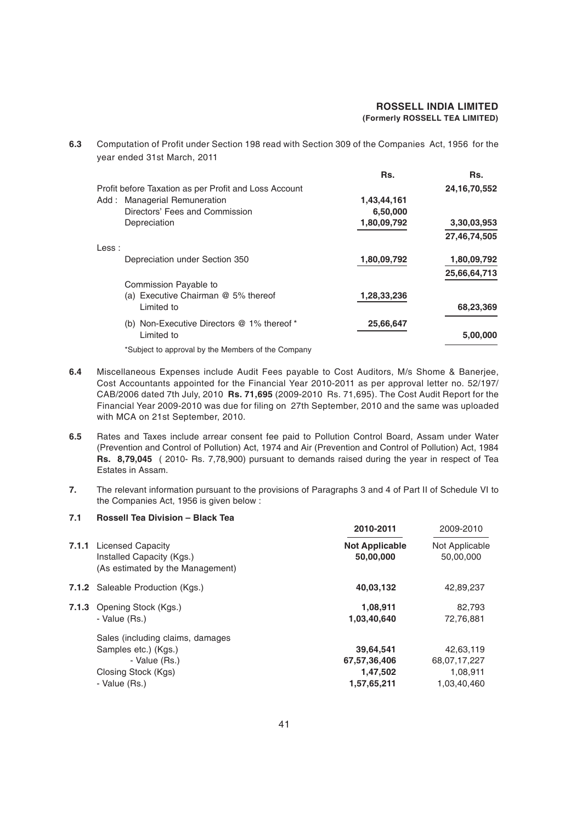**6.3** Computation of Profit under Section 198 read with Section 309 of the Companies Act, 1956 for the year ended 31st March, 2011

|                                                       | Rs.         | Rs.             |
|-------------------------------------------------------|-------------|-----------------|
| Profit before Taxation as per Profit and Loss Account |             | 24, 16, 70, 552 |
| Add: Managerial Remuneration                          | 1,43,44,161 |                 |
| Directors' Fees and Commission                        | 6,50,000    |                 |
| Depreciation                                          | 1,80,09,792 | 3,30,03,953     |
|                                                       |             | 27,46,74,505    |
| Less:                                                 |             |                 |
| Depreciation under Section 350                        | 1,80,09,792 | 1,80,09,792     |
|                                                       |             | 25,66,64,713    |
| Commission Payable to                                 |             |                 |
| (a) Executive Chairman @ 5% thereof                   | 1,28,33,236 |                 |
| Limited to                                            |             | 68,23,369       |
| (b) Non-Executive Directors @ 1% thereof *            | 25,66,647   |                 |
| Limited to                                            |             | 5,00,000        |
|                                                       |             |                 |

\*Subject to approval by the Members of the Company

- **6.4** Miscellaneous Expenses include Audit Fees payable to Cost Auditors, M/s Shome & Banerjee, Cost Accountants appointed for the Financial Year 2010-2011 as per approval letter no. 52/197/ CAB/2006 dated 7th July, 2010 **Rs. 71,695** (2009-2010 Rs. 71,695). The Cost Audit Report for the Financial Year 2009-2010 was due for filing on 27th September, 2010 and the same was uploaded with MCA on 21st September, 2010.
- **6.5** Rates and Taxes include arrear consent fee paid to Pollution Control Board, Assam under Water (Prevention and Control of Pollution) Act, 1974 and Air (Prevention and Control of Pollution) Act, 1984 **Rs. 8,79,045** ( 2010- Rs. 7,78,900) pursuant to demands raised during the year in respect of Tea Estates in Assam.
- **7.** The relevant information pursuant to the provisions of Paragraphs 3 and 4 of Part II of Schedule VI to the Companies Act, 1956 is given below :

#### **7.1 Rossell Tea Division – Black Tea**

|       |                                                                                                                   | 2010-2011                                            | 2009-2010                                            |
|-------|-------------------------------------------------------------------------------------------------------------------|------------------------------------------------------|------------------------------------------------------|
| 7.1.1 | <b>Licensed Capacity</b><br>Installed Capacity (Kgs.)<br>(As estimated by the Management)                         | <b>Not Applicable</b><br>50,00,000                   | Not Applicable<br>50,00,000                          |
|       | 7.1.2 Saleable Production (Kgs.)                                                                                  | 40,03,132                                            | 42,89,237                                            |
|       | 7.1.3 Opening Stock (Kgs.)<br>- Value (Rs.)                                                                       | 1,08,911<br>1,03,40,640                              | 82.793<br>72,76,881                                  |
|       | Sales (including claims, damages<br>Samples etc.) (Kgs.)<br>- Value (Rs.)<br>Closing Stock (Kgs)<br>- Value (Rs.) | 39,64,541<br>67,57,36,406<br>1,47,502<br>1,57,65,211 | 42,63,119<br>68,07,17,227<br>1,08,911<br>1,03,40,460 |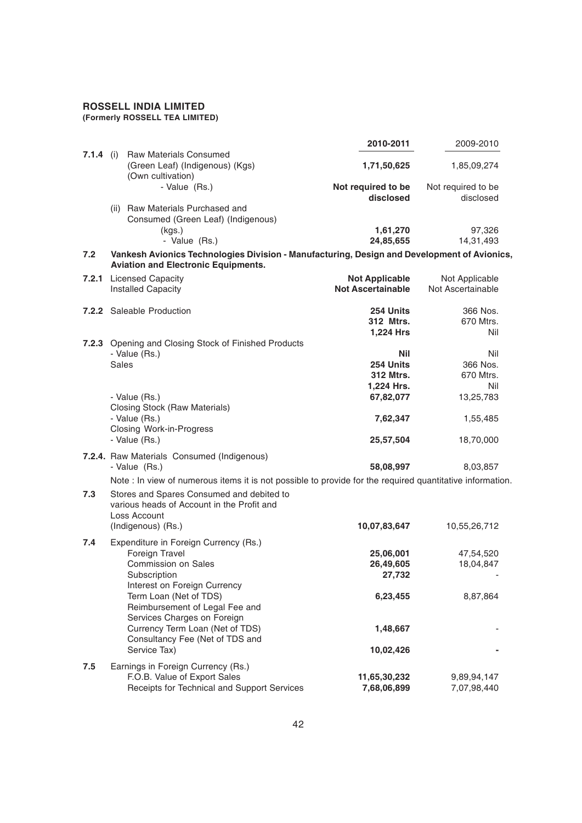#### **2010-2011** 2009-2010 **7.1.4** (i) Raw Materials Consumed (Green Leaf) (Indigenous) (Kgs) **1,71,50,625** 1,85,09,274 (Own cultivation)<br>- Value (Rs.) Not required to be Not required to be **disclosed** disclosed (ii) Raw Materials Purchased and Consumed (Green Leaf) (Indigenous) (kgs.) **1,61,270** 97,326 - Value (Rs.) **24,85,655** 14,31,493 **7.2 Vankesh Avionics Technologies Division - Manufacturing, Design and Development of Avionics, Aviation and Electronic Equipments. 7.2.1** Licensed Capacity **Not Applicable** Not Applicable Installed Capacity **Not Ascertainable** Not Ascertainable **7.2.2** Saleable Production **254 Units** 366 Nos. **312 Mtrs.** 670 Mtrs. **1.224 Hrs** Nil **7.2.3** Opening and Closing Stock of Finished Products - Value (Rs.) **Nil** Nil Sales **254 Units** 366 Nos. **312 Mtrs.** 670 Mtrs. **1,224 Hrs.** Nil - Value (Rs.) **67,82,077** 13,25,783 Closing Stock (Raw Materials) - Value (Rs.) **7,62,347** 1,55,485 Closing Work-in-Progress - Value (Rs.) **25,57,504** 18,70,000 **7.2.4.** Raw Materials Consumed (Indigenous) - Value (Rs.) **58,08,997** 8,03,857 Note : In view of numerous items it is not possible to provide for the required quantitative information. **7.3** Stores and Spares Consumed and debited to various heads of Account in the Profit and Loss Account (Indigenous) (Rs.) **10,07,83,647** 10,55,26,712 **7.4** Expenditure in Foreign Currency (Rs.) Foreign Travel **25,06,001** 47,54,520 Commission on Sales **26,49,605** 18,04,847 Subscription **27,732** Interest on Foreign Currency Term Loan (Net of TDS) **6,23,455** 8,87,864 Reimbursement of Legal Fee and Services Charges on Foreign Currency Term Loan (Net of TDS) **1,48,667**

**7.5** Earnings in Foreign Currency (Rs.) F.O.B. Value of Export Sales **11,65,30,232** 9,89,94,147 Receipts for Technical and Support Services **7,68,06,899** 7,07,98,440

**10,02,426 10,02,426** 

Consultancy Fee (Net of TDS and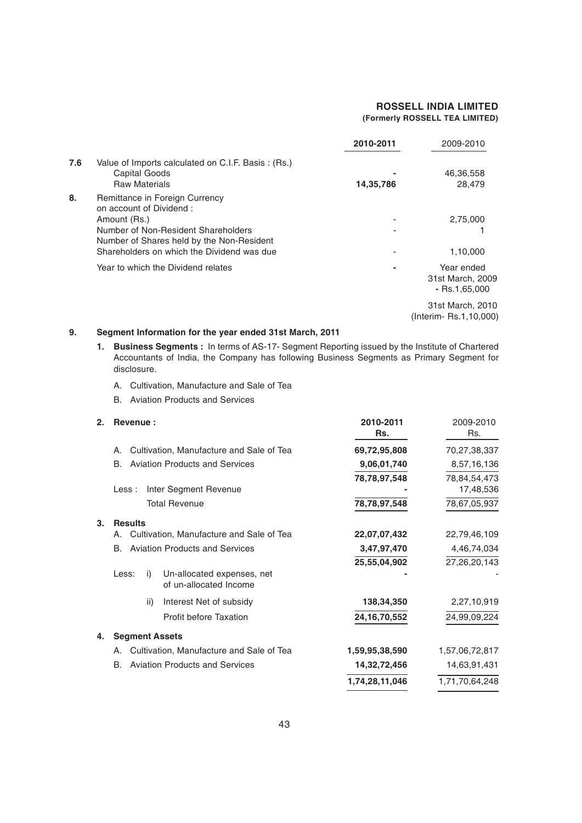|     |                                                                                                                                                                                                             | 2010-2011 | 2009-2010                                         |
|-----|-------------------------------------------------------------------------------------------------------------------------------------------------------------------------------------------------------------|-----------|---------------------------------------------------|
| 7.6 | Value of Imports calculated on C.I.F. Basis: (Rs.)<br>Capital Goods<br><b>Raw Materials</b>                                                                                                                 | 14,35,786 | 46,36,558<br>28,479                               |
| 8.  | Remittance in Foreign Currency<br>on account of Dividend:<br>Amount (Rs.)<br>Number of Non-Resident Shareholders<br>Number of Shares held by the Non-Resident<br>Shareholders on which the Dividend was due |           | 2,75,000<br>1,10,000                              |
|     | Year to which the Dividend relates                                                                                                                                                                          |           | Year ended<br>31st March, 2009<br>$-$ Rs.1,65,000 |
|     |                                                                                                                                                                                                             |           | 31st March, 2010<br>(Interim-Rs.1,10,000)         |

#### **9. Segment Information for the year ended 31st March, 2011**

- **1. Business Segments :** In terms of AS-17- Segment Reporting issued by the Institute of Chartered Accountants of India, the Company has following Business Segments as Primary Segment for disclosure.
	- A. Cultivation, Manufacture and Sale of Tea
	- B. Aviation Products and Services

| 2. | Revenue:                                                            | 2010-2011<br>Rs. | 2009-2010<br>Rs. |
|----|---------------------------------------------------------------------|------------------|------------------|
|    | Cultivation, Manufacture and Sale of Tea<br>Α.                      | 69,72,95,808     | 70,27,38,337     |
|    | <b>B.</b><br><b>Aviation Products and Services</b>                  | 9,06,01,740      | 8,57,16,136      |
|    |                                                                     | 78,78,97,548     | 78,84,54,473     |
|    | Inter Segment Revenue<br>Less :                                     |                  | 17,48,536        |
|    | <b>Total Revenue</b>                                                | 78,78,97,548     | 78,67,05,937     |
| 3. | <b>Results</b>                                                      |                  |                  |
|    | Cultivation, Manufacture and Sale of Tea<br>А.                      | 22,07,07,432     | 22,79,46,109     |
|    | <b>Aviation Products and Services</b><br>В.                         | 3,47,97,470      | 4,46,74,034      |
|    |                                                                     | 25,55,04,902     | 27,26,20,143     |
|    | Less:<br>Un-allocated expenses, net<br>i)<br>of un-allocated Income |                  |                  |
|    | Interest Net of subsidy<br>ii)                                      | 138,34,350       | 2,27,10,919      |
|    | <b>Profit before Taxation</b>                                       | 24, 16, 70, 552  | 24,99,09,224     |
| 4. | <b>Segment Assets</b>                                               |                  |                  |
|    | Cultivation, Manufacture and Sale of Tea<br>А.                      | 1,59,95,38,590   | 1,57,06,72,817   |
|    | <b>B.</b><br><b>Aviation Products and Services</b>                  | 14,32,72,456     | 14,63,91,431     |
|    |                                                                     | 1,74,28,11,046   | 1,71,70,64,248   |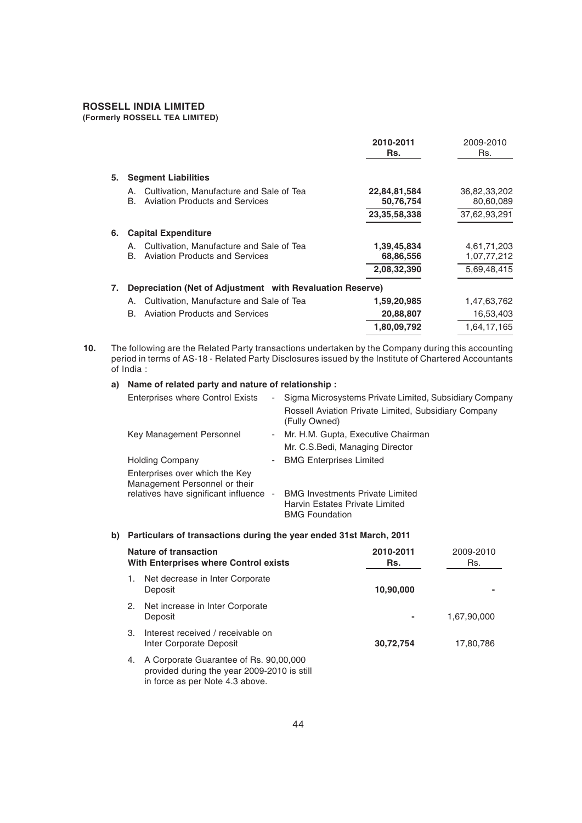#### **ROSSELL INDIA LIMITED**

#### **(Formerly ROSSELL TEA LIMITED)**

|    |                                                                                               | 2010-2011<br>Rs.                          | 2009-2010<br>Rs.                          |
|----|-----------------------------------------------------------------------------------------------|-------------------------------------------|-------------------------------------------|
| 5. | <b>Segment Liabilities</b>                                                                    |                                           |                                           |
|    | Cultivation, Manufacture and Sale of Tea<br>А.<br><b>Aviation Products and Services</b><br>В. | 22,84,81,584<br>50,76,754<br>23,35,58,338 | 36,82,33,202<br>80,60,089<br>37,62,93,291 |
| 6. | <b>Capital Expenditure</b>                                                                    |                                           |                                           |
|    | Cultivation, Manufacture and Sale of Tea<br>А.<br><b>Aviation Products and Services</b><br>В. | 1,39,45,834<br>68,86,556<br>2,08,32,390   | 4,61,71,203<br>1,07,77,212<br>5,69,48,415 |
| 7. | Depreciation (Net of Adjustment with Revaluation Reserve)                                     |                                           |                                           |
|    | Cultivation, Manufacture and Sale of Tea<br>А.                                                | 1,59,20,985                               | 1,47,63,762                               |
|    | В.<br><b>Aviation Products and Services</b>                                                   | 20,88,807                                 | 16,53,403                                 |
|    |                                                                                               | 1,80,09,792                               | 1.64.17.165                               |

**<sup>10.</sup>** The following are the Related Party transactions undertaken by the Company during this accounting period in terms of AS-18 - Related Party Disclosures issued by the Institute of Chartered Accountants of India :

#### **a) Name of related party and nature of relationship :**

| <b>Enterprises where Control Exists</b>                         | $\sim$                   | Sigma Microsystems Private Limited, Subsidiary Company                                            |
|-----------------------------------------------------------------|--------------------------|---------------------------------------------------------------------------------------------------|
|                                                                 |                          | Rossell Aviation Private Limited, Subsidiary Company<br>(Fully Owned)                             |
| Key Management Personnel                                        |                          | - Mr. H.M. Gupta, Executive Chairman                                                              |
|                                                                 |                          | Mr. C.S. Bedi, Managing Director                                                                  |
| <b>Holding Company</b>                                          | ۰                        | <b>BMG Enterprises Limited</b>                                                                    |
| Enterprises over which the Key<br>Management Personnel or their |                          |                                                                                                   |
| relatives have significant influence                            | $\overline{\phantom{a}}$ | <b>BMG Investments Private Limited</b><br>Harvin Estates Private Limited<br><b>BMG Foundation</b> |
|                                                                 |                          |                                                                                                   |

#### **b) Particulars of transactions during the year ended 31st March, 2011**

| Nature of transaction<br><b>With Enterprises where Control exists</b>                                                          | 2010-2011<br>Rs. | 2009-2010<br>Rs. |
|--------------------------------------------------------------------------------------------------------------------------------|------------------|------------------|
| Net decrease in Inter Corporate<br>1.<br>Deposit                                                                               | 10,90,000        |                  |
| Net increase in Inter Corporate<br>2.<br>Deposit                                                                               |                  | 1,67,90,000      |
| Interest received / receivable on<br>З.<br>Inter Corporate Deposit                                                             | 30,72,754        | 17.80.786        |
| A Corporate Guarantee of Rs. 90,00,000<br>4.<br>provided during the year 2009-2010 is still<br>in force as per Note 4.3 above. |                  |                  |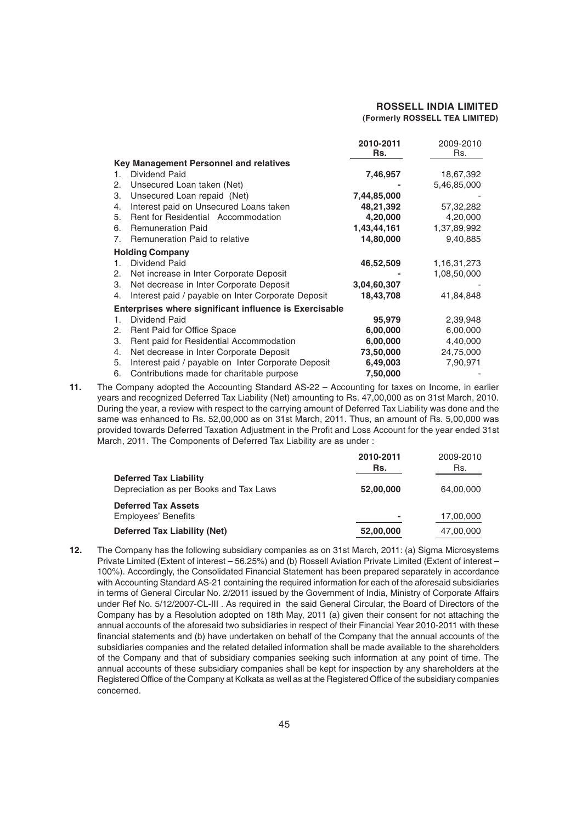|    |                                                        | 2010-2011   | 2009-2010   |
|----|--------------------------------------------------------|-------------|-------------|
|    |                                                        | Rs.         | Rs.         |
|    | Key Management Personnel and relatives                 |             |             |
| 1. | Dividend Paid                                          | 7,46,957    | 18,67,392   |
| 2. | Unsecured Loan taken (Net)                             |             | 5,46,85,000 |
| З. | Unsecured Loan repaid (Net)                            | 7,44,85,000 |             |
| 4. | Interest paid on Unsecured Loans taken                 | 48,21,392   | 57,32,282   |
| 5. | Rent for Residential Accommodation                     | 4,20,000    | 4,20,000    |
| 6. | <b>Remuneration Paid</b>                               | 1,43,44,161 | 1,37,89,992 |
| 7. | Remuneration Paid to relative                          | 14,80,000   | 9,40,885    |
|    | <b>Holding Company</b>                                 |             |             |
| 1. | Dividend Paid                                          | 46,52,509   | 1,16,31,273 |
| 2. | Net increase in Inter Corporate Deposit                |             | 1,08,50,000 |
| 3. | Net decrease in Inter Corporate Deposit                | 3,04,60,307 |             |
| 4. | Interest paid / payable on Inter Corporate Deposit     | 18,43,708   | 41,84,848   |
|    | Enterprises where significant influence is Exercisable |             |             |
| 1. | Dividend Paid                                          | 95,979      | 2,39,948    |
| 2. | Rent Paid for Office Space                             | 6,00,000    | 6,00,000    |
| З. | Rent paid for Residential Accommodation                | 6,00,000    | 4,40,000    |
| 4. | Net decrease in Inter Corporate Deposit                | 73,50,000   | 24,75,000   |
| 5. | Interest paid / payable on Inter Corporate Deposit     | 6,49,003    | 7,90,971    |
| 6. | Contributions made for charitable purpose              | 7,50,000    |             |

**11.** The Company adopted the Accounting Standard AS-22 – Accounting for taxes on Income, in earlier years and recognized Deferred Tax Liability (Net) amounting to Rs. 47,00,000 as on 31st March, 2010. During the year, a review with respect to the carrying amount of Deferred Tax Liability was done and the same was enhanced to Rs. 52,00,000 as on 31st March, 2011. Thus, an amount of Rs. 5,00,000 was provided towards Deferred Taxation Adjustment in the Profit and Loss Account for the year ended 31st March, 2011. The Components of Deferred Tax Liability are as under :

|                                                                         | 2010-2011<br>Rs. | 2009-2010<br>Rs. |
|-------------------------------------------------------------------------|------------------|------------------|
| <b>Deferred Tax Liability</b><br>Depreciation as per Books and Tax Laws | 52,00,000        | 64.00.000        |
| <b>Deferred Tax Assets</b><br><b>Employees' Benefits</b>                | $\blacksquare$   | 17,00,000        |
| Deferred Tax Liability (Net)                                            | 52,00,000        | 47,00,000        |

**12.** The Company has the following subsidiary companies as on 31st March, 2011: (a) Sigma Microsystems Private Limited (Extent of interest – 56.25%) and (b) Rossell Aviation Private Limited (Extent of interest – 100%). Accordingly, the Consolidated Financial Statement has been prepared separately in accordance with Accounting Standard AS-21 containing the required information for each of the aforesaid subsidiaries in terms of General Circular No. 2/2011 issued by the Government of India, Ministry of Corporate Affairs under Ref No. 5/12/2007-CL-III . As required in the said General Circular, the Board of Directors of the Company has by a Resolution adopted on 18th May, 2011 (a) given their consent for not attaching the annual accounts of the aforesaid two subsidiaries in respect of their Financial Year 2010-2011 with these financial statements and (b) have undertaken on behalf of the Company that the annual accounts of the subsidiaries companies and the related detailed information shall be made available to the shareholders of the Company and that of subsidiary companies seeking such information at any point of time. The annual accounts of these subsidiary companies shall be kept for inspection by any shareholders at the Registered Office of the Company at Kolkata as well as at the Registered Office of the subsidiary companies concerned.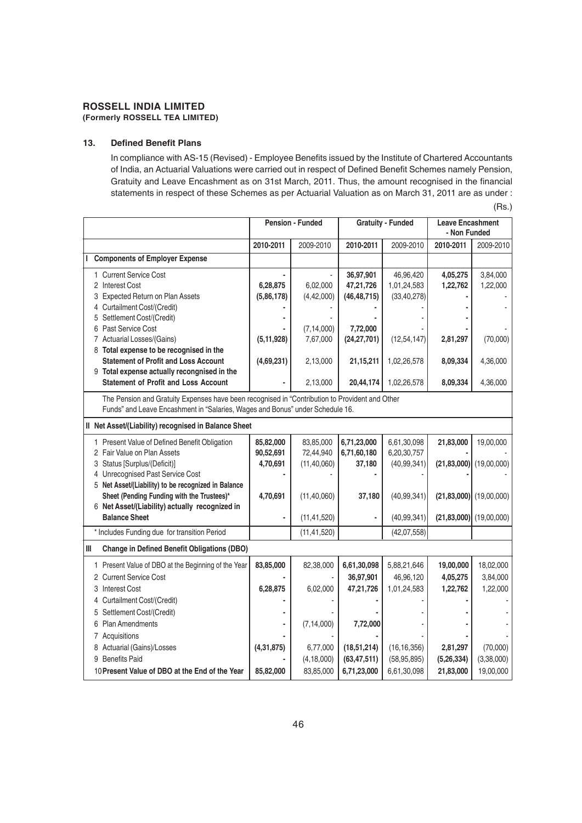#### **13. Defined Benefit Plans**

In compliance with AS-15 (Revised) - Employee Benefits issued by the Institute of Chartered Accountants of India, an Actuarial Valuations were carried out in respect of Defined Benefit Schemes namely Pension, Gratuity and Leave Encashment as on 31st March, 2011. Thus, the amount recognised in the financial statements in respect of these Schemes as per Actuarial Valuation as on March 31, 2011 are as under :

|                                                                                                                                                                                 | <b>Pension - Funded</b>            |                                         |                                         | <b>Gratuity - Funded</b>                    |                                   | <b>Leave Encashment</b><br>- Non Funded                |
|---------------------------------------------------------------------------------------------------------------------------------------------------------------------------------|------------------------------------|-----------------------------------------|-----------------------------------------|---------------------------------------------|-----------------------------------|--------------------------------------------------------|
|                                                                                                                                                                                 | 2010-2011                          | 2009-2010                               | 2010-2011                               | 2009-2010                                   | 2010-2011                         | 2009-2010                                              |
| <b>Components of Employer Expense</b><br>L                                                                                                                                      |                                    |                                         |                                         |                                             |                                   |                                                        |
| 1 Current Service Cost<br>2 Interest Cost<br>3 Expected Return on Plan Assets<br>4 Curtailment Cost/(Credit)                                                                    | 6,28,875<br>(5,86,178)             | 6,02,000<br>(4, 42, 000)                | 36,97,901<br>47,21,726<br>(46, 48, 715) | 46,96,420<br>1,01,24,583<br>(33, 40, 278)   | 4,05,275<br>1,22,762              | 3,84,000<br>1,22,000                                   |
| 5 Settlement Cost/(Credit)<br>6 Past Service Cost<br>7 Actuarial Losses/(Gains)<br>8 Total expense to be recognised in the                                                      | (5, 11, 928)                       | (7, 14, 000)<br>7,67,000                | 7,72,000<br>(24, 27, 701)               | (12, 54, 147)                               | 2,81,297                          | (70,000)                                               |
| <b>Statement of Profit and Loss Account</b><br>9 Total expense actually recongnised in the                                                                                      | (4,69,231)                         | 2,13,000                                | 21,15,211                               | 1,02,26,578                                 | 8,09,334                          | 4,36,000                                               |
| <b>Statement of Profit and Loss Account</b>                                                                                                                                     |                                    | 2,13,000                                | 20,44,174                               | 1,02,26,578                                 | 8,09,334                          | 4,36,000                                               |
| The Pension and Gratuity Expenses have been recognised in "Contribution to Provident and Other<br>Funds" and Leave Encashment in "Salaries, Wages and Bonus" under Schedule 16. |                                    |                                         |                                         |                                             |                                   |                                                        |
| Il Net Asset/(Liability) recognised in Balance Sheet                                                                                                                            |                                    |                                         |                                         |                                             |                                   |                                                        |
| 1 Present Value of Defined Benefit Obligation<br>2 Fair Value on Plan Assets<br>3 Status [Surplus/(Deficit)]<br>4 Unrecognised Past Service Cost                                | 85,82,000<br>90,52,691<br>4,70,691 | 83,85,000<br>72,44,940<br>(11, 40, 060) | 6,71,23,000<br>6,71,60,180<br>37,180    | 6,61,30,098<br>6,20,30,757<br>(40, 99, 341) | 21,83,000                         | 19,00,000<br>$(21, 83, 000)$ (19,00,000)               |
| 5 Net Asset/(Liability) to be recognized in Balance<br>Sheet (Pending Funding with the Trustees)*<br>6 Net Asset/(Liability) actually recognized in<br><b>Balance Sheet</b>     | 4,70,691                           | (11, 40, 060)<br>(11, 41, 520)          | 37,180                                  | (40, 99, 341)<br>(40, 99, 341)              |                                   | $(21,83,000)$ (19,00,000)<br>$(21,83,000)$ (19,00,000) |
| * Includes Funding due for transition Period                                                                                                                                    |                                    |                                         |                                         |                                             |                                   |                                                        |
|                                                                                                                                                                                 |                                    | (11, 41, 520)                           |                                         | (42,07,558)                                 |                                   |                                                        |
| $\ensuremath{\mathsf{III}}\xspace$<br><b>Change in Defined Benefit Obligations (DBO)</b>                                                                                        |                                    |                                         |                                         |                                             |                                   |                                                        |
| 1 Present Value of DBO at the Beginning of the Year<br>2 Current Service Cost<br>3 Interest Cost                                                                                | 83,85,000<br>6,28,875              | 82,38,000<br>6,02,000                   | 6,61,30,098<br>36,97,901<br>47,21,726   | 5,88,21,646<br>46,96,120<br>1,01,24,583     | 19,00,000<br>4,05,275<br>1,22,762 | 18,02,000<br>3,84,000<br>1,22,000                      |
| 4 Curtailment Cost/(Credit)<br>5 Settlement Cost/(Credit)<br>6 Plan Amendments                                                                                                  |                                    | (7, 14, 000)                            | 7,72,000                                |                                             |                                   |                                                        |
| 7 Acquisitions<br>8 Actuarial (Gains)/Losses<br>9 Benefits Paid                                                                                                                 | (4, 31, 875)                       | 6,77,000<br>(4, 18, 000)                | (18,51,214)<br>(63, 47, 511)            | (16, 16, 356)<br>(58, 95, 895)              | 2,81,297<br>(5, 26, 334)          | (70,000)<br>(3,38,000)                                 |
| 10 Present Value of DBO at the End of the Year                                                                                                                                  | 85,82,000                          | 83,85,000                               | 6,71,23,000                             | 6,61,30,098                                 | 21,83,000                         | 19,00,000                                              |

(Rs.)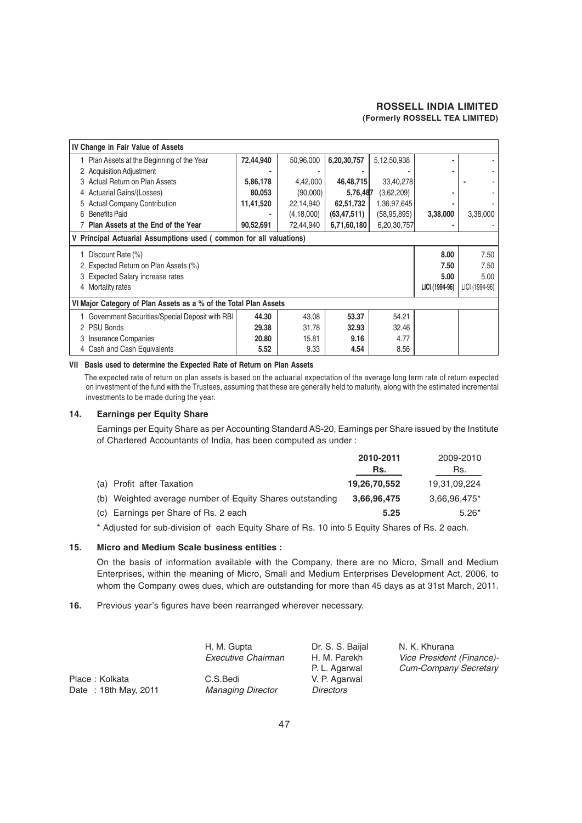| IV Change in Fair Value of Assets                                  |           |              |               |               |                |                |
|--------------------------------------------------------------------|-----------|--------------|---------------|---------------|----------------|----------------|
| Plan Assets at the Beginning of the Year                           | 72,44,940 | 50,96,000    | 6,20,30,757   | 5,12,50,938   |                |                |
| <b>Acquisition Adjustment</b>                                      |           |              |               |               |                |                |
| Actual Return on Plan Assets                                       | 5,86,178  | 4,42,000     | 46,48,715     | 33,40,278     |                |                |
| Actuarial Gains/(Losses)                                           | 80,053    | (90,000)     | 5,76,487      | (3,62,209)    |                |                |
| <b>Actual Company Contribution</b>                                 | 11,41,520 | 22,14,940    | 62,51,732     | 1,36,97,645   |                |                |
| <b>Benefits Paid</b><br>6                                          |           | (4, 18, 000) | (63, 47, 511) | (58, 95, 895) | 3,38,000       | 3,38,000       |
| Plan Assets at the End of the Year                                 | 90,52,691 | 72,44,940    | 6,71,60,180   | 6,20,30,757   |                |                |
| V Principal Actuarial Assumptions used (common for all valuations) |           |              |               |               |                |                |
| Discount Rate (%)                                                  |           |              |               |               | 8.00           | 7.50           |
| Expected Return on Plan Assets (%)                                 |           |              |               |               | 7.50           | 7.50           |
| <b>Expected Salary increase rates</b>                              |           |              |               |               | 5.00           | 5.00           |
| Mortality rates<br>4                                               |           |              |               |               | LICI (1994-96) | LICI (1994-96) |
| VI Major Category of Plan Assets as a % of the Total Plan Assets   |           |              |               |               |                |                |
| Government Securities/Special Deposit with RBI                     | 44.30     | 43.08        | 53.37         | 54.21         |                |                |
| <b>PSU Bonds</b><br>2                                              | 29.38     | 31.78        | 32.93         | 32.46         |                |                |
| Insurance Companies                                                | 20.80     | 15.81        | 9.16          | 4.77          |                |                |
| 4 Cash and Cash Equivalents                                        | 5.52      | 9.33         | 4.54          | 8.56          |                |                |

#### **VII Basis used to determine the Expected Rate of Return on Plan Assets**

The expected rate of return on plan assets is based on the actuarial expectation of the average long term rate of return expected on investment of the fund with the Trustees, assuming that these are generally held to maturity, along with the estimated incremental investments to be made during the year.

#### **14. Earnings per Equity Share**

Earnings per Equity Share as per Accounting Standard AS-20, Earnings per Share issued by the Institute of Chartered Accountants of India, has been computed as under :

|                                                          | 2010-2011    | 2009-2010      |
|----------------------------------------------------------|--------------|----------------|
|                                                          | Rs.          | Rs.            |
| (a) Profit after Taxation                                | 19,26,70,552 | 19,31,09,224   |
| (b) Weighted average number of Equity Shares outstanding | 3,66,96,475  | $3.66.96.475*$ |
| (c) Earnings per Share of Rs. 2 each                     | 5.25         | $5.26*$        |

\* Adjusted for sub-division of each Equity Share of Rs. 10 into 5 Equity Shares of Rs. 2 each.

#### **15. Micro and Medium Scale business entities :**

On the basis of information available with the Company, there are no Micro, Small and Medium Enterprises, within the meaning of Micro, Small and Medium Enterprises Development Act, 2006, to whom the Company owes dues, which are outstanding for more than 45 days as at 31st March, 2011.

#### **16.** Previous year's figures have been rearranged wherever necessary.

|                      | H. M. Gupta<br>Executive Chairman | Dr. S. S. Baijal<br>H. M. Parekh | N. K. Khurana<br>Vice President (Finance)- |
|----------------------|-----------------------------------|----------------------------------|--------------------------------------------|
|                      |                                   | P. L. Agarwal                    | <b>Cum-Company Secretary</b>               |
| Place: Kolkata       | C.S.Bedi                          | V. P. Agarwal                    |                                            |
| Date: 18th May, 2011 | <b>Managing Director</b>          | <b>Directors</b>                 |                                            |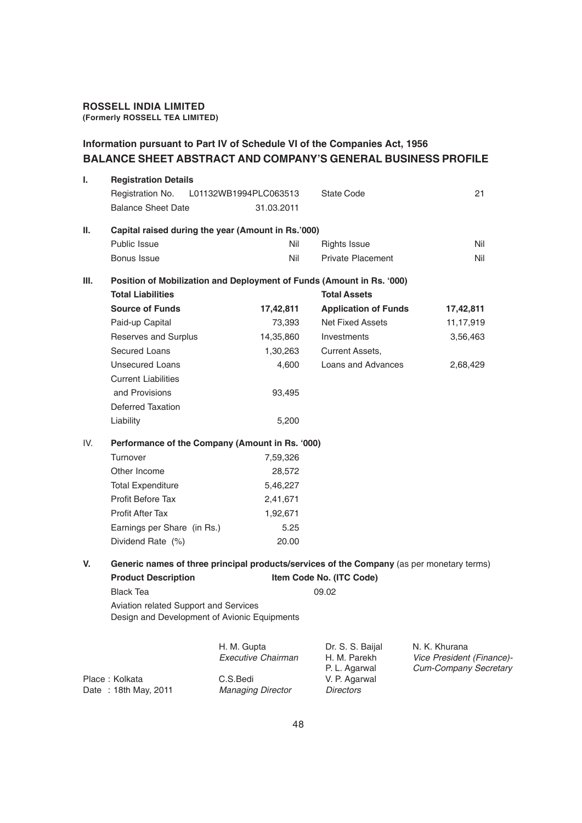## **ROSSELL INDIA LIMITED**

**(Formerly ROSSELL TEA LIMITED)**

#### **Information pursuant to Part IV of Schedule VI of the Companies Act, 1956 BALANCE SHEET ABSTRACT AND COMPANY'S GENERAL BUSINESS PROFILE**

| I.   | <b>Registration Details</b>                                                               |                                      |                                   |                                                    |  |  |  |
|------|-------------------------------------------------------------------------------------------|--------------------------------------|-----------------------------------|----------------------------------------------------|--|--|--|
|      | Registration No.                                                                          | L01132WB1994PLC063513                | <b>State Code</b>                 | 21                                                 |  |  |  |
|      | <b>Balance Sheet Date</b>                                                                 | 31.03.2011                           |                                   |                                                    |  |  |  |
| Ш.   | Capital raised during the year (Amount in Rs.'000)                                        |                                      |                                   |                                                    |  |  |  |
|      | Public Issue                                                                              | Nil                                  | <b>Rights Issue</b>               | Nil                                                |  |  |  |
|      | Bonus Issue                                                                               | Nil                                  | <b>Private Placement</b>          | Nil                                                |  |  |  |
| III. | Position of Mobilization and Deployment of Funds (Amount in Rs. '000)                     |                                      |                                   |                                                    |  |  |  |
|      | <b>Total Liabilities</b>                                                                  |                                      | <b>Total Assets</b>               |                                                    |  |  |  |
|      | <b>Source of Funds</b>                                                                    | 17,42,811                            | <b>Application of Funds</b>       | 17,42,811                                          |  |  |  |
|      | Paid-up Capital                                                                           | 73,393                               | <b>Net Fixed Assets</b>           | 11,17,919                                          |  |  |  |
|      | Reserves and Surplus                                                                      | 14,35,860                            | Investments                       | 3,56,463                                           |  |  |  |
|      | <b>Secured Loans</b>                                                                      | 1,30,263                             | Current Assets,                   |                                                    |  |  |  |
|      | <b>Unsecured Loans</b>                                                                    | 4,600                                | Loans and Advances                | 2,68,429                                           |  |  |  |
|      | <b>Current Liabilities</b>                                                                |                                      |                                   |                                                    |  |  |  |
|      | and Provisions                                                                            | 93,495                               |                                   |                                                    |  |  |  |
|      | <b>Deferred Taxation</b>                                                                  |                                      |                                   |                                                    |  |  |  |
|      | Liability                                                                                 | 5,200                                |                                   |                                                    |  |  |  |
| IV.  | Performance of the Company (Amount in Rs. '000)                                           |                                      |                                   |                                                    |  |  |  |
|      | Turnover                                                                                  | 7,59,326                             |                                   |                                                    |  |  |  |
|      | Other Income                                                                              | 28,572                               |                                   |                                                    |  |  |  |
|      | <b>Total Expenditure</b>                                                                  | 5,46,227                             |                                   |                                                    |  |  |  |
|      | Profit Before Tax                                                                         | 2,41,671                             |                                   |                                                    |  |  |  |
|      | <b>Profit After Tax</b>                                                                   | 1,92,671                             |                                   |                                                    |  |  |  |
|      | Earnings per Share (in Rs.)                                                               | 5.25                                 |                                   |                                                    |  |  |  |
|      | Dividend Rate (%)                                                                         | 20.00                                |                                   |                                                    |  |  |  |
| V.   | Generic names of three principal products/services of the Company (as per monetary terms) |                                      |                                   |                                                    |  |  |  |
|      | <b>Product Description</b>                                                                |                                      | Item Code No. (ITC Code)          |                                                    |  |  |  |
|      | <b>Black Tea</b>                                                                          |                                      | 09.02                             |                                                    |  |  |  |
|      | Aviation related Support and Services<br>Design and Development of Avionic Equipments     |                                      |                                   |                                                    |  |  |  |
|      |                                                                                           | H. M. Gupta                          | Dr. S. S. Baijal                  | N. K. Khurana                                      |  |  |  |
|      |                                                                                           | <b>Executive Chairman</b>            | H. M. Parekh<br>P. L. Agarwal     | Vice President (Finance)-<br>Cum-Company Secretary |  |  |  |
|      | Place: Kolkata<br>Date: 18th May, 2011                                                    | C.S.Bedi<br><b>Managing Director</b> | V. P. Agarwal<br><b>Directors</b> |                                                    |  |  |  |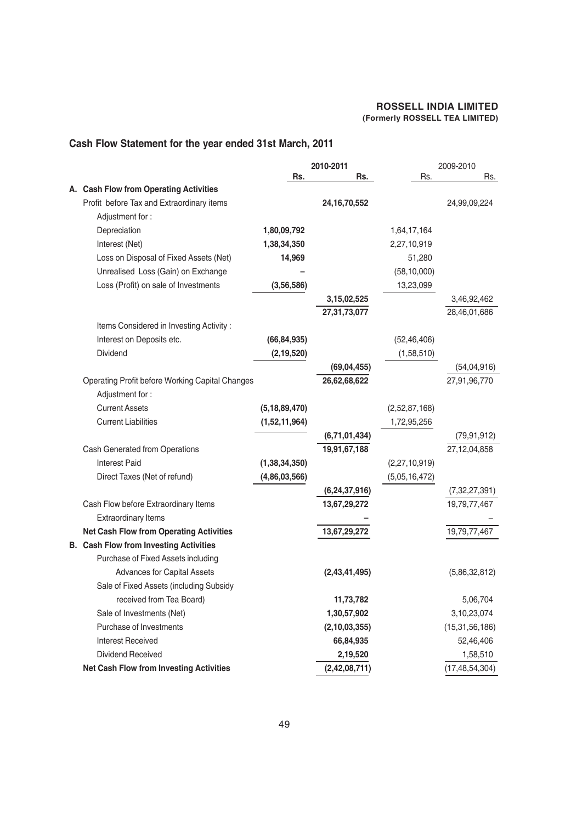#### **Cash Flow Statement for the year ended 31st March, 2011**

|                                                 |                  | 2010-2011        | 2009-2010     |                   |
|-------------------------------------------------|------------------|------------------|---------------|-------------------|
|                                                 | Rs.              | Rs.              | Rs.           | Rs.               |
| A. Cash Flow from Operating Activities          |                  |                  |               |                   |
| Profit before Tax and Extraordinary items       |                  | 24, 16, 70, 552  |               | 24,99,09,224      |
| Adjustment for:                                 |                  |                  |               |                   |
| Depreciation                                    | 1,80,09,792      |                  | 1,64,17,164   |                   |
| Interest (Net)                                  | 1,38,34,350      |                  | 2,27,10,919   |                   |
| Loss on Disposal of Fixed Assets (Net)          | 14,969           |                  | 51,280        |                   |
| Unrealised Loss (Gain) on Exchange              |                  |                  | (58, 10, 000) |                   |
| Loss (Profit) on sale of Investments            | (3, 56, 586)     |                  | 13,23,099     |                   |
|                                                 |                  | 3, 15, 02, 525   |               | 3,46,92,462       |
|                                                 |                  | 27,31,73,077     |               | 28,46,01,686      |
| Items Considered in Investing Activity:         |                  |                  |               |                   |
| Interest on Deposits etc.                       | (66, 84, 935)    |                  | (52, 46, 406) |                   |
| Dividend                                        | (2, 19, 520)     |                  | (1,58,510)    |                   |
|                                                 |                  | (69, 04, 455)    |               | (54, 04, 916)     |
| Operating Profit before Working Capital Changes |                  | 26,62,68,622     |               | 27,91,96,770      |
| Adjustment for:                                 |                  |                  |               |                   |
| <b>Current Assets</b>                           | (5, 18, 89, 470) |                  | (2,52,87,168) |                   |
| <b>Current Liabilities</b>                      | (1,52,11,964)    |                  | 1,72,95,256   |                   |
|                                                 |                  | (6,71,01,434)    |               | (79, 91, 912)     |
| Cash Generated from Operations                  |                  | 19,91,67,188     |               | 27, 12, 04, 858   |
| <b>Interest Paid</b>                            | (1, 38, 34, 350) |                  | (2,27,10,919) |                   |
| Direct Taxes (Net of refund)                    | (4,86,03,566)    |                  | (5,05,16,472) |                   |
|                                                 |                  | (6, 24, 37, 916) |               | (7,32,27,391)     |
| Cash Flow before Extraordinary Items            |                  | 13,67,29,272     |               | 19,79,77,467      |
| <b>Extraordinary Items</b>                      |                  |                  |               |                   |
| <b>Net Cash Flow from Operating Activities</b>  |                  | 13,67,29,272     |               | 19,79,77,467      |
| <b>B.</b> Cash Flow from Investing Activities   |                  |                  |               |                   |
| Purchase of Fixed Assets including              |                  |                  |               |                   |
| <b>Advances for Capital Assets</b>              |                  | (2,43,41,495)    |               | (5,86,32,812)     |
| Sale of Fixed Assets (including Subsidy         |                  |                  |               |                   |
| received from Tea Board)                        |                  | 11,73,782        |               | 5,06,704          |
| Sale of Investments (Net)                       |                  | 1,30,57,902      |               | 3,10,23,074       |
| Purchase of Investments                         |                  | (2, 10, 03, 355) |               | (15, 31, 56, 186) |
| <b>Interest Received</b>                        |                  | 66,84,935        |               | 52,46,406         |
| Dividend Received                               |                  | 2,19,520         |               | 1,58,510          |
| <b>Net Cash Flow from Investing Activities</b>  |                  | (2, 42, 08, 711) |               | (17, 48, 54, 304) |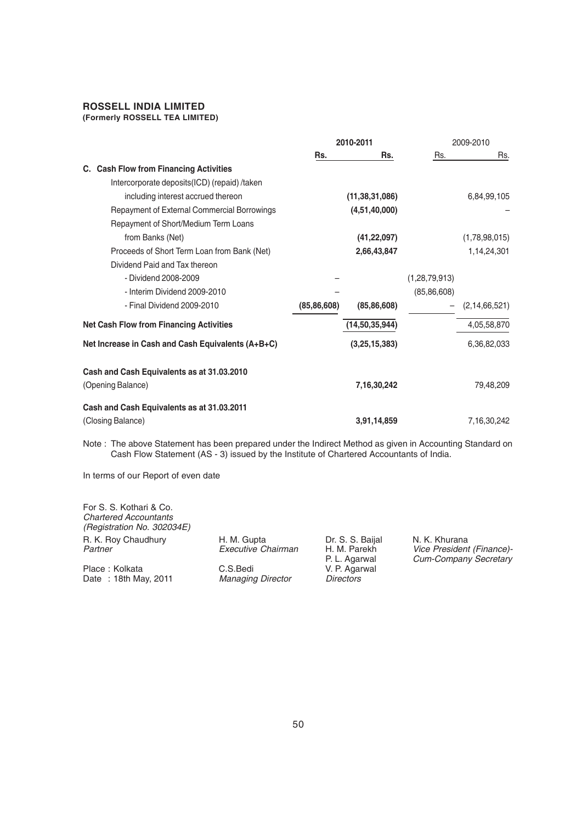#### **ROSSELL INDIA LIMITED**

#### **(Formerly ROSSELL TEA LIMITED)**

|                                                                 | 2010-2011     |                   | 2009-2010        |                  |
|-----------------------------------------------------------------|---------------|-------------------|------------------|------------------|
|                                                                 | Rs.           | Rs.               | Rs.              | Rs.              |
| C. Cash Flow from Financing Activities                          |               |                   |                  |                  |
| Intercorporate deposits(ICD) (repaid) /taken                    |               |                   |                  |                  |
| including interest accrued thereon                              |               | (11, 38, 31, 086) |                  | 6,84,99,105      |
| Repayment of External Commercial Borrowings                     |               | (4,51,40,000)     |                  |                  |
| Repayment of Short/Medium Term Loans                            |               |                   |                  |                  |
| from Banks (Net)                                                |               | (41, 22, 097)     |                  | (1,78,98,015)    |
| Proceeds of Short Term Loan from Bank (Net)                     |               | 2,66,43,847       |                  | 1,14,24,301      |
| Dividend Paid and Tax thereon                                   |               |                   |                  |                  |
| - Dividend 2008-2009                                            |               |                   | (1, 28, 79, 913) |                  |
| - Interim Dividend 2009-2010                                    |               |                   | (85, 86, 608)    |                  |
| - Final Dividend 2009-2010                                      | (85, 86, 608) | (85, 86, 608)     |                  | (2, 14, 66, 521) |
| <b>Net Cash Flow from Financing Activities</b>                  |               | (14, 50, 35, 944) |                  | 4,05,58,870      |
| Net Increase in Cash and Cash Equivalents (A+B+C)               |               | (3,25,15,383)     |                  | 6,36,82,033      |
| Cash and Cash Equivalents as at 31.03.2010<br>(Opening Balance) |               | 7,16,30,242       |                  | 79,48,209        |
| Cash and Cash Equivalents as at 31.03.2011<br>(Closing Balance) |               | 3,91,14,859       |                  | 7,16,30,242      |

Note : The above Statement has been prepared under the Indirect Method as given in Accounting Standard on Cash Flow Statement (AS - 3) issued by the Institute of Chartered Accountants of India.

In terms of our Report of even date

For S. S. Kothari & Co.

| H. M. Gupta              | Dr. S. S. Baijal              | N. K. Khurana                                             |
|--------------------------|-------------------------------|-----------------------------------------------------------|
| Executive Chairman       | H. M. Parekh<br>P. L. Agarwal | Vice President (Finance)-<br><b>Cum-Company Secretary</b> |
| C.S.Bedi                 | V. P. Agarwal                 |                                                           |
| <b>Managing Director</b> | <b>Directors</b>              |                                                           |
|                          |                               |                                                           |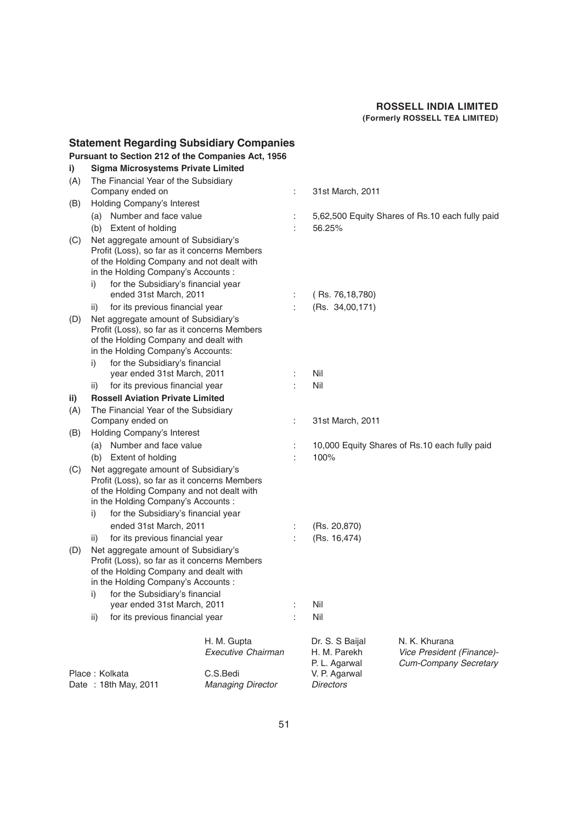|     |                             | <b>Statement Regarding Subsidiary Companies</b>                                                                                                                                                                 |                                      |     |                                                  |                                                                            |
|-----|-----------------------------|-----------------------------------------------------------------------------------------------------------------------------------------------------------------------------------------------------------------|--------------------------------------|-----|--------------------------------------------------|----------------------------------------------------------------------------|
|     |                             | Pursuant to Section 212 of the Companies Act, 1956                                                                                                                                                              |                                      |     |                                                  |                                                                            |
| i)  |                             | <b>Sigma Microsystems Private Limited</b>                                                                                                                                                                       |                                      |     |                                                  |                                                                            |
| (A) |                             | The Financial Year of the Subsidiary                                                                                                                                                                            |                                      |     |                                                  |                                                                            |
|     |                             | Company ended on                                                                                                                                                                                                |                                      | ÷   | 31st March, 2011                                 |                                                                            |
| (B) | Holding Company's Interest  |                                                                                                                                                                                                                 |                                      |     |                                                  |                                                                            |
|     | (a)                         | Number and face value                                                                                                                                                                                           |                                      |     |                                                  | 5,62,500 Equity Shares of Rs.10 each fully paid                            |
|     |                             | (b) Extent of holding                                                                                                                                                                                           |                                      |     | 56.25%                                           |                                                                            |
| (C) |                             | Net aggregate amount of Subsidiary's<br>Profit (Loss), so far as it concerns Members<br>of the Holding Company and not dealt with<br>in the Holding Company's Accounts:                                         |                                      |     |                                                  |                                                                            |
|     | i)                          | for the Subsidiary's financial year<br>ended 31st March, 2011                                                                                                                                                   |                                      |     | (Rs. 76,18,780)                                  |                                                                            |
|     | ii)                         | for its previous financial year                                                                                                                                                                                 |                                      | ÷   | (Rs. 34,00,171)                                  |                                                                            |
| (D) | i)                          | Net aggregate amount of Subsidiary's<br>Profit (Loss), so far as it concerns Members<br>of the Holding Company and dealt with<br>in the Holding Company's Accounts:<br>for the Subsidiary's financial           |                                      |     |                                                  |                                                                            |
|     |                             | year ended 31st March, 2011                                                                                                                                                                                     |                                      |     | Nil                                              |                                                                            |
|     | ii)                         | for its previous financial year                                                                                                                                                                                 |                                      |     | Nil                                              |                                                                            |
| ii) |                             | <b>Rossell Aviation Private Limited</b>                                                                                                                                                                         |                                      |     |                                                  |                                                                            |
| (A) |                             | The Financial Year of the Subsidiary                                                                                                                                                                            |                                      |     |                                                  |                                                                            |
|     |                             | Company ended on                                                                                                                                                                                                |                                      | ÷   | 31st March, 2011                                 |                                                                            |
| (B) |                             | Holding Company's Interest                                                                                                                                                                                      |                                      |     |                                                  |                                                                            |
|     | (a)                         | Number and face value                                                                                                                                                                                           |                                      |     |                                                  | 10,000 Equity Shares of Rs.10 each fully paid                              |
|     | (b)                         | Extent of holding                                                                                                                                                                                               |                                      |     | 100%                                             |                                                                            |
| (C) | i)                          | Net aggregate amount of Subsidiary's<br>Profit (Loss), so far as it concerns Members<br>of the Holding Company and not dealt with<br>in the Holding Company's Accounts :<br>for the Subsidiary's financial year |                                      |     |                                                  |                                                                            |
|     |                             | ended 31st March, 2011                                                                                                                                                                                          |                                      | ÷   | (Rs. 20,870)                                     |                                                                            |
|     | ii)                         | for its previous financial year                                                                                                                                                                                 |                                      |     | (Rs. 16,474)                                     |                                                                            |
| (D) | i)                          | Net aggregate amount of Subsidiary's<br>Profit (Loss), so far as it concerns Members<br>of the Holding Company and dealt with<br>in the Holding Company's Accounts :<br>for the Subsidiary's financial          |                                      |     |                                                  |                                                                            |
|     | year ended 31st March, 2011 |                                                                                                                                                                                                                 |                                      | Nil |                                                  |                                                                            |
|     | ii)                         | for its previous financial year                                                                                                                                                                                 |                                      | t   | Nil                                              |                                                                            |
|     |                             |                                                                                                                                                                                                                 | H. M. Gupta<br>Executive Chairman    |     | Dr. S. S Baijal<br>H. M. Parekh<br>P. L. Agarwal | N. K. Khurana<br>Vice President (Finance)-<br><b>Cum-Company Secretary</b> |
|     |                             | Place: Kolkata<br>Date: 18th May, 2011                                                                                                                                                                          | C.S.Bedi<br><b>Managing Director</b> |     | V. P. Agarwal<br><b>Directors</b>                |                                                                            |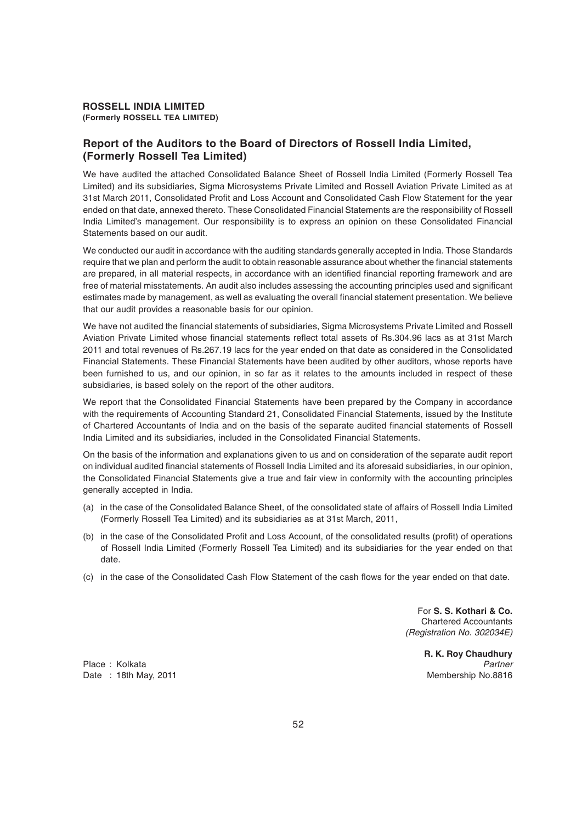#### **Report of the Auditors to the Board of Directors of Rossell India Limited, (Formerly Rossell Tea Limited)**

We have audited the attached Consolidated Balance Sheet of Rossell India Limited (Formerly Rossell Tea Limited) and its subsidiaries, Sigma Microsystems Private Limited and Rossell Aviation Private Limited as at 31st March 2011, Consolidated Profit and Loss Account and Consolidated Cash Flow Statement for the year ended on that date, annexed thereto. These Consolidated Financial Statements are the responsibility of Rossell India Limited's management. Our responsibility is to express an opinion on these Consolidated Financial Statements based on our audit.

We conducted our audit in accordance with the auditing standards generally accepted in India. Those Standards require that we plan and perform the audit to obtain reasonable assurance about whether the financial statements are prepared, in all material respects, in accordance with an identified financial reporting framework and are free of material misstatements. An audit also includes assessing the accounting principles used and significant estimates made by management, as well as evaluating the overall financial statement presentation. We believe that our audit provides a reasonable basis for our opinion.

We have not audited the financial statements of subsidiaries, Sigma Microsystems Private Limited and Rossell Aviation Private Limited whose financial statements reflect total assets of Rs.304.96 lacs as at 31st March 2011 and total revenues of Rs.267.19 lacs for the year ended on that date as considered in the Consolidated Financial Statements. These Financial Statements have been audited by other auditors, whose reports have been furnished to us, and our opinion, in so far as it relates to the amounts included in respect of these subsidiaries, is based solely on the report of the other auditors.

We report that the Consolidated Financial Statements have been prepared by the Company in accordance with the requirements of Accounting Standard 21, Consolidated Financial Statements, issued by the Institute of Chartered Accountants of India and on the basis of the separate audited financial statements of Rossell India Limited and its subsidiaries, included in the Consolidated Financial Statements.

On the basis of the information and explanations given to us and on consideration of the separate audit report on individual audited financial statements of Rossell India Limited and its aforesaid subsidiaries, in our opinion, the Consolidated Financial Statements give a true and fair view in conformity with the accounting principles generally accepted in India.

- (a) in the case of the Consolidated Balance Sheet, of the consolidated state of affairs of Rossell India Limited (Formerly Rossell Tea Limited) and its subsidiaries as at 31st March, 2011,
- (b) in the case of the Consolidated Profit and Loss Account, of the consolidated results (profit) of operations of Rossell India Limited (Formerly Rossell Tea Limited) and its subsidiaries for the year ended on that date.
- (c) in the case of the Consolidated Cash Flow Statement of the cash flows for the year ended on that date.

For **S. S. Kothari & Co.** Chartered Accountants *(Registration No. 302034E)*

Date : 18th May, 2011 **Manual Properties and Contract Contract Contract Contract Contract Contract Contract Contract Contract Contract Contract Contract Contract Contract Contract Contract Contract Contract Contract Contra** 

**R. K. Roy Chaudhury** Place : Kolkata *Partner*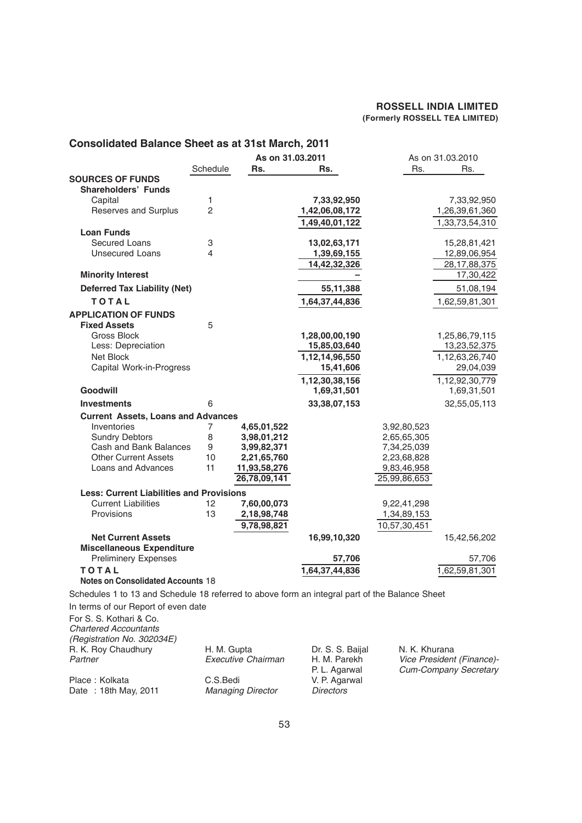#### **Consolidated Balance Sheet as at 31st March, 2011 As on 31.03.2011** As on 31.03.2010<br>**As Participal Res.** Res. Rs. Rs. Schedule **Rs. Rs.** Rs. Rs. Rs. Rs. **SOURCES OF FUNDS Shareholders' Funds** Capital 1 **7,33,92,950** 7,33,92,950 Reserves and Surplus 2 **1,42,06,08,172** 1,26,39,61,360 **1,49,40,01,122** 1,33,73,54,310 **Loan Funds** Secured Loans 3 **13,02,63,171** 15,28,81,421 Unsecured Loans **4 1,39,69,155 12,89,06,954 14,42,32,326** 28,17,88,375 **Minority Interest 17,30,422 Deferred Tax Liability (Net)** 55,11,388 51,08,194 **TOTAL** 1,64,37,44,836 1,62,59,81,301 **APPLICATION OF FUNDS Fixed Assets** 5 Gross Block **1,28,00,00,190** 1,25,86,79,115 Less: Depreciation **15,85,03,640** 13,23,52,375 Net Block **1,12,14,96,550** 1,12,14,96,550 15,41,606 29,04,039 Capital Work-in-Progress **Capital Work-in-Progress 1,12,30,38,156** 1,12,92,30,779<br>**1,69,31,501** 1.69.31.501 **Goodwill 1,69,31,501** 1,69,31,501 **Investments** 6 **33,38,07,153** 32,55,05,113 **Current Assets, Loans and Advances** Inventories 7 **4,65,01,522** 3,92,80,523 Sundry Debtors **8 3,98,01,212 2,65,65,305** Cash and Bank Balances 9 **3,99,82,371** 7,34,25,039 Other Current Assets 10 **2,21,65,760** 2,23,68,828 Loans and Advances **11 11,93,58,276** 9,83,46,958<br>**26,78,09,141** 25,99,86,653 **26,78,09,141** 25,99,86,653 **Less: Current Liabilities and Provisions** Current Liabilities 12 **7,60,00,073** 9,22,41,298 Provisions 13 **2,18,98,748** 1,34,89,153 **9,78,98,821** 10,57,30,451 **Net Current Assets 16,99,10,320** 15,42,56,202 **Miscellaneous Expenditure** Preliminery Expenses **57,706** 57,706 **T O T A L 1,64,37,44,836** 1,62,59,81,301 **Notes on Consolidated Accounts** 18 Schedules 1 to 13 and Schedule 18 referred to above form an integral part of the Balance Sheet In terms of our Report of even date For S. S. Kothari & Co. *Chartered Accountants*

*(Registration No. 302034E)* R. K. Roy Chaudhury H. M. Gupta Dr. S. S. Baijal N. K. Khurana<br>Partner Fxecutive Chairman H. M. Parekh Vice President Place : Kolkata **C.S.Bedi** V. P. Agarwal Date : 18th May, 2011 *Managing Director Directors*

*Partner Executive Chairman* H. M. Parekh *Vice President (Finance)-* P. L. Agarwal *Cum-Company Secretary*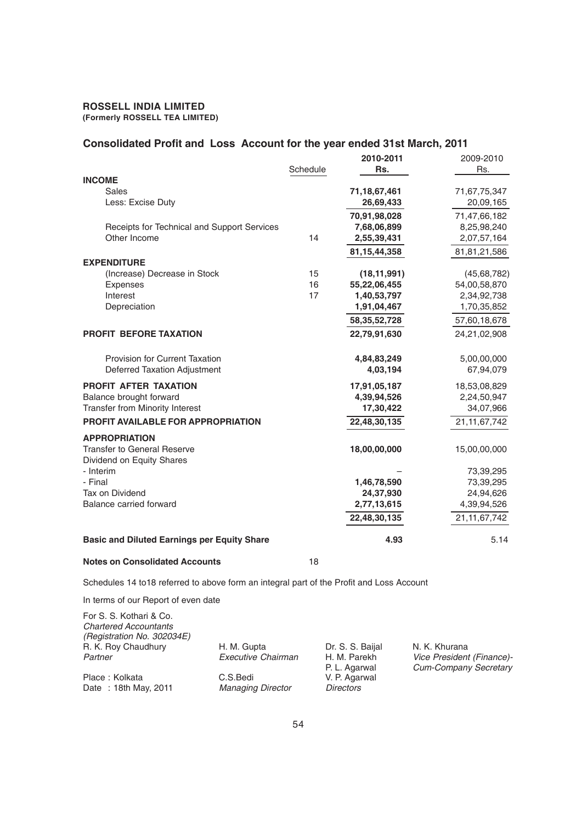# **Consolidated Profit and Loss Account for the year ended 31st March, 2011**<br>2009-2010

|                                                                | Schedule | 2010-2011<br>Rs.          | 2009-2010<br>Rs.          |
|----------------------------------------------------------------|----------|---------------------------|---------------------------|
| <b>INCOME</b>                                                  |          |                           |                           |
| Sales<br>Less: Excise Duty                                     |          | 71,18,67,461<br>26,69,433 | 71,67,75,347<br>20,09,165 |
|                                                                |          | 70,91,98,028              | 71,47,66,182              |
| Receipts for Technical and Support Services                    |          | 7,68,06,899               | 8,25,98,240               |
| Other Income                                                   | 14       | 2,55,39,431               | 2,07,57,164               |
|                                                                |          | 81, 15, 44, 358           | 81,81,21,586              |
| <b>EXPENDITURE</b>                                             |          |                           |                           |
| (Increase) Decrease in Stock                                   | 15       | (18, 11, 991)             | (45, 68, 782)             |
| <b>Expenses</b>                                                | 16       | 55,22,06,455              | 54,00,58,870              |
| Interest                                                       | 17       | 1,40,53,797               | 2,34,92,738               |
| Depreciation                                                   |          | 1,91,04,467               | 1,70,35,852               |
|                                                                |          | 58, 35, 52, 728           | 57,60,18,678              |
| <b>PROFIT BEFORE TAXATION</b>                                  |          | 22,79,91,630              | 24,21,02,908              |
|                                                                |          |                           |                           |
| Provision for Current Taxation<br>Deferred Taxation Adjustment |          | 4,84,83,249<br>4,03,194   | 5,00,00,000<br>67,94,079  |
|                                                                |          |                           |                           |
| PROFIT AFTER TAXATION                                          |          | 17,91,05,187              | 18,53,08,829              |
| Balance brought forward                                        |          | 4,39,94,526               | 2,24,50,947               |
| <b>Transfer from Minority Interest</b>                         |          | 17,30,422                 | 34,07,966                 |
| PROFIT AVAILABLE FOR APPROPRIATION                             |          | 22,48,30,135              | 21, 11, 67, 742           |
| <b>APPROPRIATION</b>                                           |          |                           |                           |
| <b>Transfer to General Reserve</b>                             |          | 18,00,00,000              | 15,00,00,000              |
| Dividend on Equity Shares                                      |          |                           |                           |
| - Interim                                                      |          |                           | 73,39,295                 |
| - Final                                                        |          | 1,46,78,590               | 73,39,295                 |
| Tax on Dividend                                                |          | 24,37,930                 | 24,94,626                 |
| Balance carried forward                                        |          | 2,77,13,615               | 4,39,94,526               |
|                                                                |          | 22,48,30,135              | 21, 11, 67, 742           |
| <b>Basic and Diluted Earnings per Equity Share</b>             |          | 4.93                      | 5.14                      |
|                                                                |          |                           |                           |

#### **Notes on Consolidated Accounts** 18

Schedules 14 to18 referred to above form an integral part of the Profit and Loss Account

In terms of our Report of even date

| For S. S. Kothari & Co.<br><b>Chartered Accountants</b><br>(Registration No. 302034E)<br>R. K. Roy Chaudhury<br>Partner | H. M. Gupta<br>Executive Chairman | Dr. S. S. Baijal<br>H. M. Parekh<br>P. L. Agarwal | N. K. Khurana<br>Vice President (Finance)-<br><b>Cum-Company Secretary</b> |
|-------------------------------------------------------------------------------------------------------------------------|-----------------------------------|---------------------------------------------------|----------------------------------------------------------------------------|
| Place: Kolkata                                                                                                          | C.S.Bedi                          | V. P. Agarwal                                     |                                                                            |
| Date: 18th May, 2011                                                                                                    | <b>Managing Director</b>          | <b>Directors</b>                                  |                                                                            |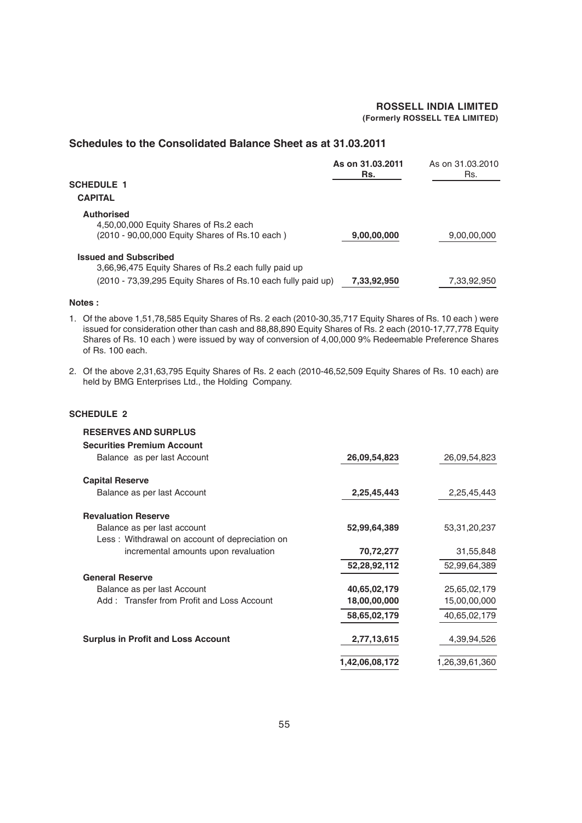#### **Schedules to the Consolidated Balance Sheet as at 31.03.2011**

|                                                                                                               | As on 31.03.2011<br>Rs. | As on 31.03.2010<br>Rs. |
|---------------------------------------------------------------------------------------------------------------|-------------------------|-------------------------|
| <b>SCHEDULE 1</b>                                                                                             |                         |                         |
| <b>CAPITAL</b>                                                                                                |                         |                         |
| <b>Authorised</b><br>4,50,00,000 Equity Shares of Rs.2 each<br>(2010 - 90,00,000 Equity Shares of Rs.10 each) | 9,00,00,000             | 9,00,00,000             |
| <b>Issued and Subscribed</b><br>3,66,96,475 Equity Shares of Rs.2 each fully paid up                          |                         |                         |
| $(2010 - 73.39.295$ Equity Shares of Rs.10 each fully paid up)                                                | 7,33,92,950             | 7,33,92,950             |

#### **Notes :**

- 1. Of the above 1,51,78,585 Equity Shares of Rs. 2 each (2010-30,35,717 Equity Shares of Rs. 10 each ) were Issued for consideration other than cash and 88,88,890 Equity Shares of Rs. 2 each (2010-17,77,778 Equity Shares of Rs. 10 each ) were issued by way of conversion of 4,00,000 9% Redeemable Preference Shares of Rs. 100 each.
- 2. Of the above 2,31,63,795 Equity Shares of Rs. 2 each (2010-46,52,509 Equity Shares of Rs. 10 each) are held by BMG Enterprises Ltd., the Holding Company.

#### **SCHEDULE 2**

| <b>RESERVES AND SURPLUS</b>                    |                |                 |
|------------------------------------------------|----------------|-----------------|
| <b>Securities Premium Account</b>              |                |                 |
| Balance as per last Account                    | 26,09,54,823   | 26,09,54,823    |
| <b>Capital Reserve</b>                         |                |                 |
| Balance as per last Account                    | 2,25,45,443    | 2,25,45,443     |
| <b>Revaluation Reserve</b>                     |                |                 |
| Balance as per last account                    | 52,99,64,389   | 53, 31, 20, 237 |
| Less: Withdrawal on account of depreciation on |                |                 |
| incremental amounts upon revaluation           | 70,72,277      | 31,55,848       |
|                                                | 52,28,92,112   | 52,99,64,389    |
| <b>General Reserve</b>                         |                |                 |
| Balance as per last Account                    | 40,65,02,179   | 25,65,02,179    |
| Add: Transfer from Profit and Loss Account     | 18,00,00,000   | 15,00,00,000    |
|                                                | 58,65,02,179   | 40,65,02,179    |
| <b>Surplus in Profit and Loss Account</b>      | 2,77,13,615    | 4,39,94,526     |
|                                                | 1,42,06,08,172 | 1,26,39,61,360  |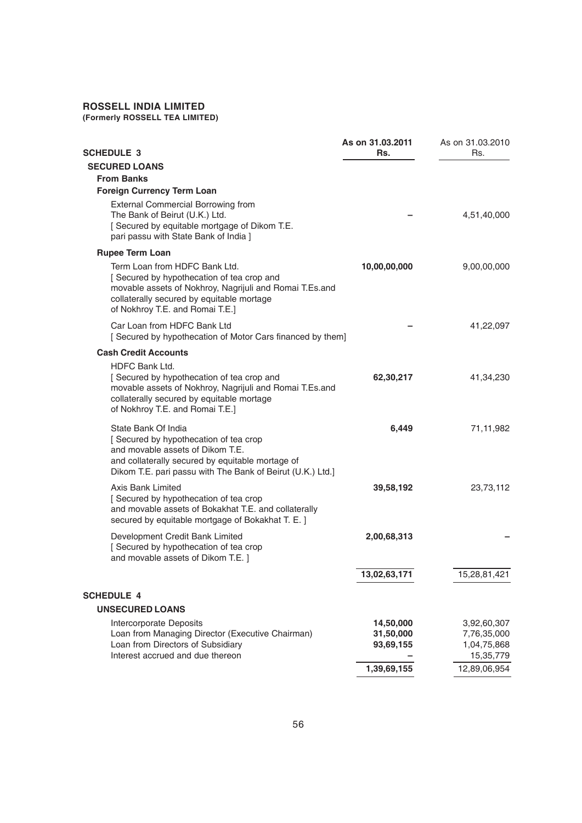#### **ROSSELL INDIA LIMITED**

**(Formerly ROSSELL TEA LIMITED)**

| SCHEDULE 3                                                                                                                                                                                                            | As on 31.03.2011<br>Rs.             | As on 31.03.2010<br>Rs.                                |
|-----------------------------------------------------------------------------------------------------------------------------------------------------------------------------------------------------------------------|-------------------------------------|--------------------------------------------------------|
| <b>SECURED LOANS</b>                                                                                                                                                                                                  |                                     |                                                        |
| <b>From Banks</b>                                                                                                                                                                                                     |                                     |                                                        |
| <b>Foreign Currency Term Loan</b>                                                                                                                                                                                     |                                     |                                                        |
| <b>External Commercial Borrowing from</b><br>The Bank of Beirut (U.K.) Ltd.<br>[ Secured by equitable mortgage of Dikom T.E.<br>pari passu with State Bank of India ]                                                 |                                     | 4,51,40,000                                            |
| <b>Rupee Term Loan</b>                                                                                                                                                                                                |                                     |                                                        |
| Term Loan from HDFC Bank Ltd.<br>[Secured by hypothecation of tea crop and<br>movable assets of Nokhroy, Nagrijuli and Romai T.Es.and<br>collaterally secured by equitable mortage<br>of Nokhroy T.E. and Romai T.E.] | 10,00,00,000                        | 9,00,00,000                                            |
| Car Loan from HDFC Bank Ltd<br>[Secured by hypothecation of Motor Cars financed by them]                                                                                                                              |                                     | 41,22,097                                              |
| <b>Cash Credit Accounts</b>                                                                                                                                                                                           |                                     |                                                        |
| <b>HDFC Bank Ltd.</b><br>[Secured by hypothecation of tea crop and<br>movable assets of Nokhroy, Nagrijuli and Romai T.Es.and<br>collaterally secured by equitable mortage<br>of Nokhroy T.E. and Romai T.E.]         | 62,30,217                           | 41,34,230                                              |
| State Bank Of India<br>[Secured by hypothecation of tea crop<br>and movable assets of Dikom T.E.<br>and collaterally secured by equitable mortage of<br>Dikom T.E. pari passu with The Bank of Beirut (U.K.) Ltd.]    | 6,449                               | 71,11,982                                              |
| Axis Bank Limited<br>[Secured by hypothecation of tea crop<br>and movable assets of Bokakhat T.E. and collaterally<br>secured by equitable mortgage of Bokakhat T. E. ]                                               | 39,58,192                           | 23,73,112                                              |
| Development Credit Bank Limited<br>[ Secured by hypothecation of tea crop<br>and movable assets of Dikom T.E. ]                                                                                                       | 2,00,68,313                         |                                                        |
|                                                                                                                                                                                                                       | 13,02,63,171                        | 15,28,81,421                                           |
| <b>SCHEDULE 4</b>                                                                                                                                                                                                     |                                     |                                                        |
| <b>UNSECURED LOANS</b>                                                                                                                                                                                                |                                     |                                                        |
| <b>Intercorporate Deposits</b><br>Loan from Managing Director (Executive Chairman)<br>Loan from Directors of Subsidiary<br>Interest accrued and due thereon                                                           | 14,50,000<br>31,50,000<br>93,69,155 | 3,92,60,307<br>7,76,35,000<br>1,04,75,868<br>15,35,779 |
|                                                                                                                                                                                                                       | 1,39,69,155                         | 12,89,06,954                                           |
|                                                                                                                                                                                                                       |                                     |                                                        |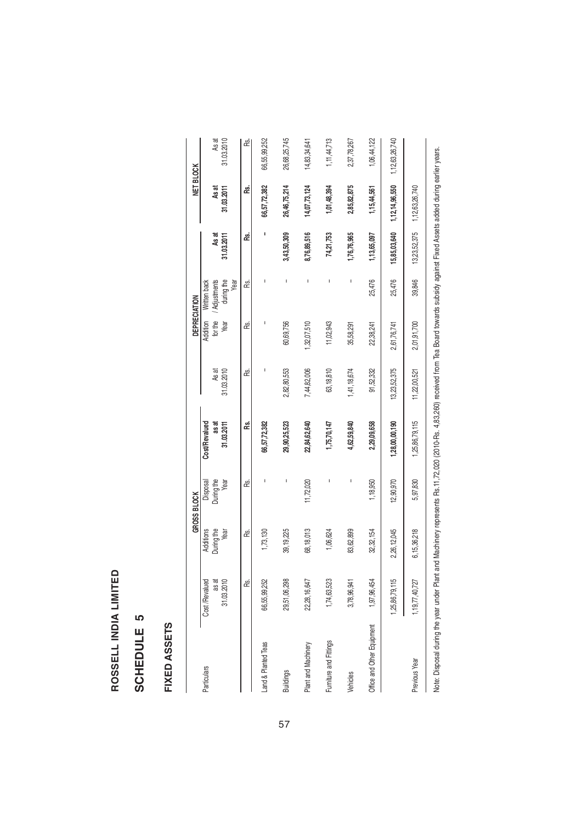# ROSSELL INDIA LIMITED **ROSSELL INDIA LIMITED**

# SCHEDULE<sub>5</sub> **SCHEDULE 5**

# FIXED ASSETS **FIXED ASSETS**

|                                                                                                                                                                                                                                |                    |             | GROSS BLOCK |                |              |             | DEPRECIATION       |              | NET BLOCK      |                |
|--------------------------------------------------------------------------------------------------------------------------------------------------------------------------------------------------------------------------------|--------------------|-------------|-------------|----------------|--------------|-------------|--------------------|--------------|----------------|----------------|
| <b>Particulars</b>                                                                                                                                                                                                             | Cost /Revalued     | Additions   | Disposal    | Cost/Revalued  |              | Addition    | Written back       |              |                |                |
|                                                                                                                                                                                                                                | as at              | During the  | During the  | as at          | As at        | for the     | Adjustments        | As at        | As at          | As at          |
|                                                                                                                                                                                                                                | 31.03.2010         | Year        | Year        | 31.03.2011     | 31.03.2010   | Year        | during the<br>Year | 31.03.2011   | 31.03.2011     | 31.03.2010     |
|                                                                                                                                                                                                                                | œ                  | æ           | æ           | œ.             | æ            | œ.          | æ                  | æ            | æ              | æ              |
| Land & Planted Teas                                                                                                                                                                                                            | 66,55,99,252       | 1,73,130    |             | 66,57,72,382   |              | ı           |                    |              | 66,57,72,382   | 66,55,99,252   |
| <b>Buildings</b>                                                                                                                                                                                                               | 29,51,06,298       | 39, 19, 225 |             | 29,90,25,523   | 2,82,80,553  | 60,69,756   |                    | 3,43,50,309  | 26,46,75,214   | 26,68,25,745   |
| Plant and Machinery                                                                                                                                                                                                            | 22,28,16,647       | 68,18,013   | 11,72,020   | 22,84,62,640   | 7,44,82,006  | 1,32,07,510 | I                  | 8,76,89,516  | 14,07,73,124   | 14,83,34,641   |
| Furniture and Fittings                                                                                                                                                                                                         | 1,74,63,523        | 1,06,624    |             | 1,75,70,147    | 63,18,810    | 11,02,943   |                    | 74,21,753    | 1,01,48,394    | 1, 11, 44, 713 |
| Vehicles                                                                                                                                                                                                                       | 3,78,96,941        | 83,62,899   | I           | 4,62,59,840    | 1,41,18,674  | 35,58,291   |                    | 1,76,76,965  | 2,85,82,875    | 2,37,78,267    |
| Office and Other Equipment                                                                                                                                                                                                     | 1,97,96,454        | 32,32,154   | 1,18,950    | 2,29,09,658    | 91,52,332    | 22,38,241   | 25,476             | 1,13,65,097  | 1,15,44,561    | 1,06,44,122    |
|                                                                                                                                                                                                                                | 1,25,86,79,115     | 2,26,12,045 | 12,90,970   | 1,28,00,00,190 | 13,23,52,375 | 2,61,76,741 | 25,476             | 15,85,03,640 | 1,12,14,96,550 | 1,12,63,26,740 |
| Previous Year                                                                                                                                                                                                                  | 1, 19, 77, 40, 727 | 6,15,36,218 | 5,97,830    | 1,25,86,79,115 | 11,22,00,521 | 2,01,91,700 | 39,846             | 13,23,52,375 | 1,12,63,26,740 |                |
| National direction and plant part of 1946 home part of 1960 000 000 000 000 000 000 000 000 mp. De Team De Team De Team De Team De Alexandro direction de China direction and provide the collection of De 11 and De 11 and De |                    |             |             |                |              |             |                    |              |                |                |

 $\ddot{\phantom{a}}$  $\sim$ 

> Note: Usposal during the year under Viening Vraphens Hs. 11,72,020 (2010-Hs. 4,83,200) received from lea Board towards subsidy against Pixed Assets added during earlier years. Note: Disposal during the year under Plant and Machinery represents Rs.11,72,020 (2010-Rs. 4,83,260) received from Tea Board towards subsidy against Fixed Assets added during earlier years.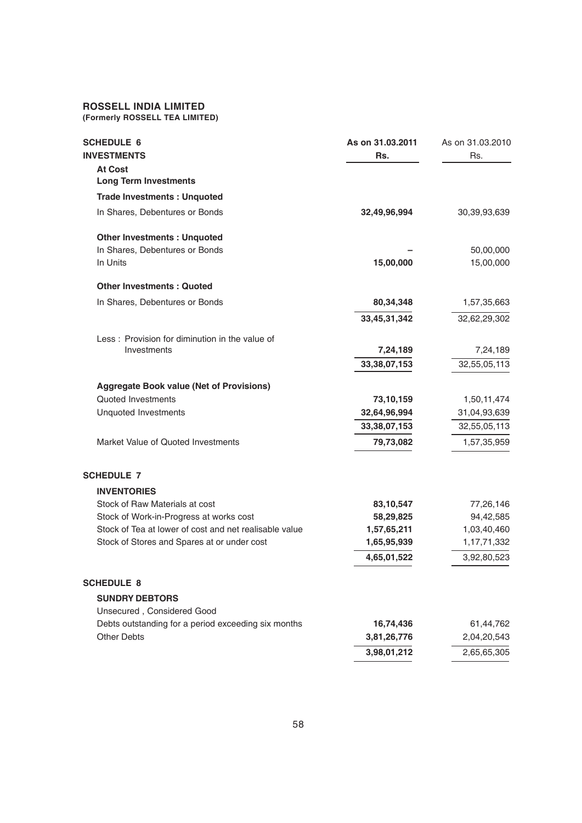#### **ROSSELL INDIA LIMITED**

**(Formerly ROSSELL TEA LIMITED)**

| <b>SCHEDULE 6</b><br><b>INVESTMENTS</b>                | As on 31.03.2011<br>Rs. | As on 31,03,2010<br>Rs. |
|--------------------------------------------------------|-------------------------|-------------------------|
| <b>At Cost</b>                                         |                         |                         |
| <b>Long Term Investments</b>                           |                         |                         |
| <b>Trade Investments: Unquoted</b>                     |                         |                         |
| In Shares, Debentures or Bonds                         | 32,49,96,994            | 30,39,93,639            |
| <b>Other Investments: Unquoted</b>                     |                         |                         |
| In Shares, Debentures or Bonds                         |                         | 50,00,000               |
| In Units                                               | 15,00,000               | 15,00,000               |
| <b>Other Investments: Quoted</b>                       |                         |                         |
| In Shares, Debentures or Bonds                         | 80,34,348               | 1,57,35,663             |
|                                                        | 33,45,31,342            | 32,62,29,302            |
| Less: Provision for diminution in the value of         |                         |                         |
| Investments                                            | 7,24,189                | 7,24,189                |
|                                                        | 33, 38, 07, 153         | 32,55,05,113            |
| <b>Aggregate Book value (Net of Provisions)</b>        |                         |                         |
| Quoted Investments                                     | 73,10,159               | 1,50,11,474             |
| <b>Unquoted Investments</b>                            | 32,64,96,994            | 31,04,93,639            |
|                                                        | 33, 38, 07, 153         | 32,55,05,113            |
| Market Value of Quoted Investments                     | 79,73,082               | 1,57,35,959             |
| <b>SCHEDULE 7</b>                                      |                         |                         |
| <b>INVENTORIES</b>                                     |                         |                         |
| Stock of Raw Materials at cost                         | 83,10,547               | 77,26,146               |
| Stock of Work-in-Progress at works cost                | 58,29,825               | 94,42,585               |
| Stock of Tea at lower of cost and net realisable value | 1,57,65,211             | 1,03,40,460             |
| Stock of Stores and Spares at or under cost            | 1,65,95,939             | 1,17,71,332             |
|                                                        | 4,65,01,522             | 3,92,80,523             |
| <b>SCHEDULE 8</b>                                      |                         |                         |
| <b>SUNDRY DEBTORS</b>                                  |                         |                         |
| Unsecured, Considered Good                             |                         |                         |
| Debts outstanding for a period exceeding six months    | 16,74,436               | 61,44,762               |
| <b>Other Debts</b>                                     | 3,81,26,776             | 2,04,20,543             |
|                                                        | 3,98,01,212             | 2,65,65,305             |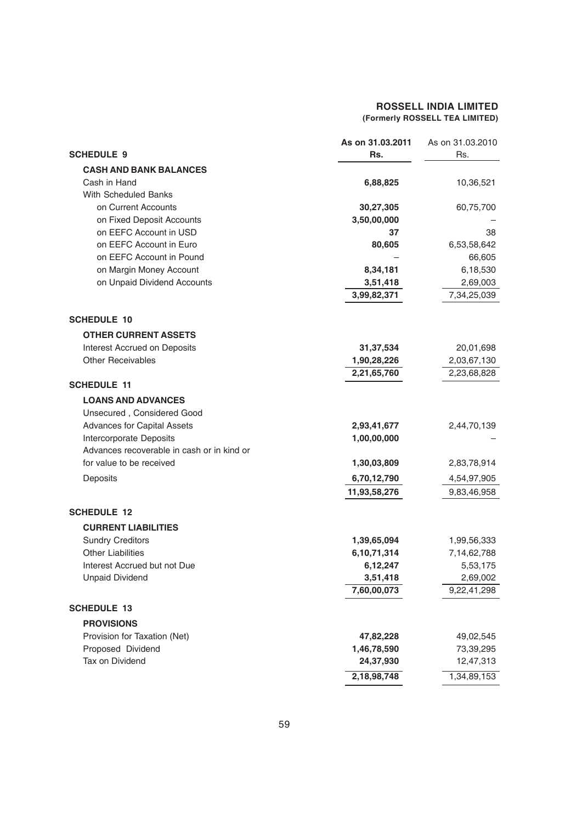|                                            | As on 31.03.2011 | As on 31.03.2010 |
|--------------------------------------------|------------------|------------------|
| <b>SCHEDULE 9</b>                          | Rs.              | Rs.              |
| <b>CASH AND BANK BALANCES</b>              |                  |                  |
| Cash in Hand                               | 6,88,825         | 10,36,521        |
| With Scheduled Banks                       |                  |                  |
| on Current Accounts                        | 30,27,305        | 60,75,700        |
| on Fixed Deposit Accounts                  | 3,50,00,000      |                  |
| on EEFC Account in USD                     | 37               | 38               |
| on EEFC Account in Euro                    | 80,605           | 6,53,58,642      |
| on EEFC Account in Pound                   |                  | 66,605           |
| on Margin Money Account                    | 8,34,181         | 6,18,530         |
| on Unpaid Dividend Accounts                | 3,51,418         | 2,69,003         |
|                                            | 3,99,82,371      | 7,34,25,039      |
| <b>SCHEDULE 10</b>                         |                  |                  |
| <b>OTHER CURRENT ASSETS</b>                |                  |                  |
| <b>Interest Accrued on Deposits</b>        | 31, 37, 534      | 20,01,698        |
| <b>Other Receivables</b>                   | 1,90,28,226      | 2,03,67,130      |
|                                            | 2,21,65,760      | 2,23,68,828      |
| <b>SCHEDULE 11</b>                         |                  |                  |
| <b>LOANS AND ADVANCES</b>                  |                  |                  |
| Unsecured, Considered Good                 |                  |                  |
| Advances for Capital Assets                | 2,93,41,677      | 2,44,70,139      |
| Intercorporate Deposits                    | 1,00,00,000      |                  |
| Advances recoverable in cash or in kind or |                  |                  |
| for value to be received                   | 1,30,03,809      | 2,83,78,914      |
| Deposits                                   | 6,70,12,790      | 4,54,97,905      |
|                                            | 11,93,58,276     | 9,83,46,958      |
| <b>SCHEDULE 12</b>                         |                  |                  |
| <b>CURRENT LIABILITIES</b>                 |                  |                  |
| <b>Sundry Creditors</b>                    | 1,39,65,094      | 1,99,56,333      |
| <b>Other Liabilities</b>                   | 6,10,71,314      | 7,14,62,788      |
| Interest Accrued but not Due               | 6,12,247         | 5,53,175         |
| <b>Unpaid Dividend</b>                     | 3,51,418         | 2,69,002         |
|                                            | 7,60,00,073      | 9,22,41,298      |
| <b>SCHEDULE 13</b>                         |                  |                  |
| <b>PROVISIONS</b>                          |                  |                  |
| Provision for Taxation (Net)               | 47,82,228        | 49,02,545        |
| Proposed Dividend                          | 1,46,78,590      | 73,39,295        |
| Tax on Dividend                            | 24,37,930        | 12,47,313        |
|                                            | 2,18,98,748      | 1,34,89,153      |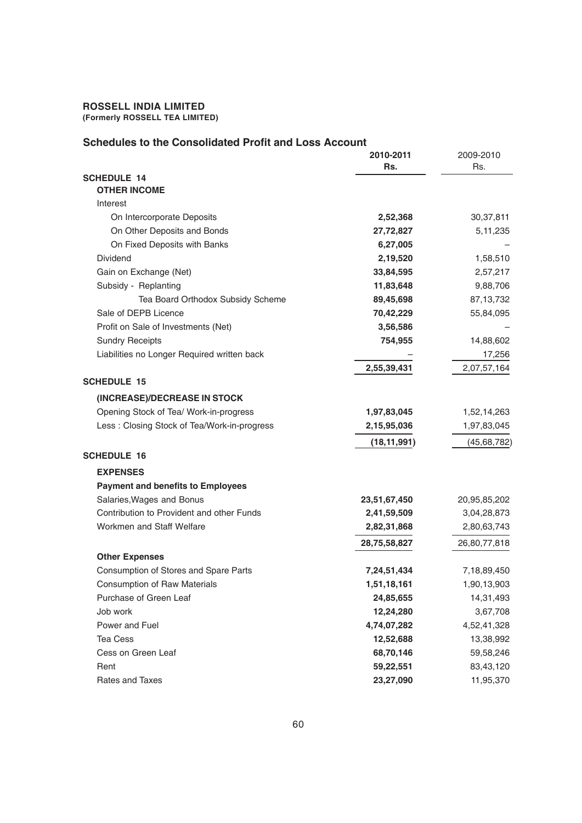| Schedules to the Consolidated Profit and Loss Account |               |               |
|-------------------------------------------------------|---------------|---------------|
|                                                       | 2010-2011     | 2009-2010     |
|                                                       | Rs.           | Rs.           |
| <b>SCHEDULE 14</b>                                    |               |               |
| <b>OTHER INCOME</b><br>Interest                       |               |               |
|                                                       |               |               |
| On Intercorporate Deposits                            | 2,52,368      | 30,37,811     |
| On Other Deposits and Bonds                           | 27,72,827     | 5, 11, 235    |
| On Fixed Deposits with Banks                          | 6,27,005      |               |
| Dividend                                              | 2,19,520      | 1,58,510      |
| Gain on Exchange (Net)                                | 33,84,595     | 2,57,217      |
| Subsidy - Replanting                                  | 11,83,648     | 9,88,706      |
| Tea Board Orthodox Subsidy Scheme                     | 89,45,698     | 87, 13, 732   |
| Sale of DEPB Licence                                  | 70,42,229     | 55,84,095     |
| Profit on Sale of Investments (Net)                   | 3,56,586      |               |
| <b>Sundry Receipts</b>                                | 754,955       | 14,88,602     |
| Liabilities no Longer Required written back           |               | 17,256        |
|                                                       | 2,55,39,431   | 2,07,57,164   |
| <b>SCHEDULE 15</b>                                    |               |               |
| (INCREASE)/DECREASE IN STOCK                          |               |               |
| Opening Stock of Tea/ Work-in-progress                | 1,97,83,045   | 1,52,14,263   |
| Less: Closing Stock of Tea/Work-in-progress           | 2,15,95,036   | 1,97,83,045   |
|                                                       | (18, 11, 991) | (45, 68, 782) |
| <b>SCHEDULE 16</b>                                    |               |               |
| <b>EXPENSES</b>                                       |               |               |
| <b>Payment and benefits to Employees</b>              |               |               |
| Salaries, Wages and Bonus                             |               |               |
| Contribution to Provident and other Funds             | 23,51,67,450  | 20,95,85,202  |
|                                                       | 2,41,59,509   | 3,04,28,873   |
| Workmen and Staff Welfare                             | 2,82,31,868   | 2,80,63,743   |
|                                                       | 28,75,58,827  | 26,80,77,818  |
| <b>Other Expenses</b>                                 |               |               |
| Consumption of Stores and Spare Parts                 | 7,24,51,434   | 7,18,89,450   |
| Consumption of Raw Materials                          | 1,51,18,161   | 1,90,13,903   |
| Purchase of Green Leaf                                | 24,85,655     | 14,31,493     |
| Job work                                              | 12,24,280     | 3,67,708      |
| Power and Fuel                                        | 4,74,07,282   | 4,52,41,328   |
| <b>Tea Cess</b>                                       | 12,52,688     | 13,38,992     |
| Cess on Green Leaf                                    | 68,70,146     | 59,58,246     |
| Rent                                                  | 59,22,551     | 83,43,120     |
| Rates and Taxes                                       | 23,27,090     | 11,95,370     |

# **Schedules to the Consolidated Profit and Loss Account**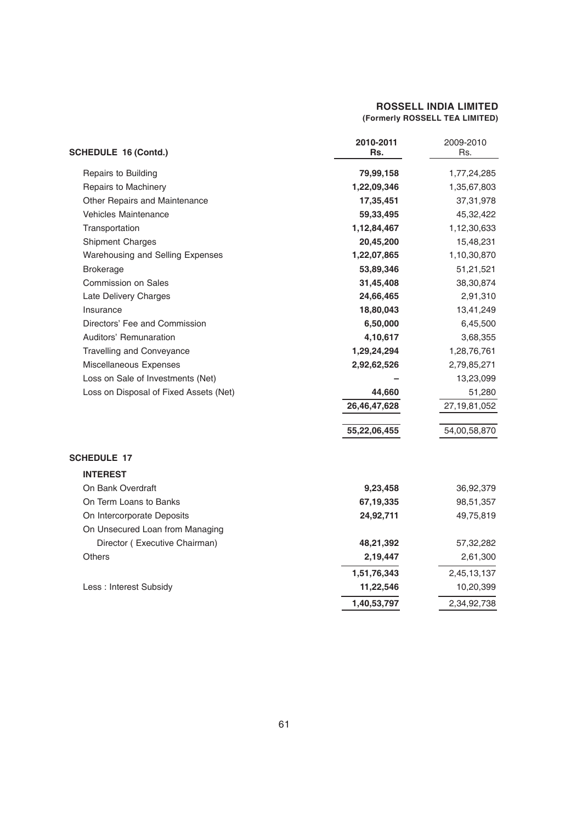| <b>SCHEDULE 16 (Contd.)</b>            | 2010-2011<br>Rs. | 2009-2010<br>Rs. |
|----------------------------------------|------------------|------------------|
| Repairs to Building                    | 79,99,158        | 1,77,24,285      |
| Repairs to Machinery                   | 1,22,09,346      | 1,35,67,803      |
| Other Repairs and Maintenance          | 17,35,451        | 37, 31, 978      |
| <b>Vehicles Maintenance</b>            | 59,33,495        | 45,32,422        |
| Transportation                         | 1,12,84,467      | 1,12,30,633      |
| Shipment Charges                       | 20,45,200        | 15,48,231        |
| Warehousing and Selling Expenses       | 1,22,07,865      | 1,10,30,870      |
| <b>Brokerage</b>                       | 53,89,346        | 51,21,521        |
| <b>Commission on Sales</b>             | 31,45,408        | 38,30,874        |
| Late Delivery Charges                  | 24,66,465        | 2,91,310         |
| Insurance                              | 18,80,043        | 13,41,249        |
| Directors' Fee and Commission          | 6,50,000         | 6,45,500         |
| Auditors' Remunaration                 | 4,10,617         | 3,68,355         |
| <b>Travelling and Conveyance</b>       | 1,29,24,294      | 1,28,76,761      |
| Miscellaneous Expenses                 | 2,92,62,526      | 2,79,85,271      |
| Loss on Sale of Investments (Net)      |                  | 13,23,099        |
| Loss on Disposal of Fixed Assets (Net) | 44,660           | 51,280           |
|                                        | 26,46,47,628     | 27, 19, 81, 052  |
|                                        | 55,22,06,455     | 54,00,58,870     |
| <b>SCHEDULE 17</b>                     |                  |                  |
| <b>INTEREST</b>                        |                  |                  |
| On Bank Overdraft                      | 9,23,458         | 36,92,379        |
| On Term Loans to Banks                 | 67,19,335        | 98,51,357        |
| On Intercorporate Deposits             | 24,92,711        | 49,75,819        |
| On Unsecured Loan from Managing        |                  |                  |
| Director (Executive Chairman)          | 48,21,392        | 57,32,282        |
| <b>Others</b>                          | 2,19,447         | 2,61,300         |
|                                        | 1,51,76,343      | 2,45,13,137      |
| Less : Interest Subsidy                | 11,22,546        | 10,20,399        |
|                                        | 1,40,53,797      | 2,34,92,738      |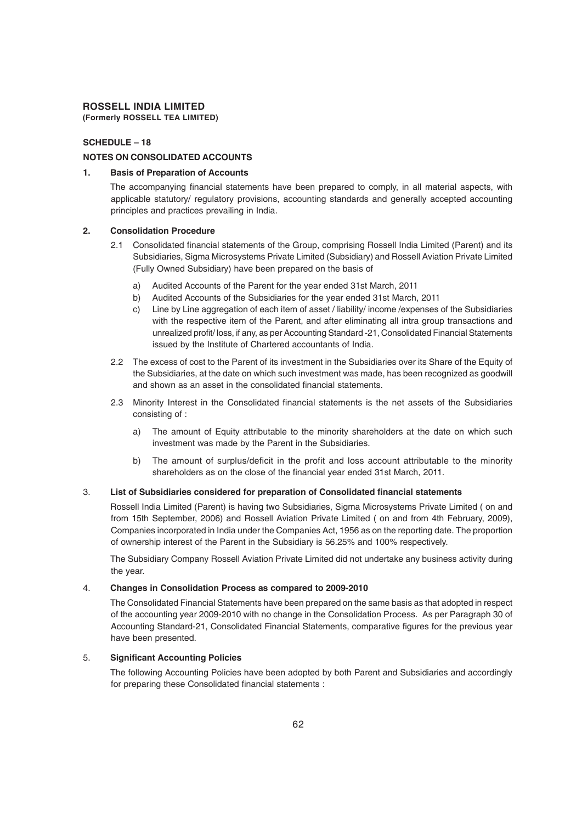#### **SCHEDULE – 18**

#### **NOTES ON CONSOLIDATED ACCOUNTS**

#### **1. Basis of Preparation of Accounts**

The accompanying financial statements have been prepared to comply, in all material aspects, with applicable statutory/ regulatory provisions, accounting standards and generally accepted accounting principles and practices prevailing in India.

#### **2. Consolidation Procedure**

- 2.1 Consolidated financial statements of the Group, comprising Rossell India Limited (Parent) and its Subsidiaries, Sigma Microsystems Private Limited (Subsidiary) and Rossell Aviation Private Limited (Fully Owned Subsidiary) have been prepared on the basis of
	- a) Audited Accounts of the Parent for the year ended 31st March, 2011
	- b) Audited Accounts of the Subsidiaries for the year ended 31st March, 2011
	- c) Line by Line aggregation of each item of asset / liability/ income /expenses of the Subsidiaries with the respective item of the Parent, and after eliminating all intra group transactions and unrealized profit/ loss, if any, as per Accounting Standard -21, Consolidated Financial Statements issued by the Institute of Chartered accountants of India.
- 2.2 The excess of cost to the Parent of its investment in the Subsidiaries over its Share of the Equity of the Subsidiaries, at the date on which such investment was made, has been recognized as goodwill and shown as an asset in the consolidated financial statements.
- 2.3 Minority Interest in the Consolidated financial statements is the net assets of the Subsidiaries consisting of :
	- a) The amount of Equity attributable to the minority shareholders at the date on which such investment was made by the Parent in the Subsidiaries.
	- b) The amount of surplus/deficit in the profit and loss account attributable to the minority shareholders as on the close of the financial year ended 31st March, 2011.

#### 3. **List of Subsidiaries considered for preparation of Consolidated financial statements**

Rossell India Limited (Parent) is having two Subsidiaries, Sigma Microsystems Private Limited ( on and from 15th September, 2006) and Rossell Aviation Private Limited ( on and from 4th February, 2009), Companies incorporated in India under the Companies Act, 1956 as on the reporting date. The proportion of ownership interest of the Parent in the Subsidiary is 56.25% and 100% respectively.

The Subsidiary Company Rossell Aviation Private Limited did not undertake any business activity during the year.

#### 4. **Changes in Consolidation Process as compared to 2009-2010**

The Consolidated Financial Statements have been prepared on the same basis as that adopted in respect of the accounting year 2009-2010 with no change in the Consolidation Process. As per Paragraph 30 of Accounting Standard-21, Consolidated Financial Statements, comparative figures for the previous year have been presented.

#### 5. **Significant Accounting Policies**

The following Accounting Policies have been adopted by both Parent and Subsidiaries and accordingly for preparing these Consolidated financial statements :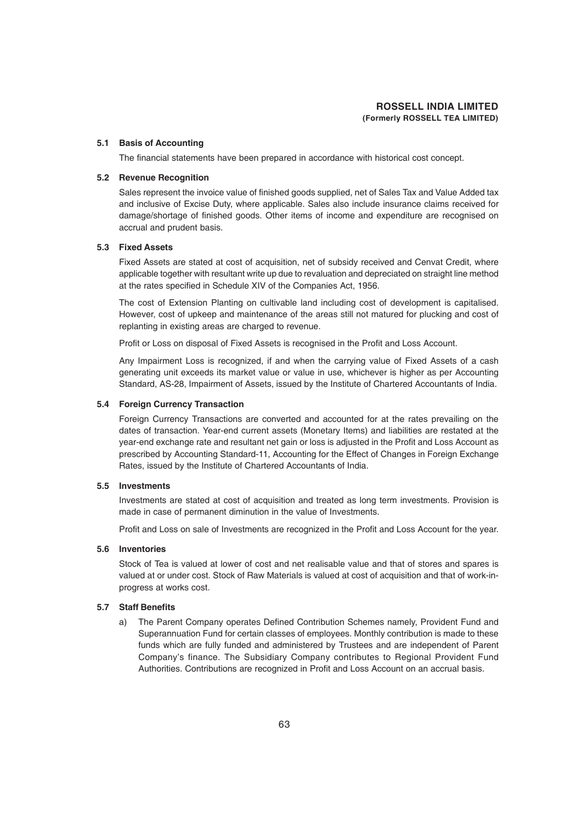#### **5.1 Basis of Accounting**

The financial statements have been prepared in accordance with historical cost concept.

#### **5.2 Revenue Recognition**

Sales represent the invoice value of finished goods supplied, net of Sales Tax and Value Added tax and inclusive of Excise Duty, where applicable. Sales also include insurance claims received for damage/shortage of finished goods. Other items of income and expenditure are recognised on accrual and prudent basis.

#### **5.3 Fixed Assets**

Fixed Assets are stated at cost of acquisition, net of subsidy received and Cenvat Credit, where applicable together with resultant write up due to revaluation and depreciated on straight line method at the rates specified in Schedule XIV of the Companies Act, 1956.

The cost of Extension Planting on cultivable land including cost of development is capitalised. However, cost of upkeep and maintenance of the areas still not matured for plucking and cost of replanting in existing areas are charged to revenue.

Profit or Loss on disposal of Fixed Assets is recognised in the Profit and Loss Account.

Any Impairment Loss is recognized, if and when the carrying value of Fixed Assets of a cash generating unit exceeds its market value or value in use, whichever is higher as per Accounting Standard, AS-28, Impairment of Assets, issued by the Institute of Chartered Accountants of India.

#### **5.4 Foreign Currency Transaction**

Foreign Currency Transactions are converted and accounted for at the rates prevailing on the dates of transaction. Year-end current assets (Monetary Items) and liabilities are restated at the year-end exchange rate and resultant net gain or loss is adjusted in the Profit and Loss Account as prescribed by Accounting Standard-11, Accounting for the Effect of Changes in Foreign Exchange Rates, issued by the Institute of Chartered Accountants of India.

#### **5.5 Investments**

Investments are stated at cost of acquisition and treated as long term investments. Provision is made in case of permanent diminution in the value of Investments.

Profit and Loss on sale of Investments are recognized in the Profit and Loss Account for the year.

#### **5.6 Inventories**

Stock of Tea is valued at lower of cost and net realisable value and that of stores and spares is valued at or under cost. Stock of Raw Materials is valued at cost of acquisition and that of work-inprogress at works cost.

#### **5.7 Staff Benefits**

a) The Parent Company operates Defined Contribution Schemes namely, Provident Fund and Superannuation Fund for certain classes of employees. Monthly contribution is made to these funds which are fully funded and administered by Trustees and are independent of Parent Company's finance. The Subsidiary Company contributes to Regional Provident Fund Authorities. Contributions are recognized in Profit and Loss Account on an accrual basis.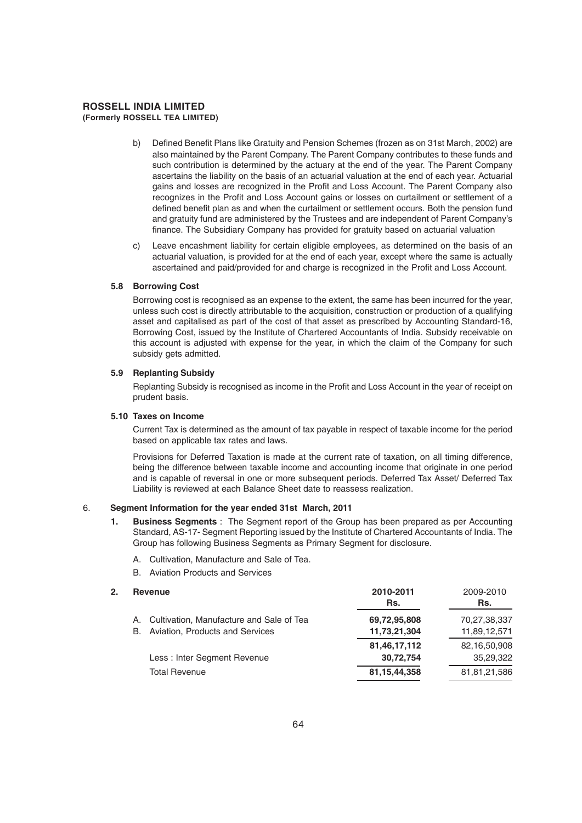- b) Defined Benefit Plans like Gratuity and Pension Schemes (frozen as on 31st March, 2002) are also maintained by the Parent Company. The Parent Company contributes to these funds and such contribution is determined by the actuary at the end of the year. The Parent Company ascertains the liability on the basis of an actuarial valuation at the end of each year. Actuarial gains and losses are recognized in the Profit and Loss Account. The Parent Company also recognizes in the Profit and Loss Account gains or losses on curtailment or settlement of a defined benefit plan as and when the curtailment or settlement occurs. Both the pension fund and gratuity fund are administered by the Trustees and are independent of Parent Company's finance. The Subsidiary Company has provided for gratuity based on actuarial valuation
- c) Leave encashment liability for certain eligible employees, as determined on the basis of an actuarial valuation, is provided for at the end of each year, except where the same is actually ascertained and paid/provided for and charge is recognized in the Profit and Loss Account.

#### **5.8 Borrowing Cost**

Borrowing cost is recognised as an expense to the extent, the same has been incurred for the year, unless such cost is directly attributable to the acquisition, construction or production of a qualifying asset and capitalised as part of the cost of that asset as prescribed by Accounting Standard-16, Borrowing Cost, issued by the Institute of Chartered Accountants of India. Subsidy receivable on this account is adjusted with expense for the year, in which the claim of the Company for such subsidy gets admitted.

#### **5.9 Replanting Subsidy**

Replanting Subsidy is recognised as income in the Profit and Loss Account in the year of receipt on prudent basis.

#### **5.10 Taxes on Income**

Current Tax is determined as the amount of tax payable in respect of taxable income for the period based on applicable tax rates and laws.

Provisions for Deferred Taxation is made at the current rate of taxation, on all timing difference, being the difference between taxable income and accounting income that originate in one period and is capable of reversal in one or more subsequent periods. Deferred Tax Asset/ Deferred Tax Liability is reviewed at each Balance Sheet date to reassess realization.

#### 6. **Segment Information for the year ended 31st March, 2011**

- **1. Business Segments** : The Segment report of the Group has been prepared as per Accounting Standard, AS-17- Segment Reporting issued by the Institute of Chartered Accountants of India. The Group has following Business Segments as Primary Segment for disclosure.
	- A. Cultivation, Manufacture and Sale of Tea.
	- B. Aviation Products and Services

#### **2. Revenue 2010-2011** 2009-2010

|                                             | Rs.             | Rs.          |
|---------------------------------------------|-----------------|--------------|
| A. Cultivation, Manufacture and Sale of Tea | 69,72,95,808    | 70,27,38,337 |
| B. Aviation, Products and Services          | 11,73,21,304    | 11,89,12,571 |
|                                             | 81,46,17,112    | 82,16,50,908 |
| Less: Inter Segment Revenue                 | 30,72,754       | 35,29,322    |
| <b>Total Revenue</b>                        | 81, 15, 44, 358 | 81,81,21,586 |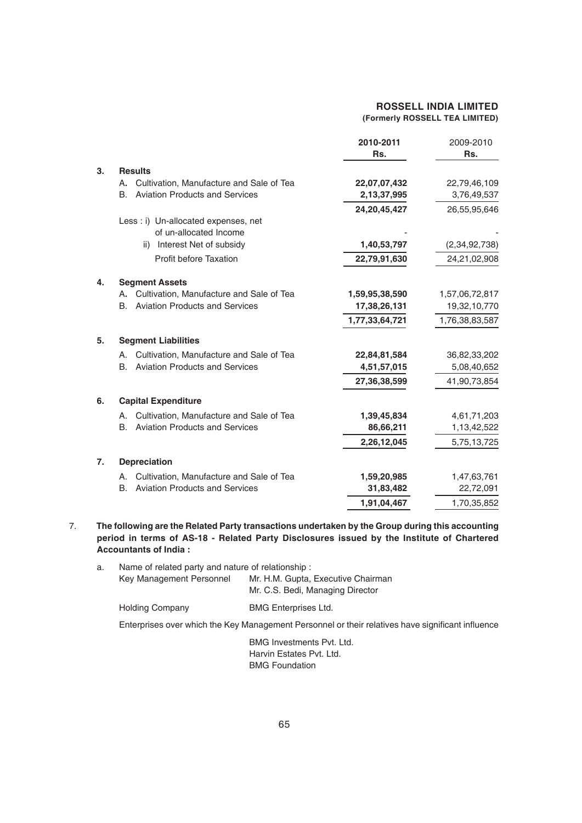|    |                                                    | 2010-2011<br>Rs. | 2009-2010<br>Rs. |
|----|----------------------------------------------------|------------------|------------------|
| 3. | <b>Results</b>                                     |                  |                  |
|    | Cultivation, Manufacture and Sale of Tea<br>Α.     | 22,07,07,432     | 22,79,46,109     |
|    | <b>Aviation Products and Services</b><br>B.        | 2,13,37,995      | 3,76,49,537      |
|    |                                                    | 24, 20, 45, 427  | 26,55,95,646     |
|    | Less : i) Un-allocated expenses, net               |                  |                  |
|    | of un-allocated Income                             |                  |                  |
|    | ii) Interest Net of subsidy                        | 1,40,53,797      | (2,34,92,738)    |
|    | Profit before Taxation                             | 22,79,91,630     | 24,21,02,908     |
| 4. | <b>Segment Assets</b>                              |                  |                  |
|    | Cultivation, Manufacture and Sale of Tea<br>А.     | 1,59,95,38,590   | 1,57,06,72,817   |
|    | <b>Aviation Products and Services</b><br><b>B.</b> | 17,38,26,131     | 19,32,10,770     |
|    |                                                    | 1,77,33,64,721   | 1,76,38,83,587   |
| 5. | <b>Segment Liabilities</b>                         |                  |                  |
|    | Cultivation, Manufacture and Sale of Tea<br>Α.     | 22,84,81,584     | 36,82,33,202     |
|    | <b>Aviation Products and Services</b><br><b>B.</b> | 4,51,57,015      | 5,08,40,652      |
|    |                                                    | 27,36,38,599     | 41,90,73,854     |
| 6. | <b>Capital Expenditure</b>                         |                  |                  |
|    | Cultivation, Manufacture and Sale of Tea<br>А.     | 1,39,45,834      | 4,61,71,203      |
|    | <b>Aviation Products and Services</b><br>В.        | 86,66,211        | 1,13,42,522      |
|    |                                                    | 2,26,12,045      | 5,75,13,725      |
| 7. | <b>Depreciation</b>                                |                  |                  |
|    | Cultivation, Manufacture and Sale of Tea<br>А.     | 1,59,20,985      | 1,47,63,761      |
|    | <b>Aviation Products and Services</b><br>В.        | 31,83,482        | 22,72,091        |
|    |                                                    | 1,91,04,467      | 1,70,35,852      |

#### 7. **The following are the Related Party transactions undertaken by the Group during this accounting period in terms of AS-18 - Related Party Disclosures issued by the Institute of Chartered Accountants of India :**

| а. | Name of related party and nature of relationship: |                                    |  |
|----|---------------------------------------------------|------------------------------------|--|
|    | Key Management Personnel                          | Mr. H.M. Gupta, Executive Chairman |  |
|    |                                                   | Mr. C.S. Bedi, Managing Director   |  |
|    | <b>Holding Company</b>                            | <b>BMG Enterprises Ltd.</b>        |  |

Enterprises over which the Key Management Personnel or their relatives have significant influence

BMG Investments Pvt. Ltd. Harvin Estates Pvt. Ltd. BMG Foundation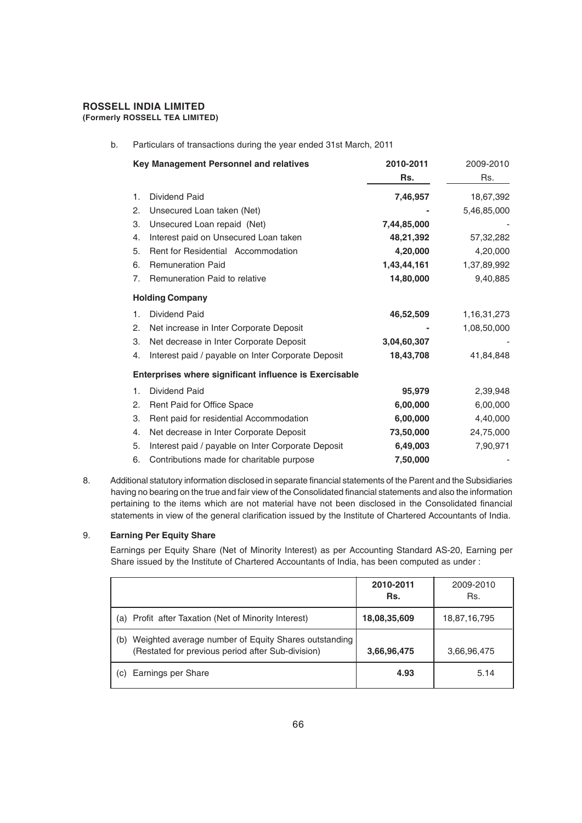# **ROSSELL INDIA LIMITED**

**(Formerly ROSSELL TEA LIMITED)**

b. Particulars of transactions during the year ended 31st March, 2011

|    | Key Management Personnel and relatives                 | 2010-2011<br>Rs. | 2009-2010<br>Rs. |
|----|--------------------------------------------------------|------------------|------------------|
| 1. | <b>Dividend Paid</b>                                   | 7,46,957         | 18,67,392        |
| 2. | Unsecured Loan taken (Net)                             |                  | 5,46,85,000      |
| 3. | Unsecured Loan repaid (Net)                            | 7,44,85,000      |                  |
| 4. | Interest paid on Unsecured Loan taken                  | 48,21,392        | 57,32,282        |
| 5. | Rent for Residential Accommodation                     | 4,20,000         | 4,20,000         |
| 6. | <b>Remuneration Paid</b>                               | 1,43,44,161      | 1,37,89,992      |
| 7. | Remuneration Paid to relative                          | 14,80,000        | 9,40,885         |
|    | <b>Holding Company</b>                                 |                  |                  |
| 1. | Dividend Paid                                          | 46,52,509        | 1, 16, 31, 273   |
| 2. | Net increase in Inter Corporate Deposit                |                  | 1,08,50,000      |
| 3. | Net decrease in Inter Corporate Deposit                | 3,04,60,307      |                  |
| 4. | Interest paid / payable on Inter Corporate Deposit     | 18,43,708        | 41,84,848        |
|    | Enterprises where significant influence is Exercisable |                  |                  |
| 1. | Dividend Paid                                          | 95,979           | 2,39,948         |
| 2. | Rent Paid for Office Space                             | 6,00,000         | 6,00,000         |
| 3. | Rent paid for residential Accommodation                | 6,00,000         | 4,40,000         |
| 4. | Net decrease in Inter Corporate Deposit                | 73,50,000        | 24,75,000        |
| 5. | Interest paid / payable on Inter Corporate Deposit     | 6,49,003         | 7,90,971         |
| 6. | Contributions made for charitable purpose              | 7,50,000         |                  |

8. Additional statutory information disclosed in separate financial statements of the Parent and the Subsidiaries having no bearing on the true and fair view of the Consolidated financial statements and also the information pertaining to the items which are not material have not been disclosed in the Consolidated financial statements in view of the general clarification issued by the Institute of Chartered Accountants of India.

#### 9. **Earning Per Equity Share**

Earnings per Equity Share (Net of Minority Interest) as per Accounting Standard AS-20, Earning per Share issued by the Institute of Chartered Accountants of India, has been computed as under :

|                                                                                                                  | 2010-2011<br>Rs. | 2009-2010<br>Rs. |
|------------------------------------------------------------------------------------------------------------------|------------------|------------------|
| Profit after Taxation (Net of Minority Interest)<br>(a)                                                          | 18,08,35,609     | 18,87,16,795     |
| Weighted average number of Equity Shares outstanding<br>(b)<br>(Restated for previous period after Sub-division) | 3,66,96,475      | 3,66,96,475      |
| Earnings per Share<br>(C)                                                                                        | 4.93             | 5.14             |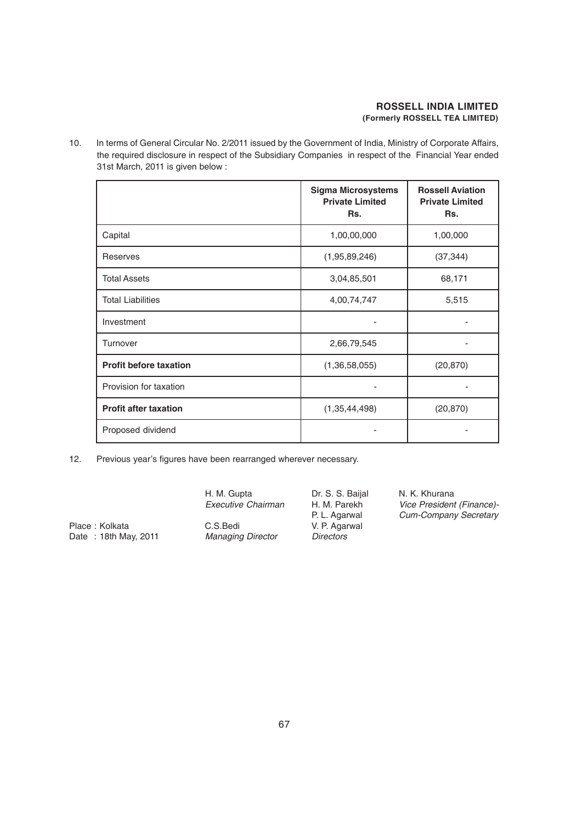10. In terms of General Circular No. 2/2011 issued by the Government of India, Ministry of Corporate Affairs, the required disclosure in respect of the Subsidiary Companies in respect of the Financial Year ended 31st March, 2011 is given below :

|                               | <b>Sigma Microsystems</b><br><b>Private Limited</b><br>Rs. | <b>Rossell Aviation</b><br><b>Private Limited</b><br>Rs. |
|-------------------------------|------------------------------------------------------------|----------------------------------------------------------|
| Capital                       | 1,00,00,000                                                | 1,00,000                                                 |
| Reserves                      | (1,95,89,246)                                              | (37, 344)                                                |
| <b>Total Assets</b>           | 3,04,85,501                                                | 68,171                                                   |
| <b>Total Liabilities</b>      | 4,00,74,747                                                | 5,515                                                    |
| Investment                    |                                                            |                                                          |
| Turnover                      | 2,66,79,545                                                |                                                          |
| <b>Profit before taxation</b> | (1,36,58,055)                                              | (20, 870)                                                |
| Provision for taxation        |                                                            |                                                          |
| <b>Profit after taxation</b>  | (1, 35, 44, 498)                                           | (20, 870)                                                |
| Proposed dividend             |                                                            |                                                          |

12. Previous year's figures have been rearranged wherever necessary.

H. M. Gupta **Dr. S. S. Baijal N. K. Khurana**<br>Executive Chairman H. M. Parekh *Vice President Executive Chairman* H. M. Parekh *Vice President (Finance)-* Place : Kolkata **C.S.Bedi** C.S.Bedi V. P. Agarwal Date : 18th May, 2011 *Managing Director Directors*

P. L. Agarwal *Cum-Company Secretary*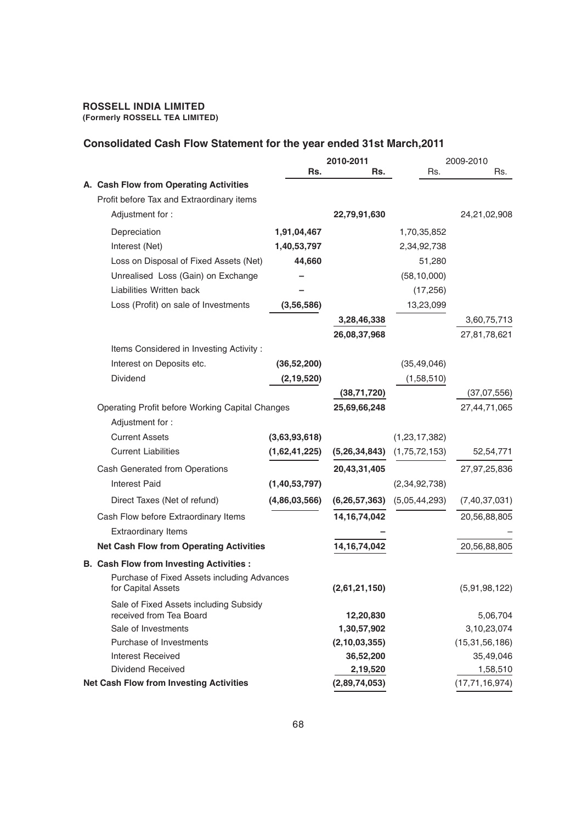#### **Consolidated Cash Flow Statement for the year ended 31st March,2011**

|                                                                   |               | 2010-2011        |                  | 2009-2010         |
|-------------------------------------------------------------------|---------------|------------------|------------------|-------------------|
|                                                                   | Rs.           | Rs.              | Rs.              | Rs.               |
| A. Cash Flow from Operating Activities                            |               |                  |                  |                   |
| Profit before Tax and Extraordinary items                         |               |                  |                  |                   |
| Adjustment for:                                                   |               | 22,79,91,630     |                  | 24,21,02,908      |
| Depreciation                                                      | 1,91,04,467   |                  | 1,70,35,852      |                   |
| Interest (Net)                                                    | 1,40,53,797   |                  | 2,34,92,738      |                   |
| Loss on Disposal of Fixed Assets (Net)                            | 44,660        |                  | 51,280           |                   |
| Unrealised Loss (Gain) on Exchange                                |               |                  | (58, 10, 000)    |                   |
| Liabilities Written back                                          |               |                  | (17,256)         |                   |
| Loss (Profit) on sale of Investments                              | (3,56,586)    |                  | 13,23,099        |                   |
|                                                                   |               | 3,28,46,338      |                  | 3,60,75,713       |
|                                                                   |               | 26,08,37,968     |                  | 27,81,78,621      |
| Items Considered in Investing Activity:                           |               |                  |                  |                   |
| Interest on Deposits etc.                                         | (36, 52, 200) |                  | (35, 49, 046)    |                   |
| <b>Dividend</b>                                                   | (2, 19, 520)  |                  | (1,58,510)       |                   |
|                                                                   |               | (38,71,720)      |                  | (37,07,556)       |
| Operating Profit before Working Capital Changes                   |               | 25,69,66,248     |                  | 27,44,71,065      |
| Adjustment for:                                                   |               |                  |                  |                   |
| <b>Current Assets</b>                                             | (3,63,93,618) |                  | (1, 23, 17, 382) |                   |
| <b>Current Liabilities</b>                                        | (1,62,41,225) | (5,26,34,843)    | (1,75,72,153)    | 52,54,771         |
| Cash Generated from Operations                                    |               | 20,43,31,405     |                  | 27,97,25,836      |
| <b>Interest Paid</b>                                              | (1,40,53,797) |                  | (2,34,92,738)    |                   |
| Direct Taxes (Net of refund)                                      | (4,86,03,566) | (6, 26, 57, 363) | (5,05,44,293)    | (7,40,37,031)     |
| Cash Flow before Extraordinary Items                              |               | 14, 16, 74, 042  |                  | 20,56,88,805      |
| <b>Extraordinary Items</b>                                        |               |                  |                  |                   |
| <b>Net Cash Flow from Operating Activities</b>                    |               | 14, 16, 74, 042  |                  | 20,56,88,805      |
| <b>B. Cash Flow from Investing Activities:</b>                    |               |                  |                  |                   |
| Purchase of Fixed Assets including Advances                       |               |                  |                  |                   |
| for Capital Assets                                                |               | (2,61,21,150)    |                  | (5,91,98,122)     |
| Sale of Fixed Assets including Subsidy<br>received from Tea Board |               | 12,20,830        |                  | 5,06,704          |
| Sale of Investments                                               |               | 1,30,57,902      |                  | 3,10,23,074       |
| Purchase of Investments                                           |               | (2, 10, 03, 355) |                  | (15, 31, 56, 186) |
| <b>Interest Received</b>                                          |               | 36,52,200        |                  | 35,49,046         |
| <b>Dividend Received</b>                                          |               | 2,19,520         |                  | 1,58,510          |
| <b>Net Cash Flow from Investing Activities</b>                    |               | (2,89,74,053)    |                  | (17, 71, 16, 974) |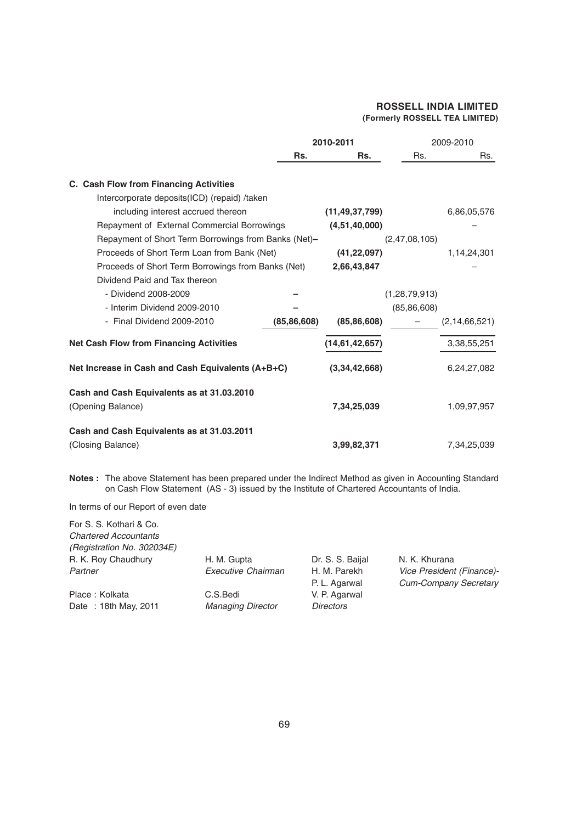|                                                                 |               | 2010-2011         |                  | 2009-2010        |
|-----------------------------------------------------------------|---------------|-------------------|------------------|------------------|
|                                                                 | Rs.           | Rs.               | Rs.              | Rs.              |
| C. Cash Flow from Financing Activities                          |               |                   |                  |                  |
| Intercorporate deposits (ICD) (repaid) /taken                   |               |                   |                  |                  |
| including interest accrued thereon                              |               | (11, 49, 37, 799) |                  | 6,86,05,576      |
| Repayment of External Commercial Borrowings                     |               | (4,51,40,000)     |                  |                  |
| Repayment of Short Term Borrowings from Banks (Net)-            |               |                   | (2,47,08,105)    |                  |
| Proceeds of Short Term Loan from Bank (Net)                     |               | (41, 22, 097)     |                  | 1,14,24,301      |
| Proceeds of Short Term Borrowings from Banks (Net)              |               | 2,66,43,847       |                  |                  |
| Dividend Paid and Tax thereon                                   |               |                   |                  |                  |
| - Dividend 2008-2009                                            |               |                   | (1, 28, 79, 913) |                  |
| - Interim Dividend 2009-2010                                    |               |                   | (85, 86, 608)    |                  |
| - Final Dividend 2009-2010                                      | (85, 86, 608) | (85, 86, 608)     |                  | (2, 14, 66, 521) |
| <b>Net Cash Flow from Financing Activities</b>                  |               | (14,61,42,657)    |                  | 3,38,55,251      |
| Net Increase in Cash and Cash Equivalents (A+B+C)               |               | (3,34,42,668)     |                  | 6,24,27,082      |
| Cash and Cash Equivalents as at 31.03.2010<br>(Opening Balance) |               | 7,34,25,039       |                  | 1,09,97,957      |
| Cash and Cash Equivalents as at 31.03.2011<br>(Closing Balance) |               | 3,99,82,371       |                  | 7,34,25,039      |

**Notes :** The above Statement has been prepared under the Indirect Method as given in Accounting Standard on Cash Flow Statement (AS - 3) issued by the Institute of Chartered Accountants of India.

In terms of our Report of even date

| For S. S. Kothari & Co.<br><b>Chartered Accountants</b><br>(Registration No. 302034E) |                                      |                                   |                                                           |
|---------------------------------------------------------------------------------------|--------------------------------------|-----------------------------------|-----------------------------------------------------------|
| R. K. Roy Chaudhury                                                                   | H. M. Gupta                          | Dr. S. S. Baijal                  | N. K. Khurana                                             |
| Partner                                                                               | Executive Chairman                   | H. M. Parekh<br>P. L. Agarwal     | Vice President (Finance)-<br><b>Cum-Company Secretary</b> |
| Place: Kolkata<br>Date: 18th May, 2011                                                | C.S.Bedi<br><b>Managing Director</b> | V. P. Agarwal<br><b>Directors</b> |                                                           |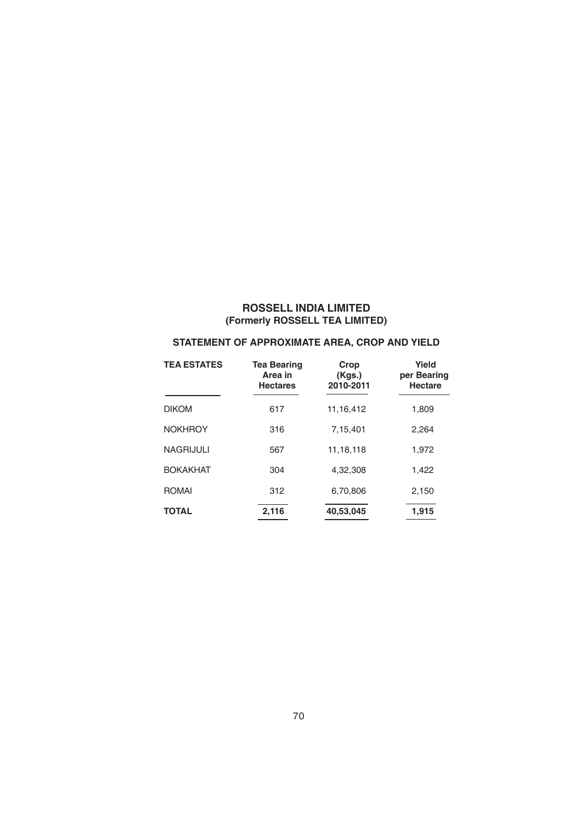### **STATEMENT OF APPROXIMATE AREA, CROP AND YIELD**

| <b>TEA ESTATES</b> | <b>Tea Bearing</b><br>Area in<br><b>Hectares</b> | Crop<br>(Kgs.)<br>2010-2011 | Yield<br>per Bearing<br><b>Hectare</b> |
|--------------------|--------------------------------------------------|-----------------------------|----------------------------------------|
| <b>DIKOM</b>       | 617                                              | 11.16.412                   | 1,809                                  |
| <b>NOKHROY</b>     | 316                                              | 7,15,401                    | 2.264                                  |
| <b>NAGRIJULI</b>   | 567                                              | 11.18.118                   | 1,972                                  |
| <b>BOKAKHAT</b>    | 304                                              | 4.32.308                    | 1,422                                  |
| <b>ROMAI</b>       | 312                                              | 6,70,806                    | 2,150                                  |
| <b>TOTAL</b>       | 2,116                                            | 40,53,045                   | 1,915                                  |